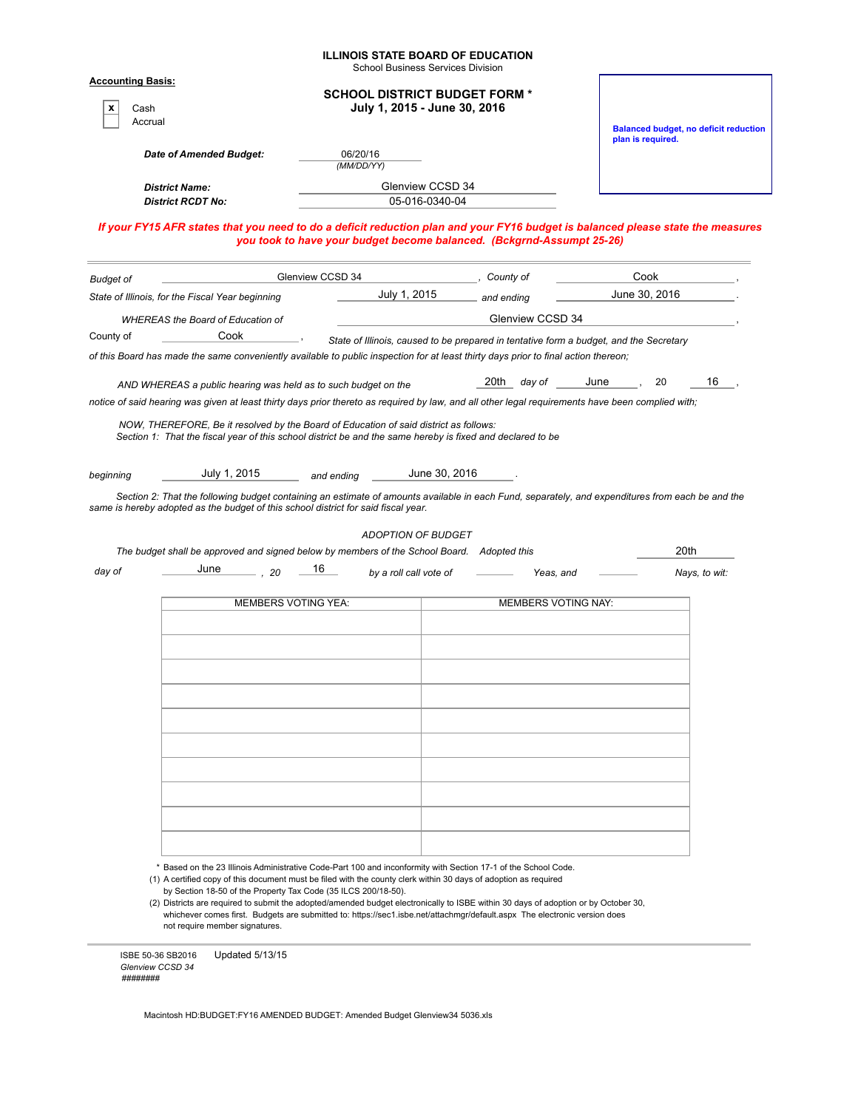| <b>Accounting Basis:</b><br>x<br>Cash<br>Accrual |                                                                                                                                                                                                                                                        |                            | <b>School Business Services Division</b><br><b>SCHOOL DISTRICT BUDGET FORM *</b><br>July 1, 2015 - June 30, 2016 |                  |                            |                   | <b>Balanced budget, no deficit reduction</b> |  |  |  |
|--------------------------------------------------|--------------------------------------------------------------------------------------------------------------------------------------------------------------------------------------------------------------------------------------------------------|----------------------------|------------------------------------------------------------------------------------------------------------------|------------------|----------------------------|-------------------|----------------------------------------------|--|--|--|
|                                                  | Date of Amended Budget:                                                                                                                                                                                                                                | 06/20/16<br>(MM/DD/YY)     |                                                                                                                  |                  |                            | plan is required. |                                              |  |  |  |
|                                                  | <b>District Name:</b><br><b>District RCDT No:</b>                                                                                                                                                                                                      |                            | Glenview CCSD 34<br>05-016-0340-04                                                                               |                  |                            |                   |                                              |  |  |  |
|                                                  | If your FY15 AFR states that you need to do a deficit reduction plan and your FY16 budget is balanced please state the measures                                                                                                                        |                            | you took to have your budget become balanced. (Bckgrnd-Assumpt 25-26)                                            |                  |                            |                   |                                              |  |  |  |
| <b>Budget of</b>                                 |                                                                                                                                                                                                                                                        | Glenview CCSD 34           |                                                                                                                  | County of        |                            | Cook              |                                              |  |  |  |
|                                                  | State of Illinois, for the Fiscal Year beginning                                                                                                                                                                                                       |                            | July 1, 2015                                                                                                     | and ending       |                            | June 30, 2016     |                                              |  |  |  |
|                                                  | <b>WHEREAS the Board of Education of</b>                                                                                                                                                                                                               |                            |                                                                                                                  | Glenview CCSD 34 |                            |                   |                                              |  |  |  |
| County of                                        | Cook                                                                                                                                                                                                                                                   |                            | State of Illinois, caused to be prepared in tentative form a budget, and the Secretary                           |                  |                            |                   |                                              |  |  |  |
|                                                  | of this Board has made the same conveniently available to public inspection for at least thirty days prior to final action thereon;                                                                                                                    |                            |                                                                                                                  |                  |                            |                   |                                              |  |  |  |
|                                                  | AND WHEREAS a public hearing was held as to such budget on the<br>notice of said hearing was given at least thirty days prior thereto as required by law, and all other legal requirements have been complied with;                                    |                            |                                                                                                                  | 20th<br>day of   | June                       | 20                | 16                                           |  |  |  |
|                                                  |                                                                                                                                                                                                                                                        |                            |                                                                                                                  |                  |                            |                   |                                              |  |  |  |
|                                                  | July 1, 2015<br>Section 2: That the following budget containing an estimate of amounts available in each Fund, separately, and expenditures from each be and the<br>same is hereby adopted as the budget of this school district for said fiscal year. | and ending                 | June 30, 2016<br><b>ADOPTION OF BUDGET</b>                                                                       |                  |                            |                   |                                              |  |  |  |
|                                                  | The budget shall be approved and signed below by members of the School Board. Adopted this                                                                                                                                                             |                            |                                                                                                                  |                  |                            | 20th              |                                              |  |  |  |
| beginning<br>day of                              | June<br>- . 20                                                                                                                                                                                                                                         | 16                         | by a roll call vote of                                                                                           | Yeas, and        |                            |                   | Nays, to wit:                                |  |  |  |
|                                                  |                                                                                                                                                                                                                                                        | <b>MEMBERS VOTING YEA:</b> |                                                                                                                  |                  | <b>MEMBERS VOTING NAY:</b> |                   |                                              |  |  |  |
|                                                  |                                                                                                                                                                                                                                                        |                            |                                                                                                                  |                  |                            |                   |                                              |  |  |  |
|                                                  |                                                                                                                                                                                                                                                        |                            |                                                                                                                  |                  |                            |                   |                                              |  |  |  |
|                                                  |                                                                                                                                                                                                                                                        |                            |                                                                                                                  |                  |                            |                   |                                              |  |  |  |
|                                                  |                                                                                                                                                                                                                                                        |                            |                                                                                                                  |                  |                            |                   |                                              |  |  |  |
|                                                  |                                                                                                                                                                                                                                                        |                            |                                                                                                                  |                  |                            |                   |                                              |  |  |  |
|                                                  |                                                                                                                                                                                                                                                        |                            |                                                                                                                  |                  |                            |                   |                                              |  |  |  |
|                                                  |                                                                                                                                                                                                                                                        |                            |                                                                                                                  |                  |                            |                   |                                              |  |  |  |
|                                                  |                                                                                                                                                                                                                                                        |                            |                                                                                                                  |                  |                            |                   |                                              |  |  |  |
|                                                  |                                                                                                                                                                                                                                                        |                            |                                                                                                                  |                  |                            |                   |                                              |  |  |  |
|                                                  |                                                                                                                                                                                                                                                        |                            |                                                                                                                  |                  |                            |                   |                                              |  |  |  |

ISBE 50-36 SB2016 Updated 5/13/15 *Glenview CCSD 34 ########*

Macintosh HD:BUDGET:FY16 AMENDED BUDGET: Amended Budget Glenview34 5036.xls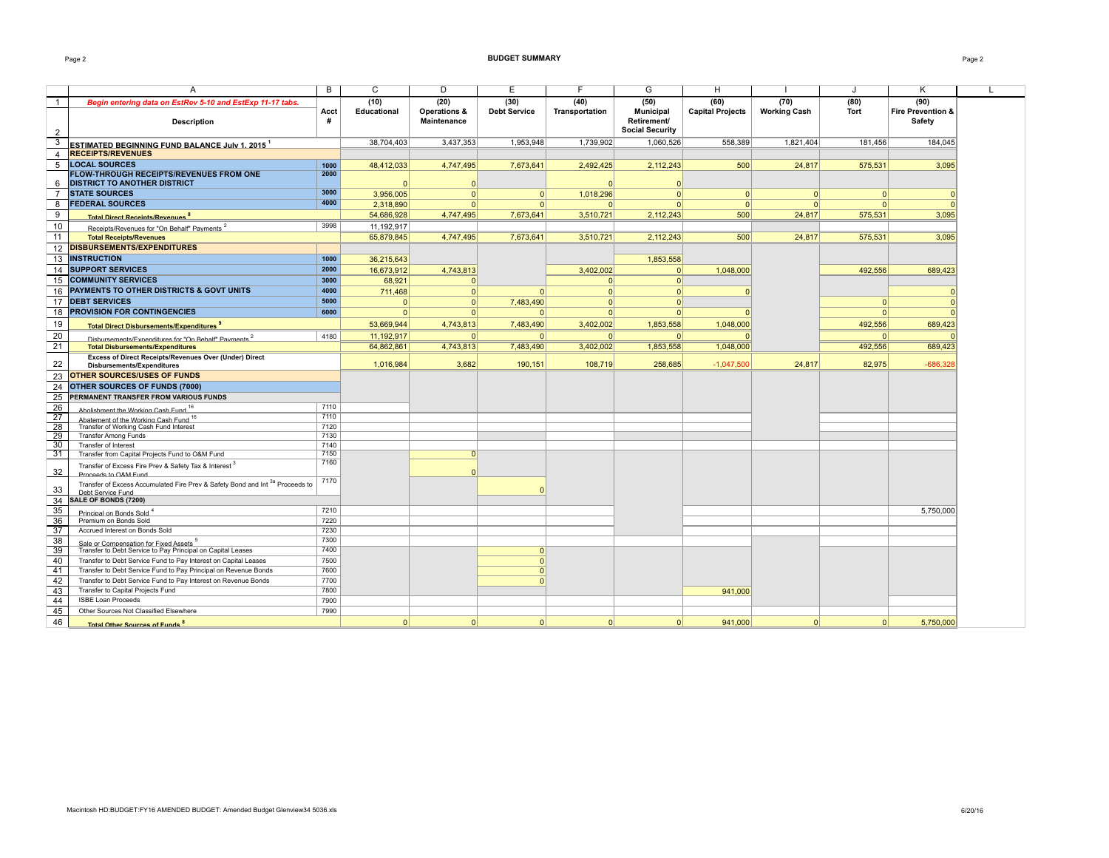#### Page 2 **BUDGET SUMMARY** Page 2

|                 | Α                                                                                                             | B            | $\mathsf{C}$ | D                                  | Ε                   | E              | G                                                         | н                       |                     | J           | Κ                           | $\mathbf{I}$ |
|-----------------|---------------------------------------------------------------------------------------------------------------|--------------|--------------|------------------------------------|---------------------|----------------|-----------------------------------------------------------|-------------------------|---------------------|-------------|-----------------------------|--------------|
| $\overline{1}$  | Begin entering data on EstRev 5-10 and EstExp 11-17 tabs.                                                     |              | (10)         | (20)                               | (30)                | (40)           | (50)                                                      | (60)                    | (70)                | (80)        | (90)                        |              |
| $\overline{2}$  | <b>Description</b>                                                                                            | Acct<br>#    | Educational  | Operations &<br><b>Maintenance</b> | <b>Debt Service</b> | Transportation | <b>Municipal</b><br>Retirement/<br><b>Social Security</b> | <b>Capital Projects</b> | <b>Working Cash</b> | <b>Tort</b> | Fire Prevention &<br>Safety |              |
| 3               |                                                                                                               |              | 38,704,403   | 3,437,353                          | 1,953,948           | 1,739,902      | 1,060,526                                                 | 558,389                 | 1,821,404           | 181,456     | 184,045                     |              |
| $\overline{4}$  | <b>ESTIMATED BEGINNING FUND BALANCE July 1. 2015 1</b><br><b>RECEIPTS/REVENUES</b>                            |              |              |                                    |                     |                |                                                           |                         |                     |             |                             |              |
| 5               | <b>LOCAL SOURCES</b>                                                                                          |              |              |                                    |                     |                |                                                           |                         |                     |             |                             |              |
|                 | <b>FLOW-THROUGH RECEIPTS/REVENUES FROM ONE</b>                                                                | 1000<br>2000 | 48,412,033   | 4,747,495                          | 7,673,641           | 2,492,425      | 2,112,243                                                 | 500                     | 24,817              | 575,531     | 3,095                       |              |
| 6               | <b>DISTRICT TO ANOTHER DISTRICT</b>                                                                           |              |              | $\Omega$                           |                     |                | $\Omega$                                                  |                         |                     |             |                             |              |
| $\overline{7}$  | <b>STATE SOURCES</b>                                                                                          | 3000         | 3,956,005    | $\Omega$                           | $\Omega$            | 1,018,296      | 0                                                         | $\mathbf{0}$            | $\Omega$            | $\Omega$    |                             |              |
| 8               | <b>FEDERAL SOURCES</b>                                                                                        | 4000         | 2.318.890    | $\Omega$                           | $\Omega$            | $\Omega$       | $\Omega$                                                  | $\Omega$                | $\Omega$            | $\Omega$    |                             |              |
| $\overline{9}$  |                                                                                                               |              | 54,686,928   | 4,747,495                          | 7,673,641           | 3,510,721      | 2,112,243                                                 | 500                     | 24,817              | 575,531     | 3,095                       |              |
| $10$            | <b>Total Direct Receints/Revenues</b>                                                                         | 3998         | 11,192,917   |                                    |                     |                |                                                           |                         |                     |             |                             |              |
| 11              | Receipts/Revenues for "On Behalf" Payments <sup>2</sup><br><b>Total Receipts/Revenues</b>                     |              | 65,879,845   | 4,747,495                          | 7,673,641           | 3,510,721      | 2,112,243                                                 | 500                     | 24,817              | 575,531     | 3,095                       |              |
|                 | <b>DISBURSEMENTS/EXPENDITURES</b>                                                                             |              |              |                                    |                     |                |                                                           |                         |                     |             |                             |              |
| 12              |                                                                                                               |              |              |                                    |                     |                |                                                           |                         |                     |             |                             |              |
| 13              | <b>INSTRUCTION</b>                                                                                            | 1000         | 36,215,643   |                                    |                     |                | 1,853,558                                                 |                         |                     |             |                             |              |
| 14              | <b>SUPPORT SERVICES</b>                                                                                       | 2000         | 16,673,912   | 4,743,813                          |                     | 3,402,002      | 0                                                         | 1,048,000               |                     | 492,556     | 689,423                     |              |
| 15              | <b>COMMUNITY SERVICES</b>                                                                                     | 3000         | 68.921       | $\Omega$                           |                     | 0              | 0                                                         |                         |                     |             |                             |              |
| 16              | PAYMENTS TO OTHER DISTRICTS & GOVT UNITS                                                                      | 4000         | 711,468      | $\Omega$                           | $\Omega$            | 0              | 0                                                         |                         |                     |             |                             |              |
| 17              | <b>DEBT SERVICES</b>                                                                                          | 5000         | $\Omega$     | $\Omega$                           | 7,483,490           | $\Omega$       | $\Omega$                                                  |                         |                     | $\Omega$    |                             |              |
| 18              | <b>PROVISION FOR CONTINGENCIES</b>                                                                            | 6000         | $\Omega$     | $\Omega$                           | $\Omega$            | $\overline{0}$ | 0                                                         |                         |                     | $\Omega$    |                             |              |
| 19              | Total Direct Disbursements/Expenditures <sup>3</sup>                                                          |              | 53,669,944   | 4,743,813                          | 7,483,490           | 3,402,002      | 1.853.558                                                 | 1.048.000               |                     | 492.556     | 689.423                     |              |
| 20              |                                                                                                               | 4180         | 11,192,917   | $\Omega$                           | $\Omega$            | $\overline{0}$ | $\Omega$                                                  |                         |                     | 0           |                             |              |
| 21              | Disbursements/Expenditures for "On Behalf" Payments <sup>2</sup><br><b>Total Disbursements/Expenditures</b>   |              | 64,862,861   | 4,743,813                          | 7,483,490           | 3,402,002      | 1,853,558                                                 | 1,048,000               |                     | 492,556     | 689,423                     |              |
|                 | Excess of Direct Receipts/Revenues Over (Under) Direct                                                        |              |              |                                    |                     |                |                                                           |                         |                     |             |                             |              |
| 22              | <b>Disbursements/Expenditures</b>                                                                             |              | 1,016,984    | 3,682                              | 190,151             | 108,719        | 258,685                                                   | $-1,047,500$            | 24,817              | 82,975      | $-686,328$                  |              |
| 23              | <b>OTHER SOURCES/USES OF FUNDS</b>                                                                            |              |              |                                    |                     |                |                                                           |                         |                     |             |                             |              |
| 24              | OTHER SOURCES OF FUNDS (7000)                                                                                 |              |              |                                    |                     |                |                                                           |                         |                     |             |                             |              |
| 25              | PERMANENT TRANSFER FROM VARIOUS FUNDS                                                                         |              |              |                                    |                     |                |                                                           |                         |                     |             |                             |              |
| 26              | Abolishment the Working Cash Fund <sup>16</sup>                                                               | 7110         |              |                                    |                     |                |                                                           |                         |                     |             |                             |              |
| 27              | Abatement of the Working Cash Fund <sup>16</sup>                                                              | 7110         |              |                                    |                     |                |                                                           |                         |                     |             |                             |              |
| 28              | Transfer of Working Cash Fund Interest                                                                        | 7120         |              |                                    |                     |                |                                                           |                         |                     |             |                             |              |
| 29              | <b>Transfer Among Funds</b>                                                                                   | 7130         |              |                                    |                     |                |                                                           |                         |                     |             |                             |              |
| 30              | <b>Transfer of Interest</b>                                                                                   | 7140         |              |                                    |                     |                |                                                           |                         |                     |             |                             |              |
| 31              | Transfer from Capital Projects Fund to O&M Fund                                                               | 7150         |              | $\Omega$                           |                     |                |                                                           |                         |                     |             |                             |              |
| 32              | Transfer of Excess Fire Prev & Safety Tax & Interest 3<br>Proceeds to O&M Fund                                | 7160         |              | $\Omega$                           |                     |                |                                                           |                         |                     |             |                             |              |
| 33              | Transfer of Excess Accumulated Fire Prev & Safety Bond and Int <sup>3a</sup> Proceeds to<br>Debt Service Fund | 7170         |              |                                    |                     |                |                                                           |                         |                     |             |                             |              |
| 34              | SALE OF BONDS (7200)                                                                                          |              |              |                                    |                     |                |                                                           |                         |                     |             |                             |              |
| 35              | Principal on Bonds Sold <sup>4</sup>                                                                          | 7210         |              |                                    |                     |                |                                                           |                         |                     |             | 5,750,000                   |              |
| 36              | Premium on Bonds Sold                                                                                         | 7220         |              |                                    |                     |                |                                                           |                         |                     |             |                             |              |
| $\overline{37}$ | Accrued Interest on Bonds Sold                                                                                | 7230         |              |                                    |                     |                |                                                           |                         |                     |             |                             |              |
| 38              | Sale or Compensation for Fixed Assets <sup>5</sup>                                                            | 7300         |              |                                    |                     |                |                                                           |                         |                     |             |                             |              |
| 39              | Transfer to Debt Service to Pay Principal on Capital Leases                                                   | 7400         |              |                                    | $\Omega$            |                |                                                           |                         |                     |             |                             |              |
| 40              | Transfer to Debt Service Fund to Pay Interest on Capital Leases                                               | 7500         |              |                                    | $\Omega$            |                |                                                           |                         |                     |             |                             |              |
| 41              | Transfer to Debt Service Fund to Pay Principal on Revenue Bonds                                               | 7600         |              |                                    | $\Omega$            |                |                                                           |                         |                     |             |                             |              |
| 42              | Transfer to Debt Service Fund to Pay Interest on Revenue Bonds                                                | 7700         |              |                                    | $\Omega$            |                |                                                           |                         |                     |             |                             |              |
| 43              | Transfer to Capital Projects Fund                                                                             | 7800         |              |                                    |                     |                |                                                           | 941,000                 |                     |             |                             |              |
| 44              | <b>ISBE Loan Proceeds</b>                                                                                     | 7900         |              |                                    |                     |                |                                                           |                         |                     |             |                             |              |
| 45              | Other Sources Not Classified Elsewhere                                                                        | 7990         |              |                                    |                     |                |                                                           |                         |                     |             |                             |              |
| 46              | <b>Total Other Sources of Funds<sup>8</sup></b>                                                               |              | $\Omega$     | $\Omega$                           | $\Omega$            | $\Omega$       | 0                                                         | 941.000                 | $\Omega$            | 0           | 5.750.000                   |              |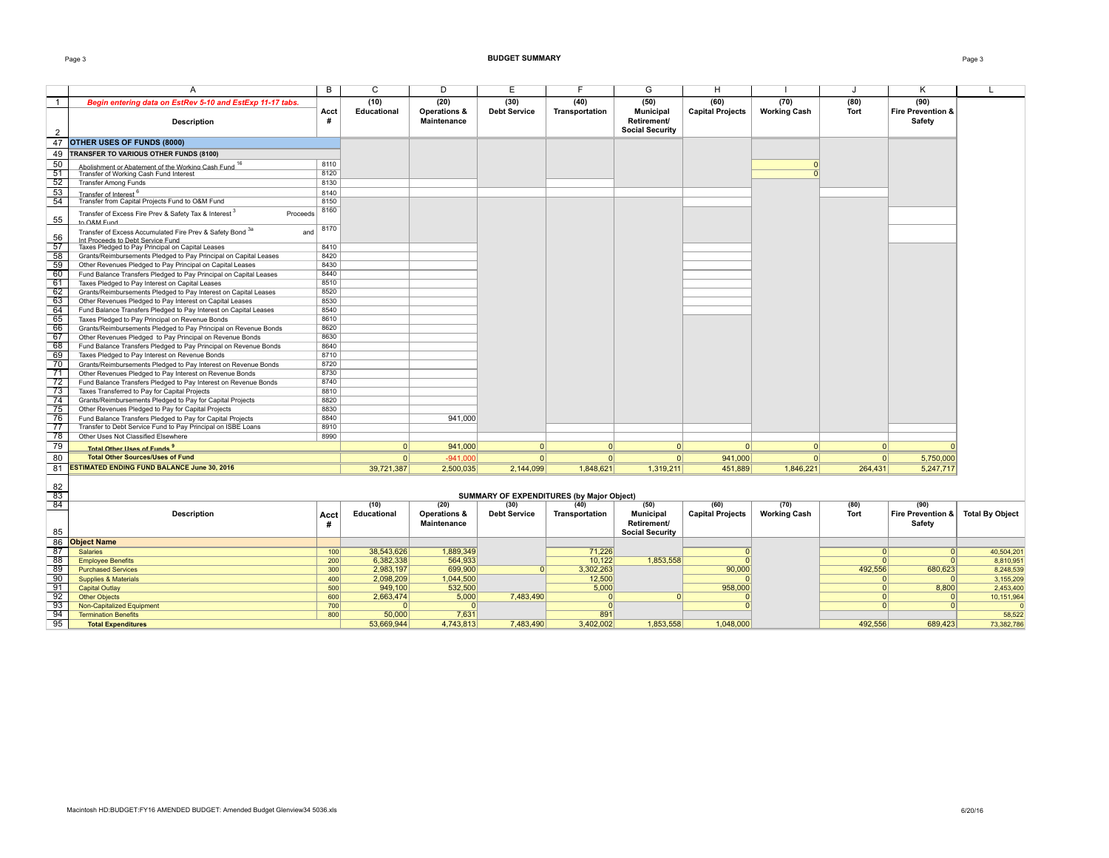#### Page 3 **BUDGET SUMMARY** Page 3

|--|--|

|                                    | A                                                                                                                              | B            | C                   | D                                             | E                           | F                                         | G                                                  | H                               |                             | J                   | ĸ                                           |            |
|------------------------------------|--------------------------------------------------------------------------------------------------------------------------------|--------------|---------------------|-----------------------------------------------|-----------------------------|-------------------------------------------|----------------------------------------------------|---------------------------------|-----------------------------|---------------------|---------------------------------------------|------------|
| $\overline{1}$                     | Begin entering data on EstRev 5-10 and EstExp 11-17 tabs.                                                                      | Acct         | (10)<br>Educational | (20)<br>Operations &                          | (30)<br><b>Debt Service</b> | (40)<br>Transportation                    | (50)<br><b>Municipal</b>                           | (60)<br><b>Capital Projects</b> | (70)<br><b>Working Cash</b> | (80)<br><b>Tort</b> | (90)<br><b>Fire Prevention &amp;</b>        |            |
| $\overline{2}$                     | <b>Description</b>                                                                                                             | #            |                     | <b>Maintenance</b>                            |                             |                                           | Retirement/<br><b>Social Security</b>              |                                 |                             |                     | <b>Safety</b>                               |            |
| 47                                 | <b>OTHER USES OF FUNDS (8000)</b>                                                                                              |              |                     |                                               |                             |                                           |                                                    |                                 |                             |                     |                                             |            |
| 49                                 | TRANSFER TO VARIOUS OTHER FUNDS (8100)                                                                                         |              |                     |                                               |                             |                                           |                                                    |                                 |                             |                     |                                             |            |
| 50                                 |                                                                                                                                | 8110         |                     |                                               |                             |                                           |                                                    |                                 | $\Omega$                    |                     |                                             |            |
| 51                                 | Abolishment or Abatement of the Working Cash Fund 16<br>Transfer of Working Cash Fund Interest                                 | 8120         |                     |                                               |                             |                                           |                                                    |                                 | $\Omega$                    |                     |                                             |            |
| 52                                 | <b>Transfer Among Funds</b>                                                                                                    | 8130         |                     |                                               |                             |                                           |                                                    |                                 |                             |                     |                                             |            |
| 53                                 |                                                                                                                                | 8140         |                     |                                               |                             |                                           |                                                    |                                 |                             |                     |                                             |            |
| 54                                 | Transfer of Interest <sup>6</sup><br>Transfer from Capital Projects Fund to O&M Fund                                           | 8150         |                     |                                               |                             |                                           |                                                    |                                 |                             |                     |                                             |            |
| 55                                 | Transfer of Excess Fire Prev & Safety Tax & Interest <sup>3</sup><br>Proceeds<br>to O&M Fund                                   | 8160         |                     |                                               |                             |                                           |                                                    |                                 |                             |                     |                                             |            |
| 56                                 | Transfer of Excess Accumulated Fire Prev & Safety Bond 3a<br>and<br>Int Proceeds to Debt Service Fund                          | 8170         |                     |                                               |                             |                                           |                                                    |                                 |                             |                     |                                             |            |
| 57                                 | Taxes Pledged to Pay Principal on Capital Leases                                                                               | 8410         |                     |                                               |                             |                                           |                                                    |                                 |                             |                     |                                             |            |
| 58                                 | Grants/Reimbursements Pledged to Pay Principal on Capital Leases                                                               | 8420         |                     |                                               |                             |                                           |                                                    |                                 |                             |                     |                                             |            |
| 59<br>60                           | Other Revenues Pledged to Pay Principal on Capital Leases<br>Fund Balance Transfers Pledged to Pay Principal on Capital Leases | 8430<br>8440 |                     |                                               |                             |                                           |                                                    |                                 |                             |                     |                                             |            |
| 61                                 | Taxes Pledged to Pay Interest on Capital Leases                                                                                | 8510         |                     |                                               |                             |                                           |                                                    |                                 |                             |                     |                                             |            |
| 62                                 | Grants/Reimbursements Pledged to Pay Interest on Capital Leases                                                                | 8520         |                     |                                               |                             |                                           |                                                    |                                 |                             |                     |                                             |            |
| 63                                 | Other Revenues Pledged to Pay Interest on Capital Leases                                                                       | 8530         |                     |                                               |                             |                                           |                                                    |                                 |                             |                     |                                             |            |
| 64                                 | Fund Balance Transfers Pledged to Pay Interest on Capital Leases                                                               | 8540         |                     |                                               |                             |                                           |                                                    |                                 |                             |                     |                                             |            |
| 65                                 | Taxes Pledged to Pay Principal on Revenue Bonds                                                                                | 8610         |                     |                                               |                             |                                           |                                                    |                                 |                             |                     |                                             |            |
| 66                                 | Grants/Reimbursements Pledged to Pay Principal on Revenue Bonds                                                                | 8620         |                     |                                               |                             |                                           |                                                    |                                 |                             |                     |                                             |            |
| 67                                 | Other Revenues Pledged to Pay Principal on Revenue Bonds                                                                       | 8630         |                     |                                               |                             |                                           |                                                    |                                 |                             |                     |                                             |            |
| 68                                 | Fund Balance Transfers Pledged to Pay Principal on Revenue Bonds                                                               | 8640         |                     |                                               |                             |                                           |                                                    |                                 |                             |                     |                                             |            |
| 69                                 | Taxes Pledged to Pay Interest on Revenue Bonds                                                                                 | 8710         |                     |                                               |                             |                                           |                                                    |                                 |                             |                     |                                             |            |
| 70                                 | Grants/Reimbursements Pledged to Pay Interest on Revenue Bonds                                                                 | 8720         |                     |                                               |                             |                                           |                                                    |                                 |                             |                     |                                             |            |
| 71                                 | Other Revenues Pledged to Pay Interest on Revenue Bonds                                                                        | 8730         |                     |                                               |                             |                                           |                                                    |                                 |                             |                     |                                             |            |
| $\overline{72}$<br>$\overline{73}$ | Fund Balance Transfers Pledged to Pay Interest on Revenue Bonds                                                                | 8740         |                     |                                               |                             |                                           |                                                    |                                 |                             |                     |                                             |            |
| $\overline{74}$                    | Taxes Transferred to Pay for Capital Projects<br>Grants/Reimbursements Pledged to Pay for Capital Projects                     | 8810<br>8820 |                     |                                               |                             |                                           |                                                    |                                 |                             |                     |                                             |            |
| 75                                 | Other Revenues Pledged to Pay for Capital Projects                                                                             | 8830         |                     |                                               |                             |                                           |                                                    |                                 |                             |                     |                                             |            |
| $\overline{76}$                    | Fund Balance Transfers Pledged to Pay for Capital Projects                                                                     | 8840         |                     | 941,000                                       |                             |                                           |                                                    |                                 |                             |                     |                                             |            |
| $\overline{77}$                    | Transfer to Debt Service Fund to Pay Principal on ISBE Loans                                                                   | 8910         |                     |                                               |                             |                                           |                                                    |                                 |                             |                     |                                             |            |
| 78                                 | Other Uses Not Classified Elsewhere                                                                                            | 8990         |                     |                                               |                             |                                           |                                                    |                                 |                             |                     |                                             |            |
| 79                                 | Total Other Hees of Funds                                                                                                      |              | 0                   | 941,000                                       | 0                           | $\Omega$                                  | 0                                                  | 0                               | 0                           | $\Omega$            |                                             |            |
| 80                                 | <b>Total Other Sources/Uses of Fund</b>                                                                                        |              | 0                   | $-941,000$                                    | 0                           | 0                                         | 0                                                  | 941,000                         | 0                           | 0                   | 5,750,000                                   |            |
| 81                                 | <b>ESTIMATED ENDING FUND BALANCE June 30, 2016</b>                                                                             |              | 39,721,387          | 2,500,035                                     | 2,144,099                   | 1,848,621                                 | 1,319,211                                          | 451,889                         | 1,846,221                   | 264,431             | 5,247,717                                   |            |
|                                    |                                                                                                                                |              |                     |                                               |                             |                                           |                                                    |                                 |                             |                     |                                             |            |
| 82<br>83                           |                                                                                                                                |              |                     |                                               |                             | SUMMARY OF EXPENDITURES (by Major Object) |                                                    |                                 |                             |                     |                                             |            |
| 84                                 |                                                                                                                                |              | (10)                | (20)                                          | (30)                        | (40)                                      | (50)                                               | (60)                            | (70)                        | (80)                | (90)                                        |            |
| 85                                 | <b>Description</b>                                                                                                             | Acct<br>#    | Educational         | <b>Operations &amp;</b><br><b>Maintenance</b> | <b>Debt Service</b>         | Transportation                            | Municipal<br>Retirement/<br><b>Social Security</b> | <b>Capital Projects</b>         | <b>Working Cash</b>         | Tort                | Fire Prevention & Total By Object<br>Safety |            |
| 86                                 | <b>Object Name</b>                                                                                                             |              |                     |                                               |                             |                                           |                                                    |                                 |                             |                     |                                             |            |
| 87                                 | <b>Salaries</b>                                                                                                                | 100          | 38,543,626          | 1,889,349                                     |                             | 71,226                                    |                                                    |                                 |                             | $\Omega$            | $\Omega$                                    | 40,504,201 |
| 88                                 | <b>Employee Benefits</b>                                                                                                       | 200          | 6,382,338           | 564,933                                       |                             | 10,122                                    | 1,853,558                                          |                                 |                             | $\Omega$            | 0                                           | 8,810,951  |
| 89                                 | <b>Purchased Services</b>                                                                                                      | 300          | 2,983,197           | 699,900                                       | $\Omega$                    | 3,302,263                                 |                                                    | 90,000                          |                             | 492,556             | 680,623                                     | 8,248,539  |
| 90                                 | <b>Supplies &amp; Materials</b>                                                                                                | 400          | 2,098,209           | 1,044,500                                     |                             | 12,500                                    |                                                    |                                 |                             | $\Omega$            | $\mathbf{0}$                                | 3,155,209  |
| 91                                 | <b>Capital Outlay</b>                                                                                                          | 500          | 949,100             | 532,500                                       |                             | 5,000                                     |                                                    | 958,000                         |                             | $\Omega$            | 8,800                                       | 2,453,400  |
| 92                                 | <b>Other Objects</b>                                                                                                           | 600          | 2,663,474           | 5,000                                         | 7,483,490                   |                                           | $\Omega$                                           |                                 |                             | $\Omega$            | $\mathbf{0}$                                | 10,151,964 |
| 93                                 | Non-Capitalized Equipment                                                                                                      | 700          | $\Omega$            | $\Omega$                                      |                             | n                                         |                                                    |                                 |                             | $\Omega$            | 0                                           |            |
| 94                                 | <b>Termination Benefits</b>                                                                                                    | 800          | 50,000              | 7,631                                         |                             | 891                                       |                                                    |                                 |                             | 492.556             |                                             | 58,522     |
| 95                                 | <b>Total Expenditures</b>                                                                                                      |              | 53,669,944          | 4,743,813                                     | 7,483,490                   | 3,402,002                                 | 1,853,558                                          | 1.048.000                       |                             |                     | 689.423                                     | 73,382,786 |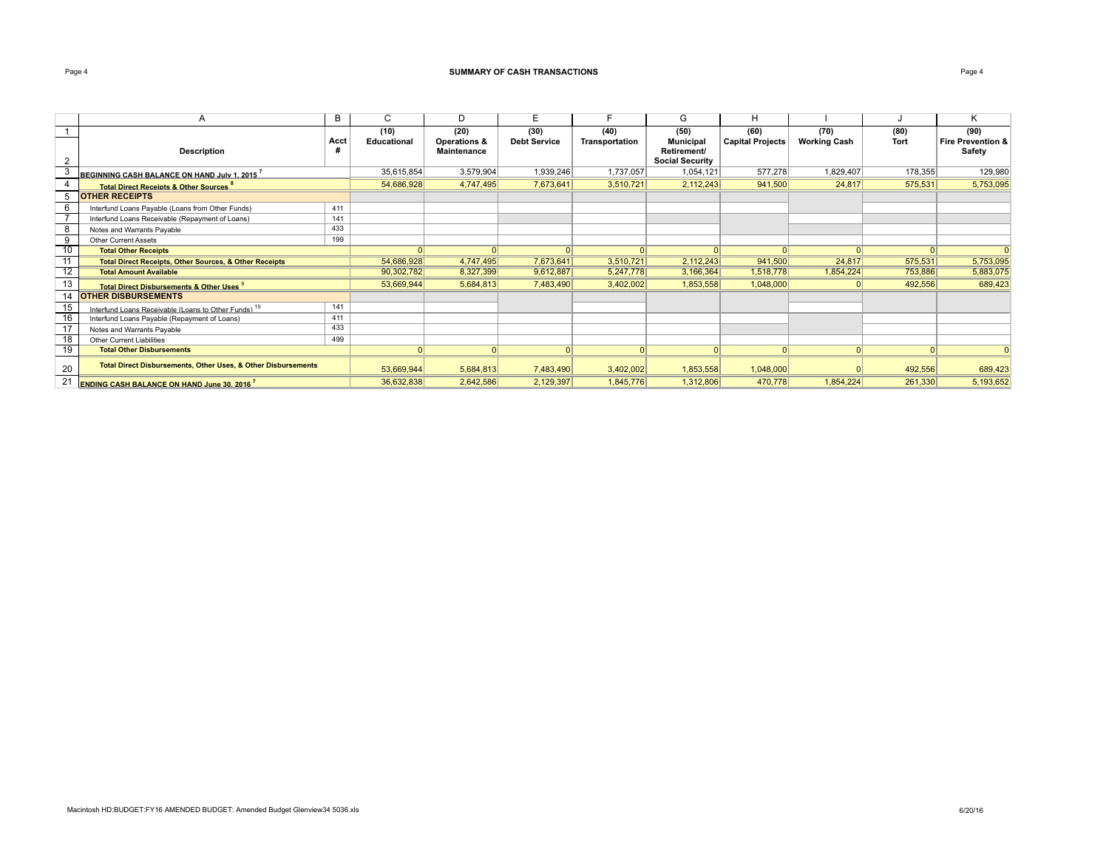## **Page 4 SUMMARY OF CASH TRANSACTIONS Page 4 Page 4 Page 4 Page 4 Page 4 Page 4 Page 4 Page 4 Page 4 Page 4 Page 4 Page 4 Page 4 Page 4 Page 4 Page 4 Page 4 Page 4 Page 4 Page 4 P**

|                 | A                                                                        | B    | C.          | D            | E                   |                | G                      | н                       |                     |             | Κ                            |
|-----------------|--------------------------------------------------------------------------|------|-------------|--------------|---------------------|----------------|------------------------|-------------------------|---------------------|-------------|------------------------------|
|                 |                                                                          |      | (10)        | (20)         | (30)                | (40)           | (50)                   | (60)                    | (70)                | (80)        | (90)                         |
|                 |                                                                          | Acct | Educational | Operations & | <b>Debt Service</b> | Transportation | <b>Municipal</b>       | <b>Capital Projects</b> | <b>Working Cash</b> | <b>Tort</b> | <b>Fire Prevention &amp;</b> |
|                 | <b>Description</b>                                                       |      |             | Maintenance  |                     |                | Retirement/            |                         |                     |             | Safety                       |
| 2               |                                                                          |      |             |              |                     |                | <b>Social Security</b> |                         |                     |             |                              |
|                 | BEGINNING CASH BALANCE ON HAND July 1, 2015                              |      | 35,615,854  | 3,579,904    | 1,939,246           | 1,737,057      | 1,054,121              | 577.278                 | 1.829.407           | 178,355     | 129,980                      |
|                 | <b>Total Direct Receipts &amp; Other Sources</b> <sup>°</sup>            |      | 54,686,928  | 4,747,495    | 7,673,641           | 3,510,721      | 2,112,243              | 941,500                 | 24,817              | 575,531     | 5,753,095                    |
|                 | <b>OTHER RECEIPTS</b>                                                    |      |             |              |                     |                |                        |                         |                     |             |                              |
|                 | Interfund Loans Payable (Loans from Other Funds)                         | 411  |             |              |                     |                |                        |                         |                     |             |                              |
|                 | Interfund Loans Receivable (Repayment of Loans)                          | 141  |             |              |                     |                |                        |                         |                     |             |                              |
| 8               | Notes and Warrants Payable                                               | 433  |             |              |                     |                |                        |                         |                     |             |                              |
| 9               | <b>Other Current Assets</b>                                              | 199  |             |              |                     |                |                        |                         |                     |             |                              |
| $\overline{10}$ | <b>Total Other Receipts</b>                                              |      |             | 0            | $\Omega$            |                |                        |                         |                     |             |                              |
| 11              | <b>Total Direct Receipts, Other Sources, &amp; Other Receipts</b>        |      | 54,686,928  | 4,747,495    | 7,673,641           | 3,510,721      | 2,112,243              | 941,500                 | 24,817              | 575,531     | 5,753,095                    |
| 12              | <b>Total Amount Available</b>                                            |      | 90,302,782  | 8,327,399    | 9,612,887           | 5,247,778      | 3,166,364              | 1,518,778               | 1,854,224           | 753,886     | 5,883,075                    |
| 13              | Total Direct Disbursements & Other Uses 9                                |      | 53,669,944  | 5,684,813    | 7,483,490           | 3,402,002      | 1,853,558              | 1,048,000               |                     | 492,556     | 689,423                      |
| 14              | <b>OTHER DISBURSEMENTS</b>                                               |      |             |              |                     |                |                        |                         |                     |             |                              |
| 15              | Interfund Loans Receivable (Loans to Other Funds) <sup>10</sup>          | 141  |             |              |                     |                |                        |                         |                     |             |                              |
| 16              | Interfund Loans Payable (Repayment of Loans)                             | 411  |             |              |                     |                |                        |                         |                     |             |                              |
| 17              | Notes and Warrants Payable                                               | 433  |             |              |                     |                |                        |                         |                     |             |                              |
| 18              | <b>Other Current Liabilities</b>                                         | 499  |             |              |                     |                |                        |                         |                     |             |                              |
| 19              | <b>Total Other Disbursements</b>                                         |      | $\Omega$    | 0            | 0                   |                |                        |                         |                     | $\Omega$    | $\Omega$                     |
| 20              | <b>Total Direct Disbursements, Other Uses, &amp; Other Disbursements</b> |      | 53,669,944  | 5,684,813    | 7,483,490           | 3,402,002      | 1,853,558              | 1,048,000               |                     | 492,556     | 689,423                      |
| 21              | <b>ENDING CASH BALANCE ON HAND June 30, 2016</b>                         |      | 36,632,838  | 2,642,586    | 2,129,397           | 1,845,776      | 1,312,806              | 470,778                 | 1,854,224           | 261,330     | 5,193,652                    |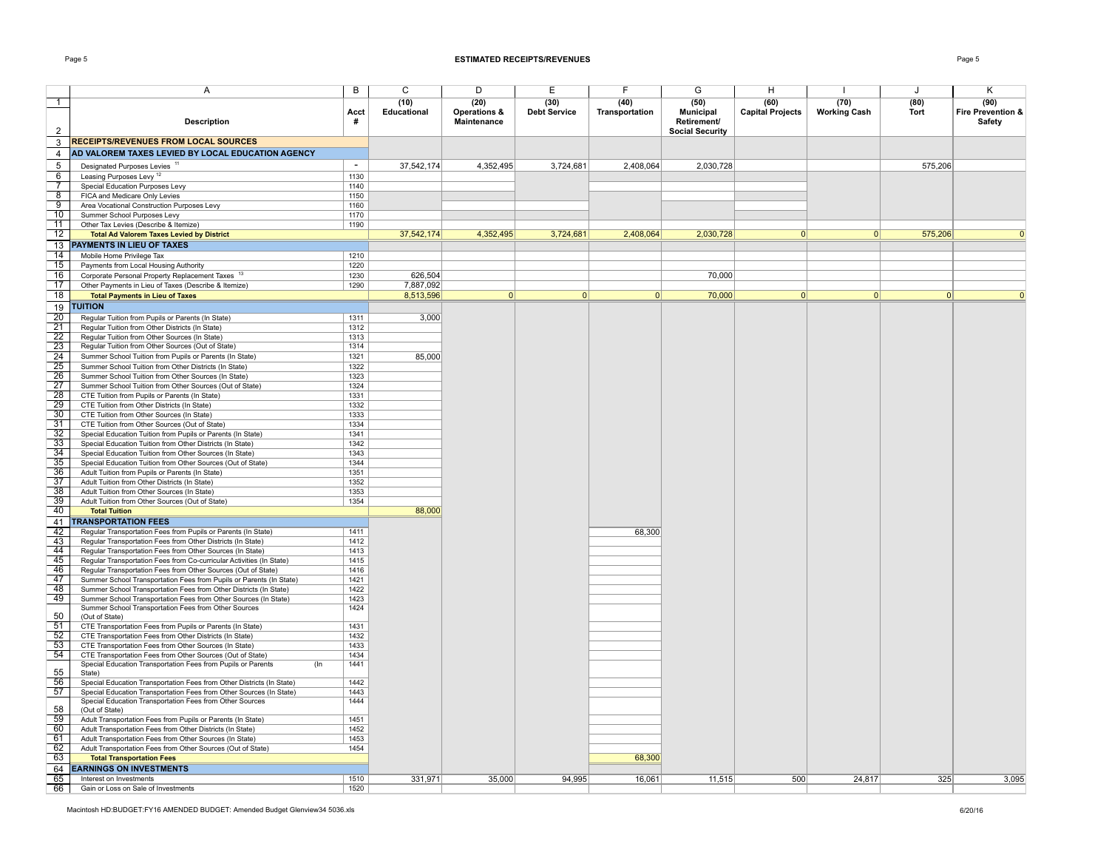### Page 5 **ESTIMATED RECEIPTS/REVENUES** Page 5

|                                   | Α                                                                                                                                | В            | C                   | D                                   | E                           | F                      | G                                | H                               |                             | J            | Κ                                   |
|-----------------------------------|----------------------------------------------------------------------------------------------------------------------------------|--------------|---------------------|-------------------------------------|-----------------------------|------------------------|----------------------------------|---------------------------------|-----------------------------|--------------|-------------------------------------|
| -1                                | <b>Description</b>                                                                                                               | Acct         | (10)<br>Educational | (20)<br>Operations &<br>Maintenance | (30)<br><b>Debt Service</b> | (40)<br>Transportation | (50)<br>Municipal<br>Retirement/ | (60)<br><b>Capital Projects</b> | (70)<br><b>Working Cash</b> | (80)<br>Tort | (90)<br>Fire Prevention &<br>Safety |
| 2                                 |                                                                                                                                  |              |                     |                                     |                             |                        | <b>Social Security</b>           |                                 |                             |              |                                     |
| 3                                 | <b>RECEIPTS/REVENUES FROM LOCAL SOURCES</b>                                                                                      |              |                     |                                     |                             |                        |                                  |                                 |                             |              |                                     |
| $\overline{4}$                    | AD VALOREM TAXES LEVIED BY LOCAL EDUCATION AGENCY                                                                                |              |                     |                                     |                             |                        |                                  |                                 |                             |              |                                     |
| 5                                 | Designated Purposes Levies <sup>11</sup>                                                                                         | $\sim$       | 37,542,174          | 4,352,495                           | 3,724,681                   | 2,408,064              | 2,030,728                        |                                 |                             | 575,206      |                                     |
| 6                                 | Leasing Purposes Levy <sup>12</sup>                                                                                              | 1130         |                     |                                     |                             |                        |                                  |                                 |                             |              |                                     |
| $\overline{7}$<br>8               | Special Education Purposes Levy<br>FICA and Medicare Only Levies                                                                 | 1140<br>1150 |                     |                                     |                             |                        |                                  |                                 |                             |              |                                     |
| 9                                 | Area Vocational Construction Purposes Levy                                                                                       | 1160         |                     |                                     |                             |                        |                                  |                                 |                             |              |                                     |
| 10                                | Summer School Purposes Levy                                                                                                      | 1170         |                     |                                     |                             |                        |                                  |                                 |                             |              |                                     |
| 11                                | Other Tax Levies (Describe & Itemize)                                                                                            | 1190         |                     |                                     |                             |                        |                                  |                                 |                             |              |                                     |
| 12                                | <b>Total Ad Valorem Taxes Levied by District</b>                                                                                 |              | 37,542,174          | 4,352,495                           | 3,724,681                   | 2,408,064              | 2,030,728                        | 0                               | 0                           | 575,206      |                                     |
| 14                                | 13 PAYMENTS IN LIEU OF TAXES                                                                                                     |              |                     |                                     |                             |                        |                                  |                                 |                             |              |                                     |
| 15                                | Mobile Home Privilege Tax<br>Payments from Local Housing Authority                                                               | 1210<br>1220 |                     |                                     |                             |                        |                                  |                                 |                             |              |                                     |
| 16                                | Corporate Personal Property Replacement Taxes 13                                                                                 | 1230         | 626.504             |                                     |                             |                        | 70,000                           |                                 |                             |              |                                     |
| 17                                | Other Payments in Lieu of Taxes (Describe & Itemize)                                                                             | 1290         | 7,887,092           |                                     |                             |                        |                                  |                                 |                             |              |                                     |
| 18                                | <b>Total Payments in Lieu of Taxes</b>                                                                                           |              | 8,513,596           | 0                                   | 0                           | $\Omega$               | 70,000                           | $\Omega$                        | 0                           | $\Omega$     |                                     |
| 19                                | <b>TUITION</b>                                                                                                                   |              |                     |                                     |                             |                        |                                  |                                 |                             |              |                                     |
| 20                                | Regular Tuition from Pupils or Parents (In State)                                                                                | 1311         | 3,000               |                                     |                             |                        |                                  |                                 |                             |              |                                     |
| 21                                | Regular Tuition from Other Districts (In State)                                                                                  | 1312         |                     |                                     |                             |                        |                                  |                                 |                             |              |                                     |
| $\overline{22}$<br>23             | Regular Tuition from Other Sources (In State)                                                                                    | 1313<br>1314 |                     |                                     |                             |                        |                                  |                                 |                             |              |                                     |
| $\overline{24}$                   | Regular Tuition from Other Sources (Out of State)<br>Summer School Tuition from Pupils or Parents (In State)                     | 1321         | 85,000              |                                     |                             |                        |                                  |                                 |                             |              |                                     |
| 25                                | Summer School Tuition from Other Districts (In State)                                                                            | 1322         |                     |                                     |                             |                        |                                  |                                 |                             |              |                                     |
| $\overline{26}$                   | Summer School Tuition from Other Sources (In State)                                                                              | 1323         |                     |                                     |                             |                        |                                  |                                 |                             |              |                                     |
| 27                                | Summer School Tuition from Other Sources (Out of State)                                                                          | 1324         |                     |                                     |                             |                        |                                  |                                 |                             |              |                                     |
| 28                                | CTE Tuition from Pupils or Parents (In State)                                                                                    | 1331         |                     |                                     |                             |                        |                                  |                                 |                             |              |                                     |
| $\overline{29}$<br>30             | CTE Tuition from Other Districts (In State)<br>CTE Tuition from Other Sources (In State)                                         | 1332<br>1333 |                     |                                     |                             |                        |                                  |                                 |                             |              |                                     |
| 31                                | CTE Tuition from Other Sources (Out of State)                                                                                    | 1334         |                     |                                     |                             |                        |                                  |                                 |                             |              |                                     |
| $\overline{32}$                   | Special Education Tuition from Pupils or Parents (In State)                                                                      | 1341         |                     |                                     |                             |                        |                                  |                                 |                             |              |                                     |
| $\overline{33}$                   | Special Education Tuition from Other Districts (In State)                                                                        | 1342         |                     |                                     |                             |                        |                                  |                                 |                             |              |                                     |
| 34                                | Special Education Tuition from Other Sources (In State)                                                                          | 1343         |                     |                                     |                             |                        |                                  |                                 |                             |              |                                     |
| $\frac{1}{35}$<br>$\overline{36}$ | Special Education Tuition from Other Sources (Out of State)<br>Adult Tuition from Pupils or Parents (In State)                   | 1344<br>1351 |                     |                                     |                             |                        |                                  |                                 |                             |              |                                     |
| 37                                | Adult Tuition from Other Districts (In State)                                                                                    | 1352         |                     |                                     |                             |                        |                                  |                                 |                             |              |                                     |
| 38                                | Adult Tuition from Other Sources (In State)                                                                                      | 1353         |                     |                                     |                             |                        |                                  |                                 |                             |              |                                     |
| 39                                | Adult Tuition from Other Sources (Out of State)                                                                                  | 1354         |                     |                                     |                             |                        |                                  |                                 |                             |              |                                     |
| 40                                | <b>Total Tuition</b>                                                                                                             |              | 88,000              |                                     |                             |                        |                                  |                                 |                             |              |                                     |
| 41                                | <b>TRANSPORTATION FEES</b>                                                                                                       |              |                     |                                     |                             |                        |                                  |                                 |                             |              |                                     |
| 42                                | Regular Transportation Fees from Pupils or Parents (In State)                                                                    | 1411         |                     |                                     |                             | 68,300                 |                                  |                                 |                             |              |                                     |
| $-43$<br>44                       | Regular Transportation Fees from Other Districts (In State)<br>Regular Transportation Fees from Other Sources (In State)         | 1412<br>1413 |                     |                                     |                             |                        |                                  |                                 |                             |              |                                     |
| 45                                | Regular Transportation Fees from Co-curricular Activities (In State)                                                             | 1415         |                     |                                     |                             |                        |                                  |                                 |                             |              |                                     |
| 46                                | Regular Transportation Fees from Other Sources (Out of State)                                                                    | 1416         |                     |                                     |                             |                        |                                  |                                 |                             |              |                                     |
| 47                                | Summer School Transportation Fees from Pupils or Parents (In State)                                                              | 1421         |                     |                                     |                             |                        |                                  |                                 |                             |              |                                     |
| 48                                | Summer School Transportation Fees from Other Districts (In State)                                                                | 1422         |                     |                                     |                             |                        |                                  |                                 |                             |              |                                     |
| 49                                | Summer School Transportation Fees from Other Sources (In State)<br>Summer School Transportation Fees from Other Sources          | 1423<br>1424 |                     |                                     |                             |                        |                                  |                                 |                             |              |                                     |
| 50                                | (Out of State)                                                                                                                   |              |                     |                                     |                             |                        |                                  |                                 |                             |              |                                     |
| 51                                | CTE Transportation Fees from Pupils or Parents (In State)                                                                        | 1431         |                     |                                     |                             |                        |                                  |                                 |                             |              |                                     |
| 52                                | CTE Transportation Fees from Other Districts (In State)                                                                          | 1432         |                     |                                     |                             |                        |                                  |                                 |                             |              |                                     |
| 53<br>54                          | CTE Transportation Fees from Other Sources (In State)                                                                            | 1433         |                     |                                     |                             |                        |                                  |                                 |                             |              |                                     |
|                                   | CTE Transportation Fees from Other Sources (Out of State)<br>Special Education Transportation Fees from Pupils or Parents<br>(In | 1434<br>1441 |                     |                                     |                             |                        |                                  |                                 |                             |              |                                     |
| 55                                | State)                                                                                                                           |              |                     |                                     |                             |                        |                                  |                                 |                             |              |                                     |
| 56                                | Special Education Transportation Fees from Other Districts (In State)                                                            | 1442         |                     |                                     |                             |                        |                                  |                                 |                             |              |                                     |
| 57                                | Special Education Transportation Fees from Other Sources (In State)<br>Special Education Transportation Fees from Other Sources  | 1443<br>1444 |                     |                                     |                             |                        |                                  |                                 |                             |              |                                     |
| 58                                | (Out of State)                                                                                                                   |              |                     |                                     |                             |                        |                                  |                                 |                             |              |                                     |
| 59                                | Adult Transportation Fees from Pupils or Parents (In State)                                                                      | 1451         |                     |                                     |                             |                        |                                  |                                 |                             |              |                                     |
| 60                                | Adult Transportation Fees from Other Districts (In State)                                                                        | 1452         |                     |                                     |                             |                        |                                  |                                 |                             |              |                                     |
| 61                                | Adult Transportation Fees from Other Sources (In State)                                                                          | 1453         |                     |                                     |                             |                        |                                  |                                 |                             |              |                                     |
| 62<br>63                          | Adult Transportation Fees from Other Sources (Out of State)<br><b>Total Transportation Fees</b>                                  | 1454         |                     |                                     |                             | 68,300                 |                                  |                                 |                             |              |                                     |
| 64                                | <b>EARNINGS ON INVESTMENTS</b>                                                                                                   |              |                     |                                     |                             |                        |                                  |                                 |                             |              |                                     |
| 65                                | Interest on Investments                                                                                                          | 1510         | 331,971             | 35.000                              | 94.995                      | 16,061                 | 11,515                           | 500                             | 24,817                      | 325          | 3,095                               |
| 66                                | Gain or Loss on Sale of Investments                                                                                              | 1520         |                     |                                     |                             |                        |                                  |                                 |                             |              |                                     |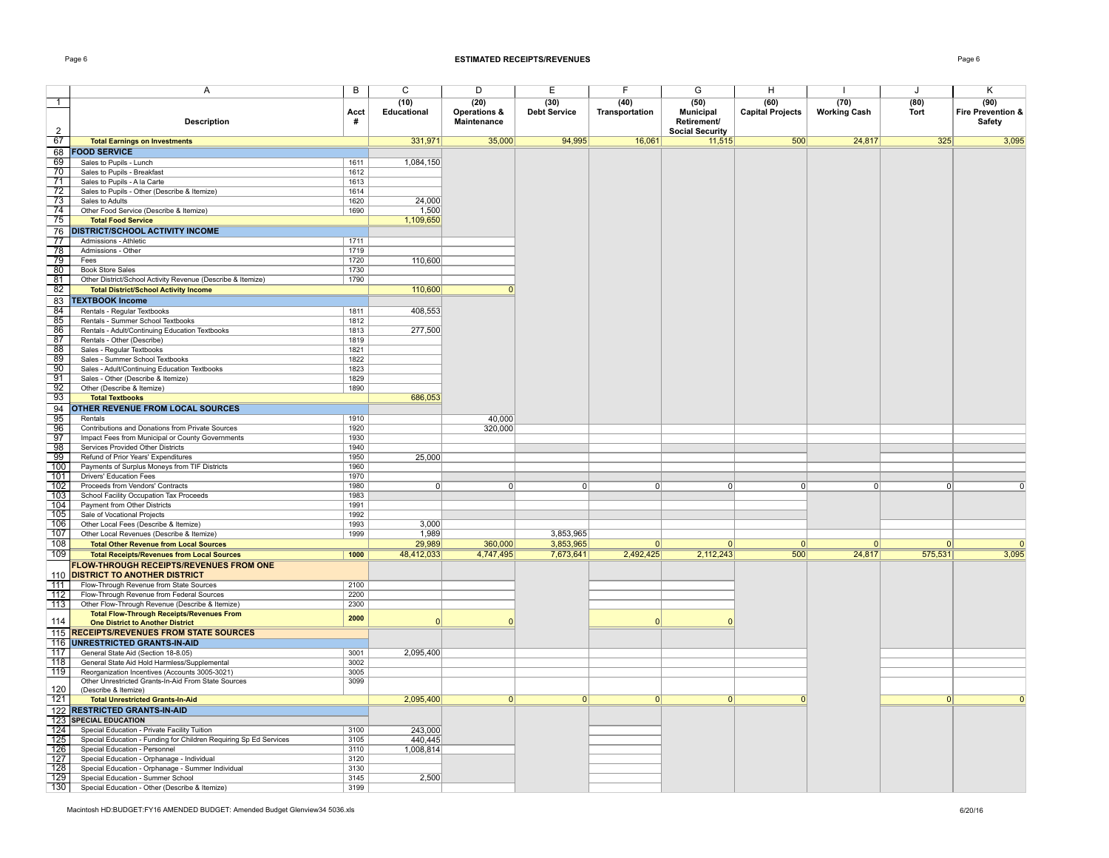### Page 6 **ESTIMATED RECEIPTS/REVENUES** Page 6

|--|--|

|                                      | A                                                                                                     | $\overline{B}$ | $\overline{C}$ | D                       | E                   | F              | G                      | H                       |                     | J        | κ                 |
|--------------------------------------|-------------------------------------------------------------------------------------------------------|----------------|----------------|-------------------------|---------------------|----------------|------------------------|-------------------------|---------------------|----------|-------------------|
|                                      |                                                                                                       |                |                |                         |                     |                |                        | (60)                    |                     |          |                   |
| $\overline{1}$                       |                                                                                                       |                | (10)           | (20)                    | (30)                | (40)           | (50)                   |                         | (70)                | (80)     | (90)              |
|                                      |                                                                                                       | Acct           | Educational    | <b>Operations &amp;</b> | <b>Debt Service</b> | Transportation | <b>Municipal</b>       | <b>Capital Projects</b> | <b>Working Cash</b> | Tort     | Fire Prevention & |
|                                      | <b>Description</b>                                                                                    | #              |                | Maintenance             |                     |                | Retirement/            |                         |                     |          | Safety            |
| $\overline{2}$                       |                                                                                                       |                |                |                         |                     |                | <b>Social Security</b> |                         |                     |          |                   |
| 67                                   | <b>Total Earnings on Investments</b>                                                                  |                | 331,971        | 35,000                  | 94,995              | 16,061         | 11,515                 | 500                     | 24,817              | 325      | 3,095             |
| 68                                   | <b>FOOD SERVICE</b>                                                                                   |                |                |                         |                     |                |                        |                         |                     |          |                   |
| 69                                   | Sales to Pupils - Lunch                                                                               | 1611           | 1,084,150      |                         |                     |                |                        |                         |                     |          |                   |
| 70                                   | Sales to Pupils - Breakfast                                                                           | 1612           |                |                         |                     |                |                        |                         |                     |          |                   |
| $\overline{71}$                      | Sales to Pupils - A la Carte                                                                          | 1613           |                |                         |                     |                |                        |                         |                     |          |                   |
| $\frac{72}{73}$<br>$\frac{73}{74}$   | Sales to Pupils - Other (Describe & Itemize)                                                          | 1614           |                |                         |                     |                |                        |                         |                     |          |                   |
|                                      | Sales to Adults                                                                                       | 1620           | 24.000         |                         |                     |                |                        |                         |                     |          |                   |
|                                      | Other Food Service (Describe & Itemize)                                                               | 1690           | 1.500          |                         |                     |                |                        |                         |                     |          |                   |
| 75                                   | <b>Total Food Service</b>                                                                             |                | 1,109,650      |                         |                     |                |                        |                         |                     |          |                   |
|                                      | 76 DISTRICT/SCHOOL ACTIVITY INCOME                                                                    |                |                |                         |                     |                |                        |                         |                     |          |                   |
| 77                                   | Admissions - Athletic                                                                                 | 1711           |                |                         |                     |                |                        |                         |                     |          |                   |
| $\overline{78}$                      | Admissions - Other                                                                                    | 1719           |                |                         |                     |                |                        |                         |                     |          |                   |
| 79                                   | Fees                                                                                                  | 1720           | 110,600        |                         |                     |                |                        |                         |                     |          |                   |
| 80                                   | <b>Book Store Sales</b>                                                                               | 1730           |                |                         |                     |                |                        |                         |                     |          |                   |
| 81                                   | Other District/School Activity Revenue (Describe & Itemize)                                           | 1790           |                |                         |                     |                |                        |                         |                     |          |                   |
| 82                                   |                                                                                                       |                | 110,600        | $\Omega$                |                     |                |                        |                         |                     |          |                   |
|                                      | <b>Total District/School Activity Income</b>                                                          |                |                |                         |                     |                |                        |                         |                     |          |                   |
|                                      | 83 TEXTBOOK Income                                                                                    |                |                |                         |                     |                |                        |                         |                     |          |                   |
| 84                                   | Rentals - Regular Textbooks                                                                           | 1811           | 408,553        |                         |                     |                |                        |                         |                     |          |                   |
| 85                                   | Rentals - Summer School Textbooks                                                                     | 1812           |                |                         |                     |                |                        |                         |                     |          |                   |
| 86                                   | Rentals - Adult/Continuing Education Textbooks                                                        | 1813           | 277,500        |                         |                     |                |                        |                         |                     |          |                   |
| 87                                   | Rentals - Other (Describe)                                                                            | 1819           |                |                         |                     |                |                        |                         |                     |          |                   |
| 88                                   | Sales - Regular Textbooks                                                                             | 1821           |                |                         |                     |                |                        |                         |                     |          |                   |
| 89                                   | Sales - Summer School Textbooks                                                                       | 1822           |                |                         |                     |                |                        |                         |                     |          |                   |
| $90-1$                               | Sales - Adult/Continuing Education Textbooks                                                          | 1823           |                |                         |                     |                |                        |                         |                     |          |                   |
| 91                                   | Sales - Other (Describe & Itemize)                                                                    | 1829           |                |                         |                     |                |                        |                         |                     |          |                   |
| 92                                   | Other (Describe & Itemize)                                                                            | 1890           |                |                         |                     |                |                        |                         |                     |          |                   |
| 93                                   | <b>Total Textbooks</b>                                                                                |                | 686,053        |                         |                     |                |                        |                         |                     |          |                   |
| 94                                   | OTHER REVENUE FROM LOCAL SOURCES                                                                      |                |                |                         |                     |                |                        |                         |                     |          |                   |
| $\frac{\frac{9}{95}}{\frac{96}{97}}$ | Rentals                                                                                               | 1910           |                | 40,000                  |                     |                |                        |                         |                     |          |                   |
|                                      | Contributions and Donations from Private Sources                                                      | 1920           |                | 320,000                 |                     |                |                        |                         |                     |          |                   |
|                                      | Impact Fees from Municipal or County Governments                                                      | 1930           |                |                         |                     |                |                        |                         |                     |          |                   |
|                                      | Services Provided Other Districts                                                                     | 1940           |                |                         |                     |                |                        |                         |                     |          |                   |
| $\frac{98}{99}$                      | Refund of Prior Years' Expenditures                                                                   | 1950           | 25,000         |                         |                     |                |                        |                         |                     |          |                   |
| 100                                  | Payments of Surplus Moneys from TIF Districts                                                         | 1960           |                |                         |                     |                |                        |                         |                     |          |                   |
| 101                                  | <b>Drivers' Education Fees</b>                                                                        | 1970           |                |                         |                     |                |                        |                         |                     |          |                   |
| 102                                  | Proceeds from Vendors' Contracts                                                                      | 1980           | $\Omega$       | $\Omega$                | $\Omega$            | $\Omega$       | 0                      | $\Omega$                | $\Omega$            | $\Omega$ | $\Omega$          |
| 103                                  | School Facility Occupation Tax Proceeds                                                               | 1983           |                |                         |                     |                |                        |                         |                     |          |                   |
| 104                                  | Payment from Other Districts                                                                          | 1991           |                |                         |                     |                |                        |                         |                     |          |                   |
| $\overline{105}$                     | Sale of Vocational Projects                                                                           | 1992           |                |                         |                     |                |                        |                         |                     |          |                   |
| 106                                  | Other Local Fees (Describe & Itemize)                                                                 | 1993           | 3,000          |                         |                     |                |                        |                         |                     |          |                   |
| 107                                  | Other Local Revenues (Describe & Itemize)                                                             | 1999           | 1,989          |                         | 3,853,965           |                |                        |                         |                     |          |                   |
| 108                                  | <b>Total Other Revenue from Local Sources</b>                                                         |                | 29.989         | 360,000                 | 3,853,965           | $\Omega$       | $\Omega$               | $\Omega$                | $\Omega$            | $\Omega$ | $\Omega$          |
| 109                                  | <b>Total Receipts/Revenues from Local Sources</b>                                                     | 1000           | 48,412,033     | 4,747,495               | 7,673,641           | 2,492,425      | 2,112,243              | 500                     | 24,817              | 575,531  | 3,095             |
|                                      |                                                                                                       |                |                |                         |                     |                |                        |                         |                     |          |                   |
|                                      | <b>FLOW-THROUGH RECEIPTS/REVENUES FROM ONE</b><br>110 DISTRICT TO ANOTHER DISTRICT                    |                |                |                         |                     |                |                        |                         |                     |          |                   |
| 711                                  |                                                                                                       |                |                |                         |                     |                |                        |                         |                     |          |                   |
|                                      | Flow-Through Revenue from State Sources                                                               | 2100<br>2200   |                |                         |                     |                |                        |                         |                     |          |                   |
| 112<br>113                           | Flow-Through Revenue from Federal Sources                                                             |                |                |                         |                     |                |                        |                         |                     |          |                   |
|                                      | Other Flow-Through Revenue (Describe & Itemize)                                                       | 2300           |                |                         |                     |                |                        |                         |                     |          |                   |
| 114                                  | <b>Total Flow-Through Receipts/Revenues From</b><br><b>One District to Another District</b>           | 2000           | $\Omega$       |                         |                     | $\Omega$       | $\Omega$               |                         |                     |          |                   |
|                                      | 115 RECEIPTS/REVENUES FROM STATE SOURCES                                                              |                |                |                         |                     |                |                        |                         |                     |          |                   |
|                                      |                                                                                                       |                |                |                         |                     |                |                        |                         |                     |          |                   |
| 117                                  | 116 UNRESTRICTED GRANTS-IN-AID                                                                        | 3001           | 2,095,400      |                         |                     |                |                        |                         |                     |          |                   |
| 118                                  | General State Aid (Section 18-8.05)                                                                   |                |                |                         |                     |                |                        |                         |                     |          |                   |
|                                      | General State Aid Hold Harmless/Supplemental                                                          | 3002<br>3005   |                |                         |                     |                |                        |                         |                     |          |                   |
| 119                                  | Reorganization Incentives (Accounts 3005-3021)<br>Other Unrestricted Grants-In-Aid From State Sources | 3099           |                |                         |                     |                |                        |                         |                     |          |                   |
| 120                                  | (Describe & Itemize)                                                                                  |                |                |                         |                     |                |                        |                         |                     |          |                   |
| 121                                  | <b>Total Unrestricted Grants-In-Aid</b>                                                               |                | 2,095,400      | 0                       | 0                   | 0              | 0                      | $\Omega$                |                     | 0        | $\Omega$          |
|                                      |                                                                                                       |                |                |                         |                     |                |                        |                         |                     |          |                   |
|                                      | 122 RESTRICTED GRANTS-IN-AID                                                                          |                |                |                         |                     |                |                        |                         |                     |          |                   |
| 124                                  | 123 SPECIAL EDUCATION                                                                                 |                | 243,000        |                         |                     |                |                        |                         |                     |          |                   |
|                                      | Special Education - Private Facility Tuition                                                          | 3100           |                |                         |                     |                |                        |                         |                     |          |                   |
| $\overline{125}$<br>126              | Special Education - Funding for Children Requiring Sp Ed Services                                     | 3105           | 440,445        |                         |                     |                |                        |                         |                     |          |                   |
| 127                                  | Special Education - Personnel                                                                         | 3110           | 1,008,814      |                         |                     |                |                        |                         |                     |          |                   |
|                                      | Special Education - Orphanage - Individual                                                            | 3120           |                |                         |                     |                |                        |                         |                     |          |                   |
| 128                                  | Special Education - Orphanage - Summer Individual                                                     | 3130           |                |                         |                     |                |                        |                         |                     |          |                   |
| 129                                  | Special Education - Summer School                                                                     | 3145           | 2,500          |                         |                     |                |                        |                         |                     |          |                   |
| 130                                  | Special Education - Other (Describe & Itemize)                                                        | 3199           |                |                         |                     |                |                        |                         |                     |          |                   |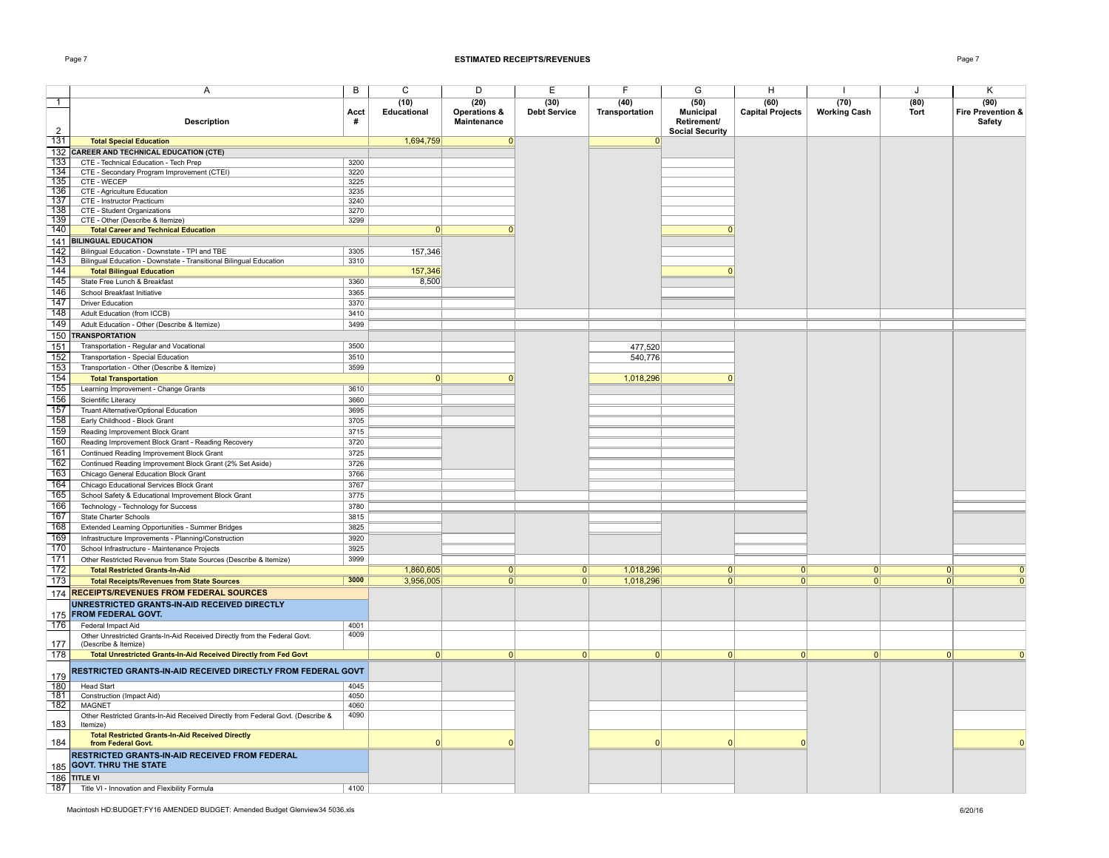### Page 7 **ESTIMATED RECEIPTS/REVENUES** Page 7

|                  | Α                                                                                                 | В            | C                   | D                                   | E                           | F                      | G                                       | H                               | ı.                          | J              | Κ                                   |
|------------------|---------------------------------------------------------------------------------------------------|--------------|---------------------|-------------------------------------|-----------------------------|------------------------|-----------------------------------------|---------------------------------|-----------------------------|----------------|-------------------------------------|
| $\mathbf{1}$     | <b>Description</b>                                                                                | Acct<br>#    | (10)<br>Educational | (20)<br>Operations &<br>Maintenance | (30)<br><b>Debt Service</b> | (40)<br>Transportation | (50)<br><b>Municipal</b><br>Retirement/ | (60)<br><b>Capital Projects</b> | (70)<br><b>Working Cash</b> | (80)<br>Tort   | (90)<br>Fire Prevention &<br>Safety |
| 2                |                                                                                                   |              |                     |                                     |                             |                        | <b>Social Security</b>                  |                                 |                             |                |                                     |
| 131              | <b>Total Special Education</b><br>132 CAREER AND TECHNICAL EDUCATION (CTE)                        |              | 1,694,759           | 0                                   |                             | 0                      |                                         |                                 |                             |                |                                     |
| 133              | CTE - Technical Education - Tech Prep                                                             | 3200         |                     |                                     |                             |                        |                                         |                                 |                             |                |                                     |
| 134              | CTE - Secondary Program Improvement (CTEI)                                                        | 3220         |                     |                                     |                             |                        |                                         |                                 |                             |                |                                     |
| 135              | CTE - WECEP                                                                                       | 3225         |                     |                                     |                             |                        |                                         |                                 |                             |                |                                     |
| 136              | CTE - Agriculture Education                                                                       | 3235         |                     |                                     |                             |                        |                                         |                                 |                             |                |                                     |
| $\overline{137}$ | CTE - Instructor Practicum                                                                        | 3240         |                     |                                     |                             |                        |                                         |                                 |                             |                |                                     |
| 138              | CTE - Student Organizations                                                                       | 3270         |                     |                                     |                             |                        |                                         |                                 |                             |                |                                     |
| 739              | CTE - Other (Describe & Itemize)                                                                  | 3299         | 0                   |                                     |                             |                        |                                         |                                 |                             |                |                                     |
| 140              | <b>Total Career and Technical Education</b><br>141 BILINGUAL EDUCATION                            |              |                     |                                     |                             |                        |                                         |                                 |                             |                |                                     |
| 142              | Bilingual Education - Downstate - TPI and TBE                                                     | 3305         | 157,346             |                                     |                             |                        |                                         |                                 |                             |                |                                     |
| 143              | Bilingual Education - Downstate - Transitional Bilingual Education                                | 3310         |                     |                                     |                             |                        |                                         |                                 |                             |                |                                     |
| 144              | <b>Total Bilingual Education</b>                                                                  |              | 157,346             |                                     |                             |                        |                                         |                                 |                             |                |                                     |
| 145              | State Free Lunch & Breakfast                                                                      | 3360         | 8,500               |                                     |                             |                        |                                         |                                 |                             |                |                                     |
| 146              | School Breakfast Initiative                                                                       | 3365         |                     |                                     |                             |                        |                                         |                                 |                             |                |                                     |
| 147              | <b>Driver Education</b>                                                                           | 3370         |                     |                                     |                             |                        |                                         |                                 |                             |                |                                     |
| 148              | Adult Education (from ICCB)                                                                       | 3410         |                     |                                     |                             |                        |                                         |                                 |                             |                |                                     |
| 149              | Adult Education - Other (Describe & Itemize)                                                      | 3499         |                     |                                     |                             |                        |                                         |                                 |                             |                |                                     |
|                  | 150 TRANSPORTATION                                                                                |              |                     |                                     |                             |                        |                                         |                                 |                             |                |                                     |
| 151              | Transportation - Regular and Vocational                                                           | 3500         |                     |                                     |                             | 477,520                |                                         |                                 |                             |                |                                     |
| 152              | Transportation - Special Education                                                                | 3510         |                     |                                     |                             | 540,776                |                                         |                                 |                             |                |                                     |
| 153              | Transportation - Other (Describe & Itemize)                                                       | 3599         |                     |                                     |                             |                        |                                         |                                 |                             |                |                                     |
| 154              | <b>Total Transportation</b>                                                                       |              | 0                   | $\Omega$                            |                             | 1,018,296              | $\Omega$                                |                                 |                             |                |                                     |
| 155              | Learning Improvement - Change Grants                                                              | 3610         |                     |                                     |                             |                        |                                         |                                 |                             |                |                                     |
| 156              | Scientific Literacy                                                                               | 3660         |                     |                                     |                             |                        |                                         |                                 |                             |                |                                     |
| 157              | Truant Alternative/Optional Education                                                             | 3695         |                     |                                     |                             |                        |                                         |                                 |                             |                |                                     |
| 158              | Early Childhood - Block Grant                                                                     | 3705         |                     |                                     |                             |                        |                                         |                                 |                             |                |                                     |
| 159              | Reading Improvement Block Grant                                                                   | 3715         |                     |                                     |                             |                        |                                         |                                 |                             |                |                                     |
| 160              | Reading Improvement Block Grant - Reading Recovery                                                | 3720         |                     |                                     |                             |                        |                                         |                                 |                             |                |                                     |
| 161              | Continued Reading Improvement Block Grant                                                         | 3725         |                     |                                     |                             |                        |                                         |                                 |                             |                |                                     |
| 162<br>163       | Continued Reading Improvement Block Grant (2% Set Aside)                                          | 3726         |                     |                                     |                             |                        |                                         |                                 |                             |                |                                     |
|                  | Chicago General Education Block Grant                                                             | 3766         |                     |                                     |                             |                        |                                         |                                 |                             |                |                                     |
| 164<br>165       | Chicago Educational Services Block Grant                                                          | 3767<br>3775 |                     |                                     |                             |                        |                                         |                                 |                             |                |                                     |
| 166              | School Safety & Educational Improvement Block Grant                                               | 3780         |                     |                                     |                             |                        |                                         |                                 |                             |                |                                     |
| 167              | Technology - Technology for Success<br>State Charter Schools                                      | 3815         |                     |                                     |                             |                        |                                         |                                 |                             |                |                                     |
| 168              | Extended Learning Opportunities - Summer Bridges                                                  | 3825         |                     |                                     |                             |                        |                                         |                                 |                             |                |                                     |
| 169              | Infrastructure Improvements - Planning/Construction                                               | 3920         |                     |                                     |                             |                        |                                         |                                 |                             |                |                                     |
| 170              | School Infrastructure - Maintenance Projects                                                      | 3925         |                     |                                     |                             |                        |                                         |                                 |                             |                |                                     |
| $\overline{171}$ | Other Restricted Revenue from State Sources (Describe & Itemize)                                  | 3999         |                     |                                     |                             |                        |                                         |                                 |                             |                |                                     |
| $\overline{172}$ | <b>Total Restricted Grants-In-Aid</b>                                                             |              | 1,860,605           | $\Omega$                            | $\overline{0 }$             | 1,018,296              | $\overline{0}$                          | $\overline{0}$                  | $\overline{0}$              | $\overline{0}$ |                                     |
| 173              | <b>Total Receipts/Revenues from State Sources</b>                                                 | 3000         | 3,956,005           | 0                                   | $\overline{0}$              | 1,018,296              | $\overline{0}$                          | $\overline{0}$                  | $\overline{0}$              | $\overline{0}$ | $\overline{0}$                      |
| 174              | <b>RECEIPTS/REVENUES FROM FEDERAL SOURCES</b>                                                     |              |                     |                                     |                             |                        |                                         |                                 |                             |                |                                     |
| 175              | UNRESTRICTED GRANTS-IN-AID RECEIVED DIRECTLY<br><b>FROM FEDERAL GOVT.</b>                         |              |                     |                                     |                             |                        |                                         |                                 |                             |                |                                     |
| 176              | Federal Impact Aid                                                                                | 4001         |                     |                                     |                             |                        |                                         |                                 |                             |                |                                     |
| 177              | Other Unrestricted Grants-In-Aid Received Directly from the Federal Govt.<br>(Describe & Itemize) | 4009         |                     |                                     |                             |                        |                                         |                                 |                             |                |                                     |
| 178              | Total Unrestricted Grants-In-Aid Received Directly from Fed Govt                                  |              | 0                   | $\Omega$                            | $\Omega$                    | 0                      | 0                                       | 0                               | 0                           | $\Omega$       | $\Omega$                            |
| 179              | RESTRICTED GRANTS-IN-AID RECEIVED DIRECTLY FROM FEDERAL GOVT                                      |              |                     |                                     |                             |                        |                                         |                                 |                             |                |                                     |
| 180<br>181       | <b>Head Start</b><br>Construction (Impact Aid)                                                    | 4045<br>4050 |                     |                                     |                             |                        |                                         |                                 |                             |                |                                     |
| 182              | <b>MAGNET</b>                                                                                     | 4060         |                     |                                     |                             |                        |                                         |                                 |                             |                |                                     |
| 183              | Other Restricted Grants-In-Aid Received Directly from Federal Govt. (Describe &<br>Itemize)       | 4090         |                     |                                     |                             |                        |                                         |                                 |                             |                |                                     |
| 184              | <b>Total Restricted Grants-In-Aid Received Directly</b><br>from Federal Govt.                     |              | $\Omega$            |                                     |                             | $\Omega$               | $\Omega$                                | $\Omega$                        |                             |                | $\Omega$                            |
|                  | RESTRICTED GRANTS-IN-AID RECEIVED FROM FEDERAL<br>185 GOVT. THRU THE STATE                        |              |                     |                                     |                             |                        |                                         |                                 |                             |                |                                     |
|                  | 186 TITLE VI                                                                                      |              |                     |                                     |                             |                        |                                         |                                 |                             |                |                                     |
|                  | 187   Title VI - Innovation and Flexibility Formula                                               | 4100         |                     |                                     |                             |                        |                                         |                                 |                             |                |                                     |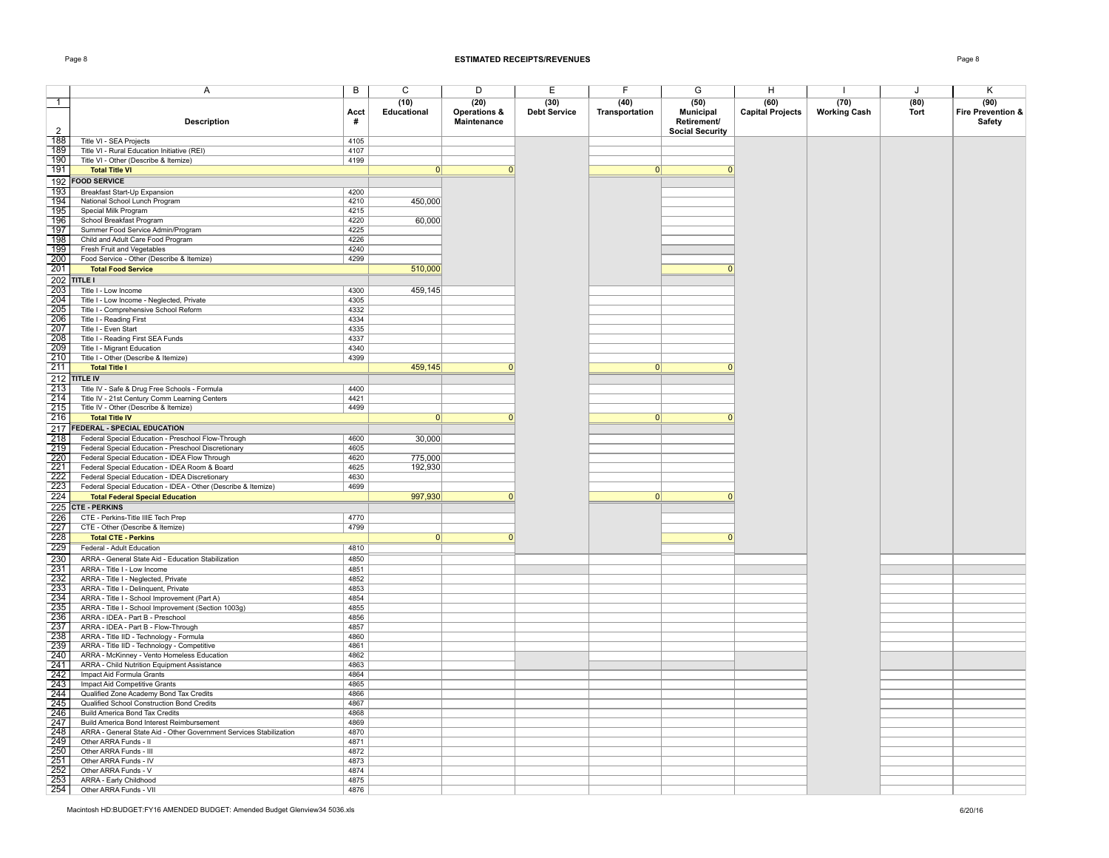### Page 8 **ESTIMATED RECEIPTS/REVENUES** Page 8

|                                                                                           | Α                                                                  | B    | $\overline{C}$ | D            | Е                   | F              | G                      | H                       |                     | J           | $\overline{\mathsf{K}}$ |
|-------------------------------------------------------------------------------------------|--------------------------------------------------------------------|------|----------------|--------------|---------------------|----------------|------------------------|-------------------------|---------------------|-------------|-------------------------|
|                                                                                           |                                                                    |      |                |              |                     |                |                        |                         |                     |             |                         |
| $\overline{1}$                                                                            |                                                                    |      | (10)           | (20)         | (30)                | (40)           | (50)                   | (60)                    | (70)                | (80)        | (90)                    |
|                                                                                           |                                                                    | Acct | Educational    | Operations & | <b>Debt Service</b> | Transportation | <b>Municipal</b>       | <b>Capital Projects</b> | <b>Working Cash</b> | <b>Tort</b> | Fire Prevention &       |
|                                                                                           | <b>Description</b>                                                 | #    |                | Maintenance  |                     |                | Retirement/            |                         |                     |             | Safety                  |
| 2                                                                                         |                                                                    |      |                |              |                     |                | <b>Social Security</b> |                         |                     |             |                         |
| 188                                                                                       |                                                                    |      |                |              |                     |                |                        |                         |                     |             |                         |
|                                                                                           | Title VI - SEA Projects                                            | 4105 |                |              |                     |                |                        |                         |                     |             |                         |
| 189                                                                                       | Title VI - Rural Education Initiative (REI)                        | 4107 |                |              |                     |                |                        |                         |                     |             |                         |
| 190                                                                                       | Title VI - Other (Describe & Itemize)                              | 4199 |                |              |                     |                |                        |                         |                     |             |                         |
| 191                                                                                       | <b>Total Title VI</b>                                              |      | $\Omega$       | $\Omega$     |                     | $\Omega$       | $\Omega$               |                         |                     |             |                         |
|                                                                                           | 192 FOOD SERVICE                                                   |      |                |              |                     |                |                        |                         |                     |             |                         |
|                                                                                           |                                                                    |      |                |              |                     |                |                        |                         |                     |             |                         |
| 193                                                                                       | Breakfast Start-Up Expansion                                       | 4200 |                |              |                     |                |                        |                         |                     |             |                         |
| 194                                                                                       | National School Lunch Program                                      | 4210 | 450,000        |              |                     |                |                        |                         |                     |             |                         |
| 195                                                                                       | Special Milk Program                                               | 4215 |                |              |                     |                |                        |                         |                     |             |                         |
| 196                                                                                       | School Breakfast Program                                           | 4220 | 60,000         |              |                     |                |                        |                         |                     |             |                         |
| 197                                                                                       | Summer Food Service Admin/Program                                  | 4225 |                |              |                     |                |                        |                         |                     |             |                         |
| 198                                                                                       | Child and Adult Care Food Program                                  | 4226 |                |              |                     |                |                        |                         |                     |             |                         |
| 199                                                                                       |                                                                    |      |                |              |                     |                |                        |                         |                     |             |                         |
|                                                                                           | Fresh Fruit and Vegetables                                         | 4240 |                |              |                     |                |                        |                         |                     |             |                         |
| 200                                                                                       | Food Service - Other (Describe & Itemize)                          | 4299 |                |              |                     |                |                        |                         |                     |             |                         |
| 201                                                                                       | <b>Total Food Service</b>                                          |      | 510,000        |              |                     |                | n                      |                         |                     |             |                         |
|                                                                                           | 202 TITLE I                                                        |      |                |              |                     |                |                        |                         |                     |             |                         |
| 203                                                                                       |                                                                    | 4300 |                |              |                     |                |                        |                         |                     |             |                         |
|                                                                                           | Title I - Low Income                                               |      | 459,145        |              |                     |                |                        |                         |                     |             |                         |
| 204                                                                                       | Title I - Low Income - Neglected, Private                          | 4305 |                |              |                     |                |                        |                         |                     |             |                         |
| 205                                                                                       | Title I - Comprehensive School Reform                              | 4332 |                |              |                     |                |                        |                         |                     |             |                         |
| 206                                                                                       | Title I - Reading First                                            | 4334 |                |              |                     |                |                        |                         |                     |             |                         |
| 207                                                                                       | Title I - Even Start                                               | 4335 |                |              |                     |                |                        |                         |                     |             |                         |
| $\overline{208}$                                                                          | Title I - Reading First SEA Funds                                  | 4337 |                |              |                     |                |                        |                         |                     |             |                         |
| $\frac{1}{209}$                                                                           | Title I - Migrant Education                                        | 4340 |                |              |                     |                |                        |                         |                     |             |                         |
| 210                                                                                       |                                                                    | 4399 |                |              |                     |                |                        |                         |                     |             |                         |
|                                                                                           | Title I - Other (Describe & Itemize)                               |      |                |              |                     |                |                        |                         |                     |             |                         |
| 211                                                                                       | <b>Total Title I</b>                                               |      | 459,145        | $\Omega$     |                     | 0              | $\Omega$               |                         |                     |             |                         |
|                                                                                           | 212 TITLE IV                                                       |      |                |              |                     |                |                        |                         |                     |             |                         |
| 213                                                                                       | Title IV - Safe & Drug Free Schools - Formula                      | 4400 |                |              |                     |                |                        |                         |                     |             |                         |
| 214                                                                                       | Title IV - 21st Century Comm Learning Centers                      | 4421 |                |              |                     |                |                        |                         |                     |             |                         |
|                                                                                           |                                                                    | 4499 |                |              |                     |                |                        |                         |                     |             |                         |
| 215                                                                                       | Title IV - Other (Describe & Itemize)                              |      |                |              |                     |                |                        |                         |                     |             |                         |
| 216                                                                                       | <b>Total Title IV</b>                                              |      | $\overline{0}$ | $\Omega$     |                     | $\Omega$       | $\Omega$               |                         |                     |             |                         |
|                                                                                           | 217 FEDERAL - SPECIAL EDUCATION                                    |      |                |              |                     |                |                        |                         |                     |             |                         |
| $\begin{array}{r}\n 218 \\  \hline\n 219 \\  \hline\n 220 \\  \hline\n 221\n \end{array}$ | Federal Special Education - Preschool Flow-Through                 | 4600 | 30,000         |              |                     |                |                        |                         |                     |             |                         |
|                                                                                           | Federal Special Education - Preschool Discretionary                | 4605 |                |              |                     |                |                        |                         |                     |             |                         |
|                                                                                           |                                                                    |      | 775,000        |              |                     |                |                        |                         |                     |             |                         |
|                                                                                           | Federal Special Education - IDEA Flow Through                      | 4620 |                |              |                     |                |                        |                         |                     |             |                         |
|                                                                                           | Federal Special Education - IDEA Room & Board                      | 4625 | 192,930        |              |                     |                |                        |                         |                     |             |                         |
| 222                                                                                       | Federal Special Education - IDEA Discretionary                     | 4630 |                |              |                     |                |                        |                         |                     |             |                         |
| 223                                                                                       | Federal Special Education - IDEA - Other (Describe & Itemize)      | 4699 |                |              |                     |                |                        |                         |                     |             |                         |
| 224                                                                                       | <b>Total Federal Special Education</b>                             |      | 997,930        | $\Omega$     |                     | $\Omega$       | $\Omega$               |                         |                     |             |                         |
|                                                                                           | 225 CTE - PERKINS                                                  |      |                |              |                     |                |                        |                         |                     |             |                         |
|                                                                                           |                                                                    |      |                |              |                     |                |                        |                         |                     |             |                         |
| 226                                                                                       | CTE - Perkins-Title IIIE Tech Prep                                 | 4770 |                |              |                     |                |                        |                         |                     |             |                         |
| 227                                                                                       | CTE - Other (Describe & Itemize)                                   | 4799 |                |              |                     |                |                        |                         |                     |             |                         |
| 228                                                                                       | <b>Total CTE - Perkins</b>                                         |      | 0              | $\Omega$     |                     |                | $\Omega$               |                         |                     |             |                         |
| 229                                                                                       | Federal - Adult Education                                          | 4810 |                |              |                     |                |                        |                         |                     |             |                         |
|                                                                                           | ARRA - General State Aid - Education Stabilization                 | 4850 |                |              |                     |                |                        |                         |                     |             |                         |
| $\frac{230}{231}$<br>$\frac{232}{232}$                                                    |                                                                    |      |                |              |                     |                |                        |                         |                     |             |                         |
|                                                                                           | ARRA - Title I - Low Income                                        | 4851 |                |              |                     |                |                        |                         |                     |             |                         |
|                                                                                           | ARRA - Title I - Neglected, Private                                | 4852 |                |              |                     |                |                        |                         |                     |             |                         |
|                                                                                           | ARRA - Title I - Delinquent, Private                               | 4853 |                |              |                     |                |                        |                         |                     |             |                         |
|                                                                                           | ARRA - Title I - School Improvement (Part A)                       | 4854 |                |              |                     |                |                        |                         |                     |             |                         |
| $\frac{232}{233}$ $\frac{233}{235}$ $\frac{236}{237}$ $\frac{237}{238}$ $\frac{238}{239}$ | ARRA - Title I - School Improvement (Section 1003g)                | 4855 |                |              |                     |                |                        |                         |                     |             |                         |
|                                                                                           | ARRA - IDEA - Part B - Preschool                                   | 4856 |                |              |                     |                |                        |                         |                     |             |                         |
|                                                                                           | ARRA - IDEA - Part B - Flow-Through                                | 4857 |                |              |                     |                |                        |                         |                     |             |                         |
|                                                                                           |                                                                    | 4860 |                |              |                     |                |                        |                         |                     |             |                         |
|                                                                                           | ARRA - Title IID - Technology - Formula                            |      |                |              |                     |                |                        |                         |                     |             |                         |
|                                                                                           | ARRA - Title IID - Technology - Competitive                        | 4861 |                |              |                     |                |                        |                         |                     |             |                         |
| 240                                                                                       | ARRA - McKinney - Vento Homeless Education                         | 4862 |                |              |                     |                |                        |                         |                     |             |                         |
| 241                                                                                       | ARRA - Child Nutrition Equipment Assistance                        | 4863 |                |              |                     |                |                        |                         |                     |             |                         |
| 242                                                                                       | Impact Aid Formula Grants                                          | 4864 |                |              |                     |                |                        |                         |                     |             |                         |
| 243                                                                                       | Impact Aid Competitive Grants                                      | 4865 |                |              |                     |                |                        |                         |                     |             |                         |
| 244                                                                                       | Qualified Zone Academy Bond Tax Credits                            | 4866 |                |              |                     |                |                        |                         |                     |             |                         |
|                                                                                           | Qualified School Construction Bond Credits                         | 4867 |                |              |                     |                |                        |                         |                     |             |                         |
|                                                                                           |                                                                    |      |                |              |                     |                |                        |                         |                     |             |                         |
| $\frac{245}{246}$<br>246                                                                  | Build America Bond Tax Credits                                     | 4868 |                |              |                     |                |                        |                         |                     |             |                         |
|                                                                                           | Build America Bond Interest Reimbursement                          | 4869 |                |              |                     |                |                        |                         |                     |             |                         |
| $\frac{248}{249}$<br>249                                                                  | ARRA - General State Aid - Other Government Services Stabilization | 4870 |                |              |                     |                |                        |                         |                     |             |                         |
|                                                                                           | Other ARRA Funds - II                                              | 4871 |                |              |                     |                |                        |                         |                     |             |                         |
|                                                                                           | Other ARRA Funds - III                                             | 4872 |                |              |                     |                |                        |                         |                     |             |                         |
| 251                                                                                       | Other ARRA Funds - IV                                              | 4873 |                |              |                     |                |                        |                         |                     |             |                         |
| $\overline{252}$                                                                          | Other ARRA Funds - V                                               | 4874 |                |              |                     |                |                        |                         |                     |             |                         |
|                                                                                           |                                                                    |      |                |              |                     |                |                        |                         |                     |             |                         |
| $\frac{253}{254}$                                                                         | ARRA - Early Childhood                                             | 4875 |                |              |                     |                |                        |                         |                     |             |                         |
|                                                                                           | Other ARRA Funds - VII                                             | 4876 |                |              |                     |                |                        |                         |                     |             |                         |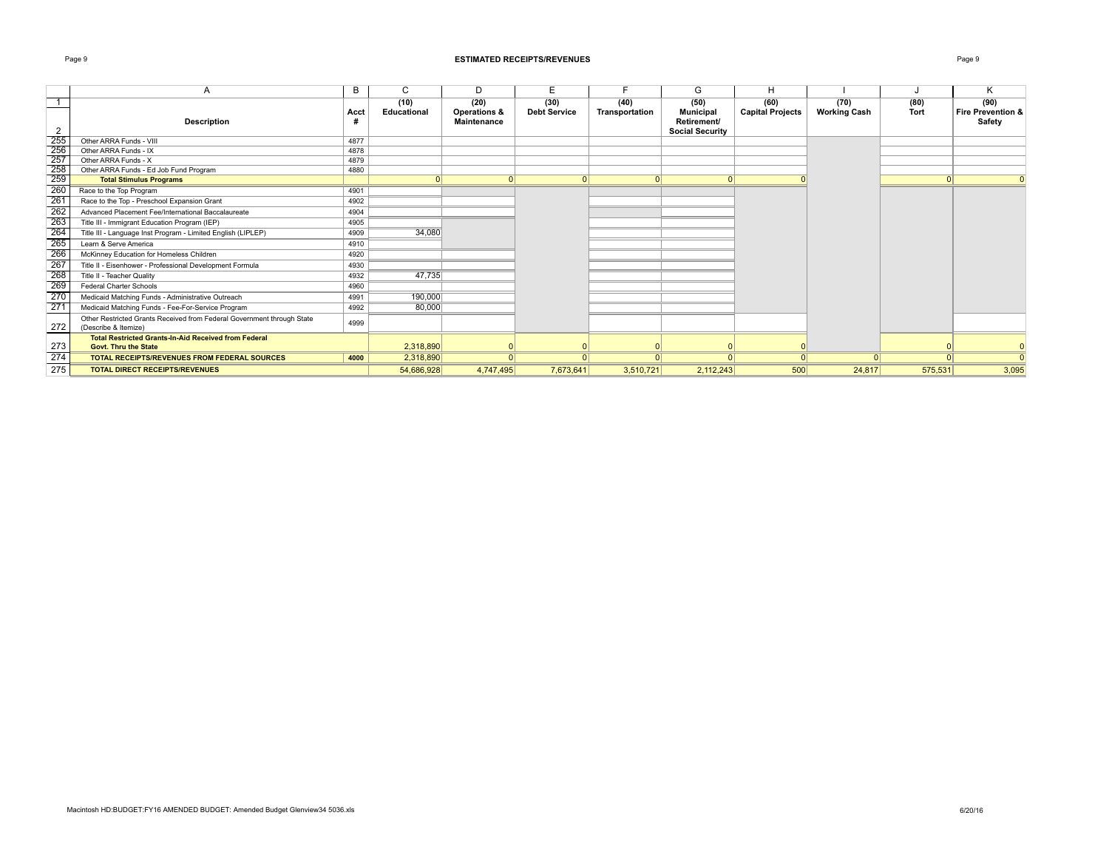### Page 9 **ESTIMATED RECEIPTS/REVENUES** Page 9

|     | A                                                                                              | B    | C                   | D                                                     | E.                          |                        | G                                                                 | H                               |                             |              | Κ                                              |
|-----|------------------------------------------------------------------------------------------------|------|---------------------|-------------------------------------------------------|-----------------------------|------------------------|-------------------------------------------------------------------|---------------------------------|-----------------------------|--------------|------------------------------------------------|
| 2   | <b>Description</b>                                                                             | Acct | (10)<br>Educational | (20)<br><b>Operations &amp;</b><br><b>Maintenance</b> | (30)<br><b>Debt Service</b> | (40)<br>Transportation | (50)<br><b>Municipal</b><br>Retirement/<br><b>Social Security</b> | (60)<br><b>Capital Projects</b> | (70)<br><b>Working Cash</b> | (80)<br>Tort | (90)<br><b>Fire Prevention &amp;</b><br>Safety |
| 255 | Other ARRA Funds - VIII                                                                        | 4877 |                     |                                                       |                             |                        |                                                                   |                                 |                             |              |                                                |
| 256 | Other ARRA Funds - IX                                                                          | 4878 |                     |                                                       |                             |                        |                                                                   |                                 |                             |              |                                                |
| 257 | Other ARRA Funds - X                                                                           | 4879 |                     |                                                       |                             |                        |                                                                   |                                 |                             |              |                                                |
| 258 | Other ARRA Funds - Ed Job Fund Program                                                         | 4880 |                     |                                                       |                             |                        |                                                                   |                                 |                             |              |                                                |
| 259 | <b>Total Stimulus Programs</b>                                                                 |      |                     | 0                                                     | $\Omega$                    | $\Omega$               | 0                                                                 |                                 |                             |              |                                                |
| 260 | Race to the Top Program                                                                        | 4901 |                     |                                                       |                             |                        |                                                                   |                                 |                             |              |                                                |
| 261 | Race to the Top - Preschool Expansion Grant                                                    | 4902 |                     |                                                       |                             |                        |                                                                   |                                 |                             |              |                                                |
| 262 | Advanced Placement Fee/International Baccalaureate                                             | 4904 |                     |                                                       |                             |                        |                                                                   |                                 |                             |              |                                                |
| 263 | Title III - Immigrant Education Program (IEP)                                                  | 4905 |                     |                                                       |                             |                        |                                                                   |                                 |                             |              |                                                |
| 264 | Title III - Language Inst Program - Limited English (LIPLEP)                                   | 4909 | 34,080              |                                                       |                             |                        |                                                                   |                                 |                             |              |                                                |
| 265 | Learn & Serve America                                                                          | 4910 |                     |                                                       |                             |                        |                                                                   |                                 |                             |              |                                                |
| 266 | McKinney Education for Homeless Children                                                       | 4920 |                     |                                                       |                             |                        |                                                                   |                                 |                             |              |                                                |
| 267 | Title II - Eisenhower - Professional Development Formula                                       | 4930 |                     |                                                       |                             |                        |                                                                   |                                 |                             |              |                                                |
| 268 | Title II - Teacher Quality                                                                     | 4932 | 47,735              |                                                       |                             |                        |                                                                   |                                 |                             |              |                                                |
| 269 | <b>Federal Charter Schools</b>                                                                 | 4960 |                     |                                                       |                             |                        |                                                                   |                                 |                             |              |                                                |
| 270 | Medicaid Matching Funds - Administrative Outreach                                              | 4991 | 190,000             |                                                       |                             |                        |                                                                   |                                 |                             |              |                                                |
| 271 | Medicaid Matching Funds - Fee-For-Service Program                                              | 4992 | 80,000              |                                                       |                             |                        |                                                                   |                                 |                             |              |                                                |
| 272 | Other Restricted Grants Received from Federal Government through State<br>(Describe & Itemize) | 4999 |                     |                                                       |                             |                        |                                                                   |                                 |                             |              |                                                |
| 273 | <b>Total Restricted Grants-In-Aid Received from Federal</b><br><b>Govt. Thru the State</b>     |      | 2,318,890           |                                                       |                             |                        |                                                                   |                                 |                             |              |                                                |
| 274 | <b>TOTAL RECEIPTS/REVENUES FROM FEDERAL SOURCES</b>                                            | 4000 | 2,318,890           | 0                                                     |                             |                        | 0                                                                 | $\Omega$                        | $\Omega$                    |              | $\Omega$                                       |
| 275 | <b>TOTAL DIRECT RECEIPTS/REVENUES</b>                                                          |      | 54.686.928          | 4,747,495                                             | 7,673,641                   | 3,510,721              | 2,112,243                                                         | 500                             | 24,817                      | 575,531      | 3,095                                          |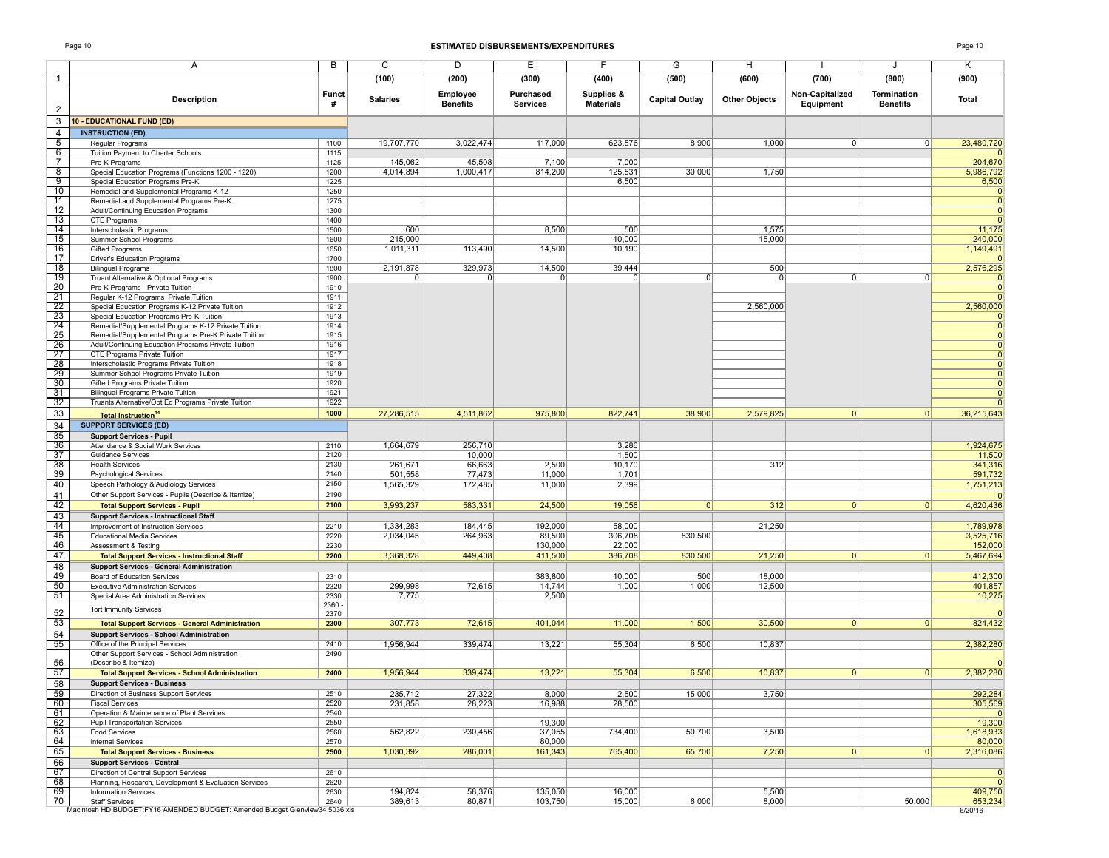### Page 10 **ESTIMATED DISBURSEMENTS/EXPENDITURES** Page 10

|                                                                                                                       | Α                                                                                                       | B              | $\overline{C}$  | D                           | E                            | F                              | G                     | н                    |                              | J                              | Κ                    |
|-----------------------------------------------------------------------------------------------------------------------|---------------------------------------------------------------------------------------------------------|----------------|-----------------|-----------------------------|------------------------------|--------------------------------|-----------------------|----------------------|------------------------------|--------------------------------|----------------------|
| $\mathbf{1}$                                                                                                          |                                                                                                         |                | (100)           | (200)                       | (300)                        | (400)                          | (500)                 | (600)                | (700)                        | (800)                          | (900)                |
| $\overline{2}$                                                                                                        | <b>Description</b>                                                                                      | Funct<br>#     | <b>Salaries</b> | Employee<br><b>Benefits</b> | Purchased<br><b>Services</b> | Supplies &<br><b>Materials</b> | <b>Capital Outlay</b> | <b>Other Objects</b> | Non-Capitalized<br>Equipment | Termination<br><b>Benefits</b> | Total                |
| 3                                                                                                                     | 10 - EDUCATIONAL FUND (ED)                                                                              |                |                 |                             |                              |                                |                       |                      |                              |                                |                      |
| $\overline{4}$                                                                                                        | <b>INSTRUCTION (ED)</b>                                                                                 |                |                 |                             |                              |                                |                       |                      |                              |                                |                      |
| $\frac{5}{6}$                                                                                                         | Regular Programs                                                                                        | 1100           | 19,707,770      | 3,022,474                   | 117,000                      | 623,576                        | 8,900                 | 1,000                | 0                            | 0                              | 23,480,720           |
|                                                                                                                       | Tuition Payment to Charter Schools                                                                      | 1115<br>1125   | 145,062         | 45,508                      | 7,100                        | 7,000                          |                       |                      |                              |                                | 204,670              |
| $\frac{8}{ }$                                                                                                         | Pre-K Programs<br>Special Education Programs (Functions 1200 - 1220)                                    | 1200           | 4,014,894       | 1,000,417                   | 814,200                      | 125,531                        | 30,000                | 1,750                |                              |                                | 5,986,792            |
|                                                                                                                       | Special Education Programs Pre-K                                                                        | 1225           |                 |                             |                              | 6,500                          |                       |                      |                              |                                | 6,500                |
| $\frac{9}{10}$<br>$\frac{10}{11}$                                                                                     | Remedial and Supplemental Programs K-12                                                                 | 1250           |                 |                             |                              |                                |                       |                      |                              |                                |                      |
|                                                                                                                       | Remedial and Supplemental Programs Pre-K                                                                | 1275           |                 |                             |                              |                                |                       |                      |                              |                                |                      |
|                                                                                                                       | Adult/Continuing Education Programs<br>CTE Programs                                                     | 1300<br>1400   |                 |                             |                              |                                |                       |                      |                              |                                |                      |
| $\frac{12}{13}$<br>$\frac{13}{14}$                                                                                    | Interscholastic Programs                                                                                | 1500           | 600             |                             | 8,500                        | 500                            |                       | 1,575                |                              |                                | 11,175               |
| $\frac{1}{15}$                                                                                                        | Summer School Programs                                                                                  | 1600           | 215,000         |                             |                              | 10,000                         |                       | 15,000               |                              |                                | 240,000              |
| 16                                                                                                                    | Gifted Programs                                                                                         | 1650           | 1,011,311       | 113,490                     | 14,500                       | 10,190                         |                       |                      |                              |                                | 1,149,491            |
| 17                                                                                                                    | Driver's Education Programs<br><b>Bilingual Programs</b>                                                | 1700<br>1800   | 2,191,878       | 329,973                     | 14,500                       | 39,444                         |                       | 500                  |                              |                                | 2,576,295            |
| $\begin{array}{r}\n 18 \\  \hline\n 19 \\  \hline\n 20 \\  \hline\n 21 \\  \hline\n 22 \\  \hline\n 23\n \end{array}$ | Truant Alternative & Optional Programs                                                                  | 1900           | $\Omega$        | $\Omega$                    | $\Omega$                     | $\Omega$                       | $\Omega$              | $\Omega$             | 0                            | $\Omega$                       |                      |
|                                                                                                                       | Pre-K Programs - Private Tuition                                                                        | 1910           |                 |                             |                              |                                |                       |                      |                              |                                |                      |
|                                                                                                                       | Regular K-12 Programs Private Tuition                                                                   | 1911           |                 |                             |                              |                                |                       |                      |                              |                                |                      |
|                                                                                                                       | Special Education Programs K-12 Private Tuition<br>Special Education Programs Pre-K Tuition             | 1912<br>1913   |                 |                             |                              |                                |                       | 2,560,000            |                              |                                | 2,560,000            |
|                                                                                                                       | Remedial/Supplemental Programs K-12 Private Tuition                                                     | 1914           |                 |                             |                              |                                |                       |                      |                              |                                | $\Omega$             |
| $\frac{24}{25}$<br>$\frac{25}{26}$                                                                                    | Remedial/Supplemental Programs Pre-K Private Tuition                                                    | 1915           |                 |                             |                              |                                |                       |                      |                              |                                | $\Omega$             |
|                                                                                                                       | Adult/Continuing Education Programs Private Tuition                                                     | 1916           |                 |                             |                              |                                |                       |                      |                              |                                | $\Omega$             |
| 27                                                                                                                    | CTE Programs Private Tuition<br>Interscholastic Programs Private Tuition                                | 1917<br>1918   |                 |                             |                              |                                |                       |                      |                              |                                | $\Omega$<br>$\Omega$ |
| $\begin{array}{r}\n 28 \\  \hline\n 29 \\  \hline\n 30\n \end{array}$                                                 | Summer School Programs Private Tuition                                                                  | 1919           |                 |                             |                              |                                |                       |                      |                              |                                | $\Omega$             |
|                                                                                                                       | Gifted Programs Private Tuition                                                                         | 1920           |                 |                             |                              |                                |                       |                      |                              |                                | $\Omega$             |
| $\overline{31}$                                                                                                       | <b>Bilingual Programs Private Tuition</b>                                                               | 1921           |                 |                             |                              |                                |                       |                      |                              |                                |                      |
| $\overline{32}$                                                                                                       | Truants Alternative/Opt Ed Programs Private Tuition                                                     | 1922           |                 |                             |                              |                                |                       |                      |                              |                                |                      |
| 33                                                                                                                    | <b>Total Instruction<sup>14</sup></b>                                                                   | 1000           | 27,286,515      | 4,511,862                   | 975,800                      | 822,741                        | 38,900                | 2,579,825            | 0                            | 0                              | 36,215,643           |
| $\frac{34}{35}$                                                                                                       | <b>SUPPORT SERVICES (ED)</b>                                                                            |                |                 |                             |                              |                                |                       |                      |                              |                                |                      |
| $\overline{36}$                                                                                                       | <b>Support Services - Pupil</b><br>Attendance & Social Work Services                                    | 2110           | 1,664,679       | 256,710                     |                              | 3,286                          |                       |                      |                              |                                | 1,924,675            |
| 37                                                                                                                    | <b>Guidance Services</b>                                                                                | 2120           |                 | 10,000                      |                              | 1,500                          |                       |                      |                              |                                | 11,500               |
| $\frac{5}{38}$                                                                                                        | <b>Health Services</b>                                                                                  | 2130           | 261,671         | 66,663                      | 2,500                        | 10,170                         |                       | 312                  |                              |                                | 341,316              |
| 39                                                                                                                    | <b>Psychological Services</b>                                                                           | 2140           | 501,558         | 77,473                      | 11,000                       | 1,701                          |                       |                      |                              |                                | 591,732              |
| 40<br>41                                                                                                              | Speech Pathology & Audiology Services<br>Other Support Services - Pupils (Describe & Itemize)           | 2150<br>2190   | 1,565,329       | 172,485                     | 11,000                       | 2,399                          |                       |                      |                              |                                | 1,751,213            |
| 42                                                                                                                    | <b>Total Support Services - Pupil</b>                                                                   | 2100           | 3,993,237       | 583,331                     | 24,500                       | 19,056                         | 0                     | 312                  | 0                            | 0                              | 4,620,436            |
| 43                                                                                                                    | <b>Support Services - Instructional Staff</b>                                                           |                |                 |                             |                              |                                |                       |                      |                              |                                |                      |
| 44                                                                                                                    | Improvement of Instruction Services                                                                     | 2210           | 1,334,283       | 184,445                     | 192,000                      | 58,000                         |                       | 21,250               |                              |                                | 1,789,978            |
| $\frac{1}{45}$                                                                                                        | <b>Educational Media Services</b>                                                                       | 2220           | 2,034,045       | 264,963                     | 89,500                       | 306,708                        | 830,500               |                      |                              |                                | 3,525,716            |
| 46<br>47                                                                                                              | Assessment & Testing                                                                                    | 2230           |                 |                             | 130,000                      | 22,000                         |                       |                      | $\Omega$                     |                                | 152,000              |
| 48                                                                                                                    | <b>Total Support Services - Instructional Staff</b><br><b>Support Services - General Administration</b> | 2200           | 3,368,328       | 449,408                     | 411,500                      | 386,708                        | 830,500               | 21,250               |                              | 0                              | 5,467,694            |
| 49                                                                                                                    | Board of Education Services                                                                             | 2310           |                 |                             | 383,800                      | 10,000                         | 500                   | 18,000               |                              |                                | 412,300              |
| 50                                                                                                                    | <b>Executive Administration Services</b>                                                                | 2320           | 299,998         | 72,615                      | 14,744                       | 1,000                          | 1,000                 | 12,500               |                              |                                | 401,857              |
| 51                                                                                                                    | Special Area Administration Services                                                                    | 2330           | 7,775           |                             | 2,500                        |                                |                       |                      |                              |                                | 10,275               |
| 52                                                                                                                    | <b>Tort Immunity Services</b>                                                                           | 2360 -<br>2370 |                 |                             |                              |                                |                       |                      |                              |                                |                      |
| 53                                                                                                                    | <b>Total Support Services - General Administration</b>                                                  | 2300           | 307,773         | 72,615                      | 401,044                      | 11,000                         | 1,500                 | 30,500               | $\Omega$                     | 0                              | 824,432              |
| 54                                                                                                                    | <b>Support Services - School Administration</b>                                                         |                |                 |                             |                              |                                |                       |                      |                              |                                |                      |
| 55                                                                                                                    | Office of the Principal Services                                                                        | 2410           | 1,956,944       | 339,474                     | 13,221                       | 55,304                         | 6,500                 | 10,837               |                              |                                | 2,382,280            |
| 56                                                                                                                    | Other Support Services - School Administration<br>(Describe & Itemize)                                  | 2490           |                 |                             |                              |                                |                       |                      |                              |                                |                      |
| 57                                                                                                                    | <b>Total Support Services - School Administration</b>                                                   | 2400           | 1,956,944       | 339,474                     | 13,221                       | 55,304                         | 6,500                 | 10,837               | $\Omega$                     | $\mathbf{0}$                   | 2,382,280            |
| 58                                                                                                                    | <b>Support Services - Business</b>                                                                      |                |                 |                             |                              |                                |                       |                      |                              |                                |                      |
| 59                                                                                                                    | Direction of Business Support Services                                                                  | 2510           | 235,712         | 27,322                      | 8,000                        | 2,500                          | 15,000                | 3,750                |                              |                                | 292,284              |
| 60<br>61                                                                                                              | <b>Fiscal Services</b><br>Operation & Maintenance of Plant Services                                     | 2520<br>2540   | 231,858         | 28,223                      | 16,988                       | 28,500                         |                       |                      |                              |                                | 305,569              |
| 62                                                                                                                    | <b>Pupil Transportation Services</b>                                                                    | 2550           |                 |                             | 19,300                       |                                |                       |                      |                              |                                | 19,300               |
| 63                                                                                                                    | <b>Food Services</b>                                                                                    | 2560           | 562,822         | 230,456                     | 37,055                       | 734,400                        | 50,700                | 3,500                |                              |                                | 1,618,933            |
| 64                                                                                                                    | <b>Internal Services</b>                                                                                | 2570           |                 |                             | 80,000                       |                                |                       |                      |                              |                                | 80,000               |
| 65                                                                                                                    | <b>Total Support Services - Business</b>                                                                | 2500           | 1,030,392       | 286,001                     | 161,343                      | 765,400                        | 65,700                | 7,250                | 0                            | 0                              | 2,316,086            |
| 66<br>67                                                                                                              | <b>Support Services - Central</b><br>Direction of Central Support Services                              | 2610           |                 |                             |                              |                                |                       |                      |                              |                                | $\overline{0}$       |
| 68                                                                                                                    | Planning, Research, Development & Evaluation Services                                                   | 2620           |                 |                             |                              |                                |                       |                      |                              |                                | $\overline{0}$       |
| 69                                                                                                                    | <b>Information Services</b>                                                                             | 2630           | 194,824         | 58,376                      | 135,050                      | 16,000                         |                       | 5,500                |                              |                                | 409,750              |
| 70                                                                                                                    | <b>Staff Services</b><br>Macintosh HD:BUDGET:FY16 AMENDED BUDGET: Amended Budget Glenview34 5036.xls    | 2640           | 389,613         | 80,871                      | 103,750                      | 15,000                         | 6,000                 | 8,000                |                              | 50,000                         | 653,234<br>6/20/16   |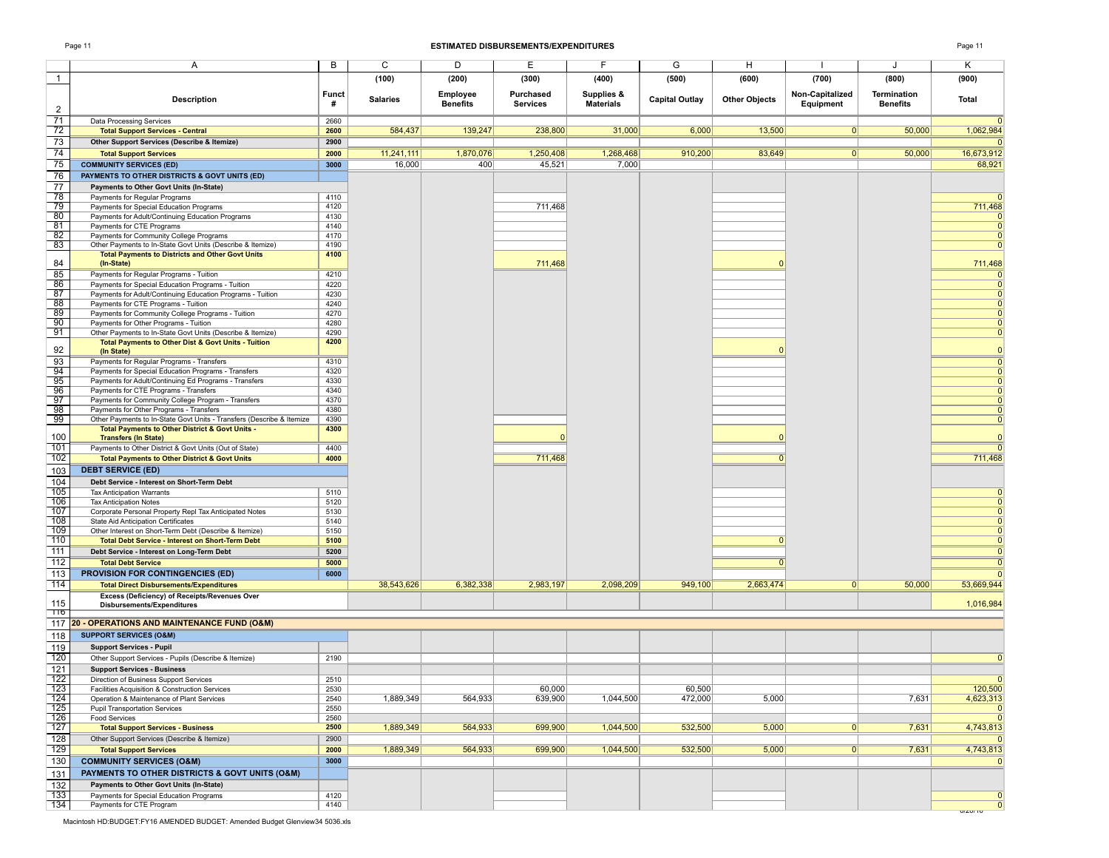### Page 11 **ESTIMATED DISBURSEMENTS/EXPENDITURES** Page 11

6/20/16

|                                                                                           | Α                                                                                             | B            | C               | D               | E               | F                | G                     | н                    |                 | J               | Κ                             |
|-------------------------------------------------------------------------------------------|-----------------------------------------------------------------------------------------------|--------------|-----------------|-----------------|-----------------|------------------|-----------------------|----------------------|-----------------|-----------------|-------------------------------|
|                                                                                           |                                                                                               |              |                 |                 |                 |                  |                       |                      |                 |                 |                               |
| $\mathbf{1}$                                                                              |                                                                                               |              | (100)           | (200)           | (300)           | (400)            | (500)                 | (600)                | (700)           | (800)           | (900)                         |
|                                                                                           |                                                                                               | <b>Funct</b> |                 | Employee        | Purchased       | Supplies &       |                       |                      | Non-Capitalized | Termination     |                               |
|                                                                                           | <b>Description</b>                                                                            | #            | <b>Salaries</b> | <b>Benefits</b> | <b>Services</b> | <b>Materials</b> | <b>Capital Outlay</b> | <b>Other Objects</b> | Equipment       | <b>Benefits</b> | Total                         |
| 2                                                                                         |                                                                                               |              |                 |                 |                 |                  |                       |                      |                 |                 |                               |
| $\overline{71}$                                                                           | Data Processing Services                                                                      | 2660         |                 |                 |                 |                  |                       |                      |                 |                 | $\Omega$                      |
| 72                                                                                        | <b>Total Support Services - Central</b>                                                       | 2600         | 584,437         | 139,247         | 238,800         | 31,000           | 6,000                 | 13,500               | 0               | 50,000          | 1,062,984                     |
| 73                                                                                        | Other Support Services (Describe & Itemize)                                                   | 2900         |                 |                 |                 |                  |                       |                      |                 |                 | $\mathbf{0}$                  |
| 74                                                                                        | <b>Total Support Services</b>                                                                 | 2000         | 11,241,111      | 1,870,076       | 1,250,408       | 1,268,468        | 910,200               | 83,649               | 0               | 50,000          | 16,673,912                    |
| 75                                                                                        | <b>COMMUNITY SERVICES (ED)</b>                                                                | 3000         | 16,000          | 400             | 45,521          | 7,000            |                       |                      |                 |                 | 68,921                        |
|                                                                                           | PAYMENTS TO OTHER DISTRICTS & GOVT UNITS (ED)                                                 |              |                 |                 |                 |                  |                       |                      |                 |                 |                               |
| 76                                                                                        |                                                                                               |              |                 |                 |                 |                  |                       |                      |                 |                 |                               |
| 77                                                                                        | Payments to Other Govt Units (In-State)                                                       |              |                 |                 |                 |                  |                       |                      |                 |                 |                               |
| 78                                                                                        | Payments for Regular Programs                                                                 | 4110         |                 |                 |                 |                  |                       |                      |                 |                 | $\Omega$                      |
| 79<br>80                                                                                  | Payments for Special Education Programs                                                       | 4120<br>4130 |                 |                 | 711,468         |                  |                       |                      |                 |                 | 711,468                       |
| 81                                                                                        | Payments for Adult/Continuing Education Programs<br>Payments for CTE Programs                 | 4140         |                 |                 |                 |                  |                       |                      |                 |                 | $\mathbf 0$<br>$\mathbf{0}$   |
| 82                                                                                        | Payments for Community College Programs                                                       | 4170         |                 |                 |                 |                  |                       |                      |                 |                 | $\mathbf{0}$                  |
| 83                                                                                        | Other Payments to In-State Govt Units (Describe & Itemize)                                    | 4190         |                 |                 |                 |                  |                       |                      |                 |                 | $\mathbf{0}$                  |
|                                                                                           | <b>Total Payments to Districts and Other Govt Units</b>                                       | 4100         |                 |                 |                 |                  |                       |                      |                 |                 |                               |
| 84                                                                                        | (In-State)                                                                                    |              |                 |                 | 711,468         |                  |                       |                      |                 |                 | 711,468                       |
| 85                                                                                        | Payments for Regular Programs - Tuition                                                       | 4210         |                 |                 |                 |                  |                       |                      |                 |                 | $\mathbf 0$                   |
| 86                                                                                        | Payments for Special Education Programs - Tuition                                             | 4220         |                 |                 |                 |                  |                       |                      |                 |                 | $\Omega$                      |
| 87                                                                                        | Payments for Adult/Continuing Education Programs - Tuition                                    | 4230         |                 |                 |                 |                  |                       |                      |                 |                 | $\Omega$                      |
| 88                                                                                        | Payments for CTE Programs - Tuition                                                           | 4240         |                 |                 |                 |                  |                       |                      |                 |                 | $\Omega$                      |
| 89                                                                                        | Payments for Community College Programs - Tuition                                             | 4270         |                 |                 |                 |                  |                       |                      |                 |                 | $\Omega$                      |
| 90                                                                                        | Payments for Other Programs - Tuition                                                         | 4280         |                 |                 |                 |                  |                       |                      |                 |                 | $\Omega$                      |
| 91                                                                                        | Other Payments to In-State Govt Units (Describe & Itemize)                                    | 4290         |                 |                 |                 |                  |                       |                      |                 |                 | $\Omega$                      |
|                                                                                           | Total Payments to Other Dist & Govt Units - Tuition                                           | 4200         |                 |                 |                 |                  |                       |                      |                 |                 |                               |
| 92                                                                                        | (In State)                                                                                    |              |                 |                 |                 |                  |                       |                      |                 |                 | $\Omega$                      |
| 93                                                                                        | Payments for Regular Programs - Transfers                                                     | 4310         |                 |                 |                 |                  |                       |                      |                 |                 | $\mathbf{0}$                  |
| 94                                                                                        | Payments for Special Education Programs - Transfers                                           | 4320         |                 |                 |                 |                  |                       |                      |                 |                 | $\mathbf{0}$                  |
| 95<br>$\frac{56}{96}$                                                                     | Payments for Adult/Continuing Ed Programs - Transfers                                         | 4330         |                 |                 |                 |                  |                       |                      |                 |                 | $\Omega$                      |
| 97                                                                                        | Payments for CTE Programs - Transfers                                                         | 4340         |                 |                 |                 |                  |                       |                      |                 |                 | $\Omega$                      |
| 98                                                                                        | Payments for Community College Program - Transfers<br>Payments for Other Programs - Transfers | 4370<br>4380 |                 |                 |                 |                  |                       |                      |                 |                 | $\Omega$<br>$\Omega$          |
| 99                                                                                        | Other Payments to In-State Govt Units - Transfers (Describe & Itemize                         | 4390         |                 |                 |                 |                  |                       |                      |                 |                 | $\mathbf{0}$                  |
|                                                                                           | Total Payments to Other District & Govt Units -                                               | 4300         |                 |                 |                 |                  |                       |                      |                 |                 |                               |
| 100                                                                                       | <b>Transfers (In State)</b>                                                                   |              |                 |                 | $\Omega$        |                  |                       |                      |                 |                 | $\mathbf{0}$                  |
| 101                                                                                       | Payments to Other District & Govt Units (Out of State)                                        | 4400         |                 |                 |                 |                  |                       |                      |                 |                 | $\Omega$                      |
| 102                                                                                       | <b>Total Payments to Other District &amp; Govt Units</b>                                      | 4000         |                 |                 | 711,468         |                  |                       |                      |                 |                 | 711,468                       |
| 103                                                                                       | <b>DEBT SERVICE (ED)</b>                                                                      |              |                 |                 |                 |                  |                       |                      |                 |                 |                               |
| 104                                                                                       | Debt Service - Interest on Short-Term Debt                                                    |              |                 |                 |                 |                  |                       |                      |                 |                 |                               |
| 105                                                                                       |                                                                                               |              |                 |                 |                 |                  |                       |                      |                 |                 |                               |
| 106                                                                                       | <b>Tax Anticipation Warrants</b><br><b>Tax Anticipation Notes</b>                             | 5110<br>5120 |                 |                 |                 |                  |                       |                      |                 |                 | $\mathbf{0}$                  |
| 107                                                                                       | Corporate Personal Property Repl Tax Anticipated Notes                                        | 5130         |                 |                 |                 |                  |                       |                      |                 |                 | $\Omega$                      |
| 108                                                                                       | State Aid Anticipation Certificates                                                           | 5140         |                 |                 |                 |                  |                       |                      |                 |                 | $\Omega$                      |
| 109                                                                                       | Other Interest on Short-Term Debt (Describe & Itemize)                                        | 5150         |                 |                 |                 |                  |                       |                      |                 |                 | $\Omega$                      |
| 110                                                                                       | <b>Total Debt Service - Interest on Short-Term Debt</b>                                       | 5100         |                 |                 |                 |                  |                       | 0                    |                 |                 | $\mathbf 0$                   |
| 111                                                                                       | Debt Service - Interest on Long-Term Debt                                                     | 5200         |                 |                 |                 |                  |                       |                      |                 |                 | $\mathbf{0}$                  |
| 112                                                                                       | <b>Total Debt Service</b>                                                                     | 5000         |                 |                 |                 |                  |                       |                      |                 |                 | $\mathbf{0}$                  |
| 113                                                                                       | <b>PROVISION FOR CONTINGENCIES (ED)</b>                                                       | 6000         |                 |                 |                 |                  |                       |                      |                 |                 | $\Omega$                      |
| 114                                                                                       |                                                                                               |              | 38,543,626      | 6,382,338       | 2,983,197       | 2,098,209        | 949,100               | 2,663,474            | 0               | 50,000          | 53,669,944                    |
|                                                                                           | <b>Total Direct Disbursements/Expenditures</b>                                                |              |                 |                 |                 |                  |                       |                      |                 |                 |                               |
| 115                                                                                       | Excess (Deficiency) of Receipts/Revenues Over<br><b>Disbursements/Expenditures</b>            |              |                 |                 |                 |                  |                       |                      |                 |                 | 1,016,984                     |
| 776                                                                                       |                                                                                               |              |                 |                 |                 |                  |                       |                      |                 |                 |                               |
| 117                                                                                       | <b>20 - OPERATIONS AND MAINTENANCE FUND (O&amp;M)</b>                                         |              |                 |                 |                 |                  |                       |                      |                 |                 |                               |
|                                                                                           | <b>SUPPORT SERVICES (O&amp;M)</b>                                                             |              |                 |                 |                 |                  |                       |                      |                 |                 |                               |
| 118                                                                                       |                                                                                               |              |                 |                 |                 |                  |                       |                      |                 |                 |                               |
| 119                                                                                       | <b>Support Services - Pupil</b>                                                               |              |                 |                 |                 |                  |                       |                      |                 |                 |                               |
| 120                                                                                       | Other Support Services - Pupils (Describe & Itemize)                                          | 2190         |                 |                 |                 |                  |                       |                      |                 |                 | $\mathbf 0$                   |
| 121                                                                                       | <b>Support Services - Business</b>                                                            |              |                 |                 |                 |                  |                       |                      |                 |                 |                               |
| 122                                                                                       | Direction of Business Support Services                                                        | 2510         |                 |                 |                 |                  |                       |                      |                 |                 | $\Omega$                      |
|                                                                                           | Facilities Acquisition & Construction Services                                                | 2530         |                 |                 | 60,000          |                  | 60,500                |                      |                 |                 | 120,500                       |
|                                                                                           | Operation & Maintenance of Plant Services<br><b>Pupil Transportation Services</b>             | 2540<br>2550 | 1,889,349       | 564,933         | 639,900         | 1,044,500        | 472,000               | 5,000                |                 | 7,631           | 4,623,313                     |
| $\begin{array}{r}\n 123 \\  \hline\n 124 \\  \hline\n 125 \\  \hline\n 126\n \end{array}$ | <b>Food Services</b>                                                                          | 2560         |                 |                 |                 |                  |                       |                      |                 |                 | $\mathbf 0$<br>$\overline{0}$ |
| 127                                                                                       | <b>Total Support Services - Business</b>                                                      | 2500         | 1.889.349       | 564,933         | 699,900         | 1,044,500        | 532,500               | 5,000                | 0               | 7,631           | 4,743,813                     |
| 128                                                                                       |                                                                                               | 2900         |                 |                 |                 |                  |                       |                      |                 |                 | $\mathbf{0}$                  |
| 129                                                                                       | Other Support Services (Describe & Itemize)                                                   |              |                 |                 |                 |                  |                       |                      | $\overline{0}$  |                 |                               |
|                                                                                           | <b>Total Support Services</b>                                                                 | 2000         | 1,889,349       | 564,933         | 699,900         | 1,044,500        | 532,500               | 5,000                |                 | 7,631           | 4,743,813                     |
| 130                                                                                       | <b>COMMUNITY SERVICES (O&amp;M)</b>                                                           | 3000         |                 |                 |                 |                  |                       |                      |                 |                 | $\mathbf{0}$                  |
| 131                                                                                       | PAYMENTS TO OTHER DISTRICTS & GOVT UNITS (O&M)                                                |              |                 |                 |                 |                  |                       |                      |                 |                 |                               |
| $\overline{132}$                                                                          | Payments to Other Govt Units (In-State)                                                       |              |                 |                 |                 |                  |                       |                      |                 |                 |                               |
| 133                                                                                       | Payments for Special Education Programs                                                       | 4120         |                 |                 |                 |                  |                       |                      |                 |                 | $\mathbf{0}$                  |
| 134                                                                                       | Payments for CTE Program                                                                      | 4140         |                 |                 |                 |                  |                       |                      |                 |                 | $\mathbf{0}$                  |

Macintosh HD:BUDGET:FY16 AMENDED BUDGET: Amended Budget Glenview34 5036.xls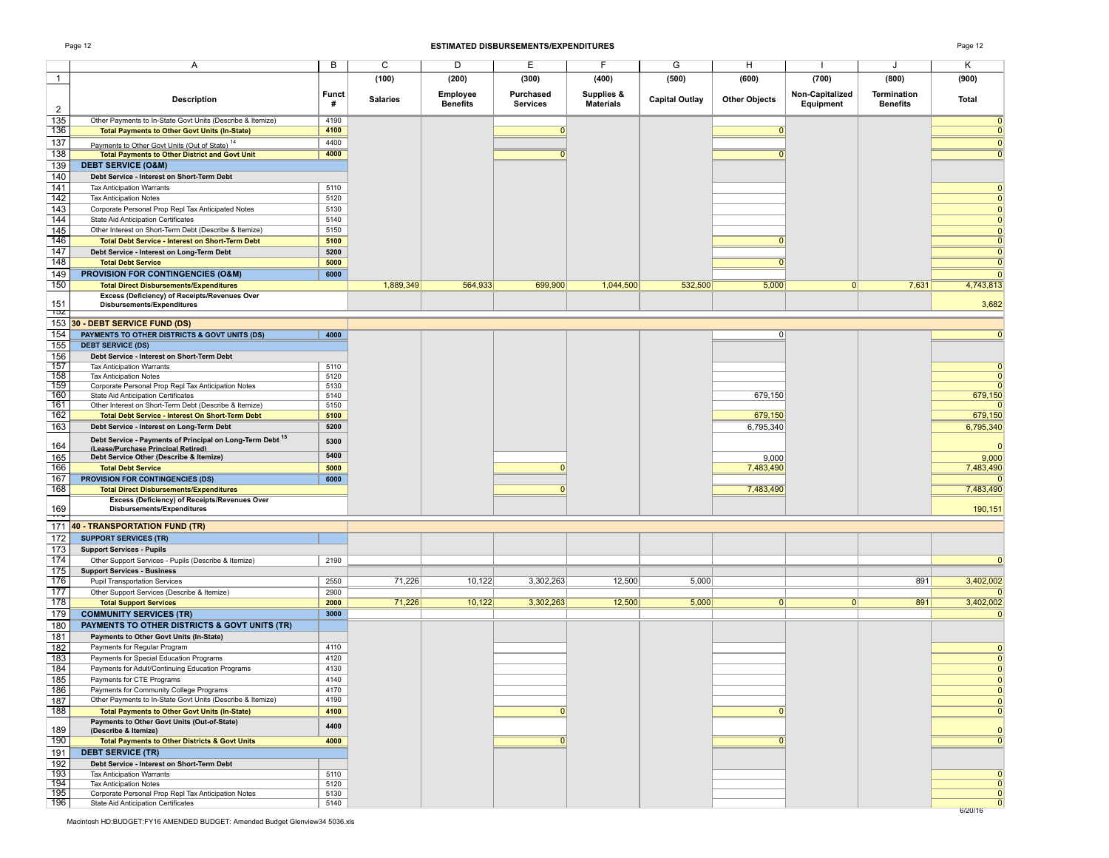### Page 12 **ESTIMATED DISBURSEMENTS/EXPENDITURES** Page 12

|                        | Α                                                                                    | B            | C               | D                           | E                            | F                              | G                     | H                    |                              | J                                     | Κ                            |
|------------------------|--------------------------------------------------------------------------------------|--------------|-----------------|-----------------------------|------------------------------|--------------------------------|-----------------------|----------------------|------------------------------|---------------------------------------|------------------------------|
| $\mathbf{1}$           |                                                                                      |              | (100)           | (200)                       | (300)                        | (400)                          | (500)                 | (600)                | (700)                        | (800)                                 | (900)                        |
| $\overline{2}$         | <b>Description</b>                                                                   | Funct<br>#   | <b>Salaries</b> | Employee<br><b>Benefits</b> | Purchased<br><b>Services</b> | Supplies &<br><b>Materials</b> | <b>Capital Outlay</b> | <b>Other Objects</b> | Non-Capitalized<br>Equipment | <b>Termination</b><br><b>Benefits</b> | <b>Total</b>                 |
| 135                    | Other Payments to In-State Govt Units (Describe & Itemize)                           | 4190         |                 |                             |                              |                                |                       |                      |                              |                                       | $\mathbf{0}$                 |
| 136                    | <b>Total Payments to Other Govt Units (In-State)</b>                                 | 4100         |                 |                             | $\Omega$                     |                                |                       | $\Omega$             |                              |                                       | $\mathbf{0}$                 |
| 137                    | Payments to Other Govt Units (Out of State) <sup>14</sup>                            | 4400         |                 |                             |                              |                                |                       |                      |                              |                                       | $\mathbf{0}$                 |
| 138                    | <b>Total Payments to Other District and Govt Unit</b>                                | 4000         |                 |                             |                              |                                |                       |                      |                              |                                       | $\overline{0}$               |
| 139                    | <b>DEBT SERVICE (O&amp;M)</b>                                                        |              |                 |                             |                              |                                |                       |                      |                              |                                       |                              |
| 140                    | Debt Service - Interest on Short-Term Debt                                           |              |                 |                             |                              |                                |                       |                      |                              |                                       |                              |
| 141                    | <b>Tax Anticipation Warrants</b>                                                     | 5110         |                 |                             |                              |                                |                       |                      |                              |                                       | $\mathbf{0}$                 |
| 142                    | <b>Tax Anticipation Notes</b>                                                        | 5120         |                 |                             |                              |                                |                       |                      |                              |                                       | $\mathbf{0}$                 |
| 143                    | Corporate Personal Prop Repl Tax Anticipated Notes                                   | 5130         |                 |                             |                              |                                |                       |                      |                              |                                       | $\mathbf{0}$                 |
| 144                    | <b>State Aid Anticipation Certificates</b>                                           | 5140         |                 |                             |                              |                                |                       |                      |                              |                                       | $\Omega$                     |
| 145                    | Other Interest on Short-Term Debt (Describe & Itemize)                               | 5150         |                 |                             |                              |                                |                       |                      |                              |                                       | $\mathbf{0}$                 |
| 146                    | <b>Total Debt Service - Interest on Short-Term Debt</b>                              | 5100         |                 |                             |                              |                                |                       | $\Omega$             |                              |                                       | $\mathbf{0}$                 |
| 147                    | Debt Service - Interest on Long-Term Debt                                            | 5200         |                 |                             |                              |                                |                       |                      |                              |                                       | $\mathbf 0$                  |
| 148                    | <b>Total Debt Service</b>                                                            | 5000         |                 |                             |                              |                                |                       |                      |                              |                                       | $\overline{0}$               |
| 149                    | <b>PROVISION FOR CONTINGENCIES (O&amp;M)</b>                                         | 6000         |                 |                             |                              |                                |                       |                      |                              |                                       | $\Omega$                     |
| 150                    | <b>Total Direct Disbursements/Expenditures</b>                                       |              | 1,889,349       | 564,933                     | 699,900                      | 1,044,500                      | 532,500               | 5,000                | 0                            | 7,631                                 | 4,743,813                    |
| 151<br>אסד-            | Excess (Deficiency) of Receipts/Revenues Over<br>Disbursements/Expenditures          |              |                 |                             |                              |                                |                       |                      |                              |                                       | 3,682                        |
|                        | 153 30 - DEBT SERVICE FUND (DS)                                                      |              |                 |                             |                              |                                |                       |                      |                              |                                       |                              |
| 154                    | PAYMENTS TO OTHER DISTRICTS & GOVT UNITS (DS)                                        | 4000         |                 |                             |                              |                                |                       | 0                    |                              |                                       | $\mathbf{0}$                 |
| 155                    | <b>DEBT SERVICE (DS)</b>                                                             |              |                 |                             |                              |                                |                       |                      |                              |                                       |                              |
| 156                    | Debt Service - Interest on Short-Term Debt                                           |              |                 |                             |                              |                                |                       |                      |                              |                                       |                              |
| 157<br>158             | <b>Tax Anticipation Warrants</b>                                                     | 5110         |                 |                             |                              |                                |                       |                      |                              |                                       | $\mathbf{0}$                 |
| 159                    | <b>Tax Anticipation Notes</b><br>Corporate Personal Prop Repl Tax Anticipation Notes | 5120<br>5130 |                 |                             |                              |                                |                       |                      |                              |                                       | $\mathbf{0}$<br>$\mathbf{0}$ |
| 160                    | State Aid Anticipation Certificates                                                  | 5140         |                 |                             |                              |                                |                       | 679,150              |                              |                                       | 679,150                      |
| 161                    | Other Interest on Short-Term Debt (Describe & Itemize)                               | 5150         |                 |                             |                              |                                |                       |                      |                              |                                       | $\Omega$                     |
| 162                    | <b>Total Debt Service - Interest On Short-Term Debt</b>                              | 5100         |                 |                             |                              |                                |                       | 679,150              |                              |                                       | 679,150                      |
| 163                    | Debt Service - Interest on Long-Term Debt                                            | 5200         |                 |                             |                              |                                |                       | 6,795,340            |                              |                                       | 6,795,340                    |
|                        | Debt Service - Payments of Principal on Long-Term Debt <sup>15</sup>                 | 5300         |                 |                             |                              |                                |                       |                      |                              |                                       |                              |
| 164                    | (Lease/Purchase Principal Retired)<br>Debt Service Other (Describe & Itemize)        | 5400         |                 |                             |                              |                                |                       |                      |                              |                                       | $\Omega$                     |
| 165<br>166             | <b>Total Debt Service</b>                                                            | 5000         |                 |                             | 0                            |                                |                       | 9,000<br>7,483,490   |                              |                                       | 9,000<br>7,483,490           |
| 167                    | PROVISION FOR CONTINGENCIES (DS)                                                     | 6000         |                 |                             |                              |                                |                       |                      |                              |                                       | $\Omega$                     |
| 168                    | <b>Total Direct Disbursements/Expenditures</b>                                       |              |                 |                             | 0                            |                                |                       | 7,483,490            |                              |                                       | 7,483,490                    |
|                        | Excess (Deficiency) of Receipts/Revenues Over                                        |              |                 |                             |                              |                                |                       |                      |                              |                                       |                              |
| 169                    | Disbursements/Expenditures                                                           |              |                 |                             |                              |                                |                       |                      |                              |                                       | 190,151                      |
| ᠇᠇ᢦ<br>171             | 40 - TRANSPORTATION FUND (TR)                                                        |              |                 |                             |                              |                                |                       |                      |                              |                                       |                              |
| 172                    | <b>SUPPORT SERVICES (TR)</b>                                                         |              |                 |                             |                              |                                |                       |                      |                              |                                       |                              |
| 173                    | <b>Support Services - Pupils</b>                                                     |              |                 |                             |                              |                                |                       |                      |                              |                                       |                              |
| 174                    | Other Support Services - Pupils (Describe & Itemize)                                 | 2190         |                 |                             |                              |                                |                       |                      |                              |                                       | $\mathbf{0}$                 |
| 175                    | <b>Support Services - Business</b>                                                   |              |                 |                             |                              |                                |                       |                      |                              |                                       |                              |
| 176                    | <b>Pupil Transportation Services</b>                                                 | 2550         | 71,226          | 10,122                      | 3,302,263                    | 12,500                         | 5,000                 |                      |                              | 891                                   | 3,402,002                    |
| 177                    | Other Support Services (Describe & Itemize)                                          | 2900         |                 |                             |                              |                                |                       |                      |                              |                                       | <sup>0</sup>                 |
| 178                    | <b>Total Support Services</b>                                                        | 2000         | 71,226          | 10,122                      | 3,302,263                    | 12,500                         | 5,000                 | $\overline{0 }$      | $\overline{0}$               | 891                                   | 3,402,002                    |
| 179                    | <b>COMMUNITY SERVICES (TR)</b>                                                       | 3000         |                 |                             |                              |                                |                       |                      |                              |                                       | $\mathbf 0$                  |
| 180                    | PAYMENTS TO OTHER DISTRICTS & GOVT UNITS (TR)                                        |              |                 |                             |                              |                                |                       |                      |                              |                                       |                              |
| 181                    | Payments to Other Govt Units (In-State)                                              |              |                 |                             |                              |                                |                       |                      |                              |                                       |                              |
| 182                    | Payments for Regular Program                                                         | 4110         |                 |                             |                              |                                |                       |                      |                              |                                       | $\Omega$                     |
| 183                    | Payments for Special Education Programs                                              | 4120         |                 |                             |                              |                                |                       |                      |                              |                                       | $\mathbf{0}$                 |
| 184<br>185             | Payments for Adult/Continuing Education Programs<br>Payments for CTE Programs        | 4130<br>4140 |                 |                             |                              |                                |                       |                      |                              |                                       | $\mathbf{0}$<br>$\mathbf{0}$ |
| 186                    | Payments for Community College Programs                                              | 4170         |                 |                             |                              |                                |                       |                      |                              |                                       | <sup>0</sup>                 |
| 187                    | Other Payments to In-State Govt Units (Describe & Itemize)                           | 4190         |                 |                             |                              |                                |                       |                      |                              |                                       | $\mathbf{0}$                 |
| 188                    | <b>Total Payments to Other Govt Units (In-State)</b>                                 | 4100         |                 |                             | $\Omega$                     |                                |                       | $\Omega$             |                              |                                       | $\mathbf{0}$                 |
|                        | Payments to Other Govt Units (Out-of-State)                                          |              |                 |                             |                              |                                |                       |                      |                              |                                       |                              |
| 189                    | (Describe & Itemize)                                                                 | 4400         |                 |                             |                              |                                |                       |                      |                              |                                       | $\Omega$                     |
| 190                    | <b>Total Payments to Other Districts &amp; Govt Units</b>                            | 4000         |                 |                             |                              |                                |                       |                      |                              |                                       | $\overline{0}$               |
| 191                    | <b>DEBT SERVICE (TR)</b>                                                             |              |                 |                             |                              |                                |                       |                      |                              |                                       |                              |
| 192                    | Debt Service - Interest on Short-Term Debt                                           |              |                 |                             |                              |                                |                       |                      |                              |                                       |                              |
| $\frac{1}{193}$<br>194 | <b>Tax Anticipation Warrants</b>                                                     | 5110         |                 |                             |                              |                                |                       |                      |                              |                                       | $\Omega$                     |
| 195                    | <b>Tax Anticipation Notes</b><br>Corporate Personal Prop Repl Tax Anticipation Notes | 5120<br>5130 |                 |                             |                              |                                |                       |                      |                              |                                       | $\mathbf{0}$<br>$\mathbf{0}$ |
| 196                    | State Aid Anticipation Certificates                                                  | 5140         |                 |                             |                              |                                |                       |                      |                              |                                       | $\mathbf 0$                  |
|                        |                                                                                      |              |                 |                             |                              |                                |                       |                      |                              |                                       | 6/20/16                      |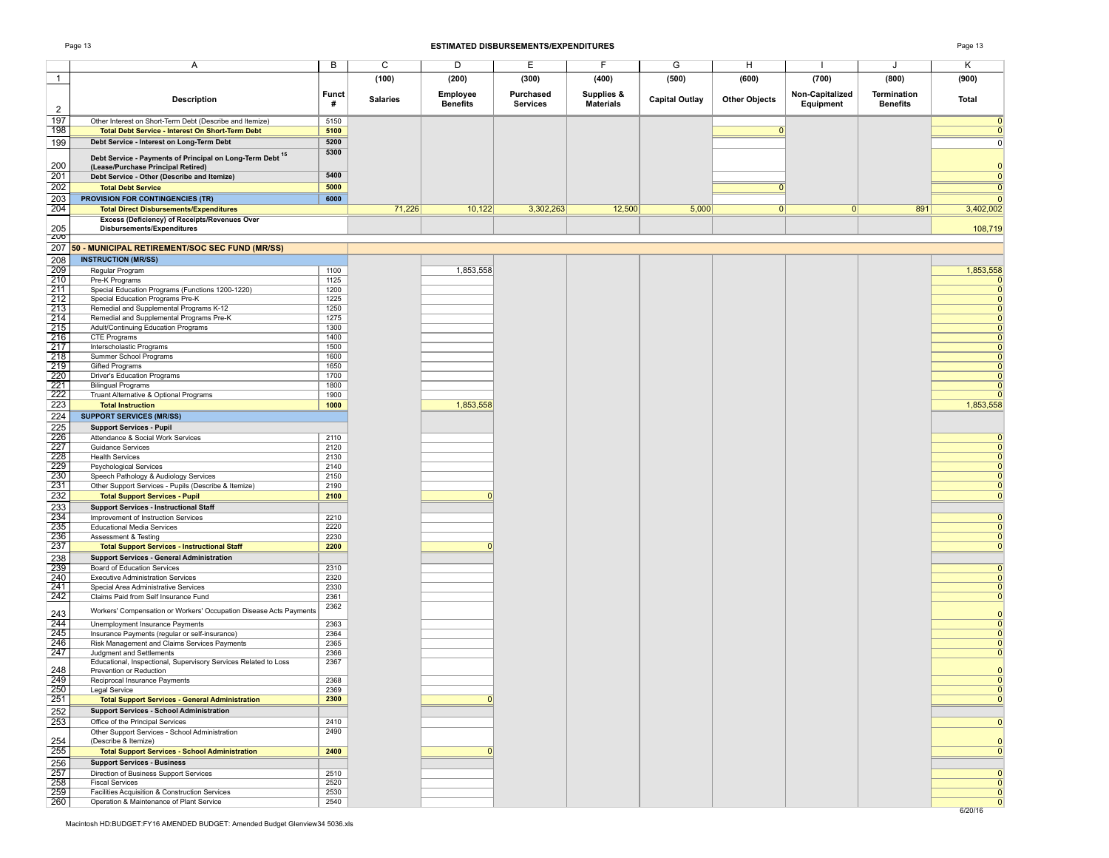### Page 13 **ESTIMATED DISBURSEMENTS/EXPENDITURES** Page 13

|                          | A                                                                                                         | B            | C               | D               | Е               | F                | G                     | н                    |                 | J               | Κ                            |
|--------------------------|-----------------------------------------------------------------------------------------------------------|--------------|-----------------|-----------------|-----------------|------------------|-----------------------|----------------------|-----------------|-----------------|------------------------------|
| $\overline{1}$           |                                                                                                           |              | (100)           | (200)           | (300)           | (400)            | (500)                 | (600)                | (700)           | (800)           | (900)                        |
|                          |                                                                                                           | Funct        |                 | Employee        | Purchased       | Supplies &       |                       |                      | Non-Capitalized | Termination     |                              |
| $\overline{2}$           | <b>Description</b>                                                                                        | #            | <b>Salaries</b> | <b>Benefits</b> | <b>Services</b> | <b>Materials</b> | <b>Capital Outlay</b> | <b>Other Objects</b> | Equipment       | <b>Benefits</b> | <b>Total</b>                 |
| 197                      | Other Interest on Short-Term Debt (Describe and Itemize)                                                  | 5150         |                 |                 |                 |                  |                       |                      |                 |                 | $\mathbf{0}$                 |
| 198                      | <b>Total Debt Service - Interest On Short-Term Debt</b>                                                   | 5100         |                 |                 |                 |                  |                       | 0                    |                 |                 | $\mathbf 0$                  |
| 199                      | Debt Service - Interest on Long-Term Debt                                                                 | 5200         |                 |                 |                 |                  |                       |                      |                 |                 | 0                            |
|                          | Debt Service - Payments of Principal on Long-Term Debt <sup>15</sup>                                      | 5300         |                 |                 |                 |                  |                       |                      |                 |                 |                              |
| 200<br>201               | (Lease/Purchase Principal Retired)                                                                        | 5400         |                 |                 |                 |                  |                       |                      |                 |                 | $\mathbf{0}$                 |
| 202                      | Debt Service - Other (Describe and Itemize)<br><b>Total Debt Service</b>                                  | 5000         |                 |                 |                 |                  |                       |                      |                 |                 | $\mathbf{0}$<br>$\mathbf 0$  |
| 203                      | <b>PROVISION FOR CONTINGENCIES (TR)</b>                                                                   | 6000         |                 |                 |                 |                  |                       |                      |                 |                 | $\mathbf{0}$                 |
| 204                      | <b>Total Direct Disbursements/Expenditures</b>                                                            |              | 71,226          | 10,122          | 3,302,263       | 12,500           | 5,000                 | 0                    | 0               | 891             | 3,402,002                    |
|                          | Excess (Deficiency) of Receipts/Revenues Over<br>Disbursements/Expenditures                               |              |                 |                 |                 |                  |                       |                      |                 |                 |                              |
| 205<br>ZUQ               |                                                                                                           |              |                 |                 |                 |                  |                       |                      |                 |                 | 108,719                      |
|                          | 207 50 - MUNICIPAL RETIREMENT/SOC SEC FUND (MR/SS)                                                        |              |                 |                 |                 |                  |                       |                      |                 |                 |                              |
| 208                      | <b>INSTRUCTION (MR/SS)</b>                                                                                |              |                 |                 |                 |                  |                       |                      |                 |                 |                              |
| 209                      | Regular Program                                                                                           | 1100         |                 | 1,853,558       |                 |                  |                       |                      |                 |                 | 1,853,558                    |
| 210<br>211               | Pre-K Programs<br>Special Education Programs (Functions 1200-1220)                                        | 1125<br>1200 |                 |                 |                 |                  |                       |                      |                 |                 | $\mathbf 0$<br>$\mathbf{0}$  |
| 212                      | Special Education Programs Pre-K                                                                          | 1225         |                 |                 |                 |                  |                       |                      |                 |                 | $\mathbf{0}$                 |
| 213                      | Remedial and Supplemental Programs K-12                                                                   | 1250         |                 |                 |                 |                  |                       |                      |                 |                 | $\mathbf{0}$                 |
| 214                      | Remedial and Supplemental Programs Pre-K                                                                  | 1275         |                 |                 |                 |                  |                       |                      |                 |                 | $\Omega$<br>$\Omega$         |
| $\frac{215}{216}$        | Adult/Continuing Education Programs<br>CTE Programs                                                       | 1300<br>1400 |                 |                 |                 |                  |                       |                      |                 |                 | $\mathbf{0}$                 |
| 217                      | Interscholastic Programs                                                                                  | 1500         |                 |                 |                 |                  |                       |                      |                 |                 | $\Omega$                     |
| 218                      | Summer School Programs                                                                                    | 1600         |                 |                 |                 |                  |                       |                      |                 |                 | $\mathbf{0}$                 |
| 219<br>220               | <b>Gifted Programs</b><br><b>Driver's Education Programs</b>                                              | 1650<br>1700 |                 |                 |                 |                  |                       |                      |                 |                 | $\mathbf{0}$<br>$\mathbf{0}$ |
| 221                      | <b>Bilingual Programs</b>                                                                                 | 1800         |                 |                 |                 |                  |                       |                      |                 |                 | $\mathbf{0}$                 |
| 222                      | Truant Alternative & Optional Programs                                                                    | 1900         |                 |                 |                 |                  |                       |                      |                 |                 | $\Omega$                     |
| 223                      | <b>Total Instruction</b>                                                                                  | 1000         |                 | 1,853,558       |                 |                  |                       |                      |                 |                 | 1,853,558                    |
| 224                      | <b>SUPPORT SERVICES (MR/SS)</b>                                                                           |              |                 |                 |                 |                  |                       |                      |                 |                 |                              |
| 225<br>226               | <b>Support Services - Pupil</b><br>Attendance & Social Work Services                                      | 2110         |                 |                 |                 |                  |                       |                      |                 |                 | $\Omega$                     |
| 227                      | <b>Guidance Services</b>                                                                                  | 2120         |                 |                 |                 |                  |                       |                      |                 |                 | $\mathbf{0}$                 |
| 228                      | <b>Health Services</b>                                                                                    | 2130         |                 |                 |                 |                  |                       |                      |                 |                 | $\mathbf{0}$                 |
| $\frac{229}{230}$        | <b>Psychological Services</b>                                                                             | 2140         |                 |                 |                 |                  |                       |                      |                 |                 | $\mathbf 0$                  |
| 231                      | Speech Pathology & Audiology Services<br>Other Support Services - Pupils (Describe & Itemize)             | 2150<br>2190 |                 |                 |                 |                  |                       |                      |                 |                 | $\mathbf{0}$<br>$\mathbf 0$  |
| 232                      | <b>Total Support Services - Pupil</b>                                                                     | 2100         |                 | $\Omega$        |                 |                  |                       |                      |                 |                 | $\mathbf{0}$                 |
| 233                      | <b>Support Services - Instructional Staff</b>                                                             |              |                 |                 |                 |                  |                       |                      |                 |                 |                              |
| 234                      | Improvement of Instruction Services                                                                       | 2210         |                 |                 |                 |                  |                       |                      |                 |                 | $\mathbf{0}$                 |
| 235<br>236               | <b>Educational Media Services</b><br>Assessment & Testing                                                 | 2220<br>2230 |                 |                 |                 |                  |                       |                      |                 |                 | $\mathbf{0}$<br>$\mathbf{0}$ |
| 237                      | <b>Total Support Services - Instructional Staff</b>                                                       | 2200         |                 | 0               |                 |                  |                       |                      |                 |                 | $\mathbf{0}$                 |
| 238                      | <b>Support Services - General Administration</b>                                                          |              |                 |                 |                 |                  |                       |                      |                 |                 |                              |
| 239                      | Board of Education Services                                                                               | 2310         |                 |                 |                 |                  |                       |                      |                 |                 | $\mathbf{0}$                 |
| 240<br>241               | <b>Executive Administration Services</b><br>Special Area Administrative Services                          | 2320<br>2330 |                 |                 |                 |                  |                       |                      |                 |                 | $\mathbf{0}$<br>$\mathbf{0}$ |
| 242                      | Claims Paid from Self Insurance Fund                                                                      | 2361         |                 |                 |                 |                  |                       |                      |                 |                 | $\mathbf 0$                  |
|                          | Workers' Compensation or Workers' Occupation Disease Acts Payments                                        | 2362         |                 |                 |                 |                  |                       |                      |                 |                 |                              |
| 243<br>244               | Unemployment Insurance Payments                                                                           | 2363         |                 |                 |                 |                  |                       |                      |                 |                 | $\mathbf{0}$<br>$\mathbf 0$  |
| 245                      | Insurance Payments (regular or self-insurance)                                                            | 2364         |                 |                 |                 |                  |                       |                      |                 |                 | $\mathbf{0}$                 |
| 246                      | Risk Management and Claims Services Payments                                                              | 2365         |                 |                 |                 |                  |                       |                      |                 |                 | $\mathbf 0$                  |
| 247                      | Judgment and Settlements<br>Educational, Inspectional, Supervisory Services Related to Loss               | 2366<br>2367 |                 |                 |                 |                  |                       |                      |                 |                 | $\mathbf{0}$                 |
| 248                      | Prevention or Reduction                                                                                   |              |                 |                 |                 |                  |                       |                      |                 |                 | $\mathbf{0}$                 |
| 249                      | Reciprocal Insurance Payments                                                                             | 2368         |                 |                 |                 |                  |                       |                      |                 |                 |                              |
| $\frac{250}{250}$<br>251 | Legal Service                                                                                             | 2369<br>2300 |                 | $\Omega$        |                 |                  |                       |                      |                 |                 | $\mathbf{0}$<br>$\mathbf{0}$ |
| 252                      | <b>Total Support Services - General Administration</b><br><b>Support Services - School Administration</b> |              |                 |                 |                 |                  |                       |                      |                 |                 |                              |
| 253                      | Office of the Principal Services                                                                          | 2410         |                 |                 |                 |                  |                       |                      |                 |                 | $\mathbf{0}$                 |
|                          | Other Support Services - School Administration                                                            | 2490         |                 |                 |                 |                  |                       |                      |                 |                 |                              |
| 254                      | (Describe & Itemize)                                                                                      |              |                 |                 |                 |                  |                       |                      |                 |                 | $\mathbf{0}$                 |
| 255                      | <b>Total Support Services - School Administration</b>                                                     | 2400         |                 | $\Omega$        |                 |                  |                       |                      |                 |                 | $\mathbf{0}$                 |
| 256                      | <b>Support Services - Business</b><br>Direction of Business Support Services                              | 2510         |                 |                 |                 |                  |                       |                      |                 |                 | $\mathbf{0}$                 |
| $\frac{257}{258}$        | <b>Fiscal Services</b>                                                                                    | 2520         |                 |                 |                 |                  |                       |                      |                 |                 | $\mathbf{0}$                 |
| $\frac{259}{260}$        | Facilities Acquisition & Construction Services                                                            | 2530         |                 |                 |                 |                  |                       |                      |                 |                 | $\mathbf 0$                  |
|                          | Operation & Maintenance of Plant Service                                                                  | 2540         |                 |                 |                 |                  |                       |                      |                 |                 | $\mathbf{0}$<br>6/20/16      |
|                          |                                                                                                           |              |                 |                 |                 |                  |                       |                      |                 |                 |                              |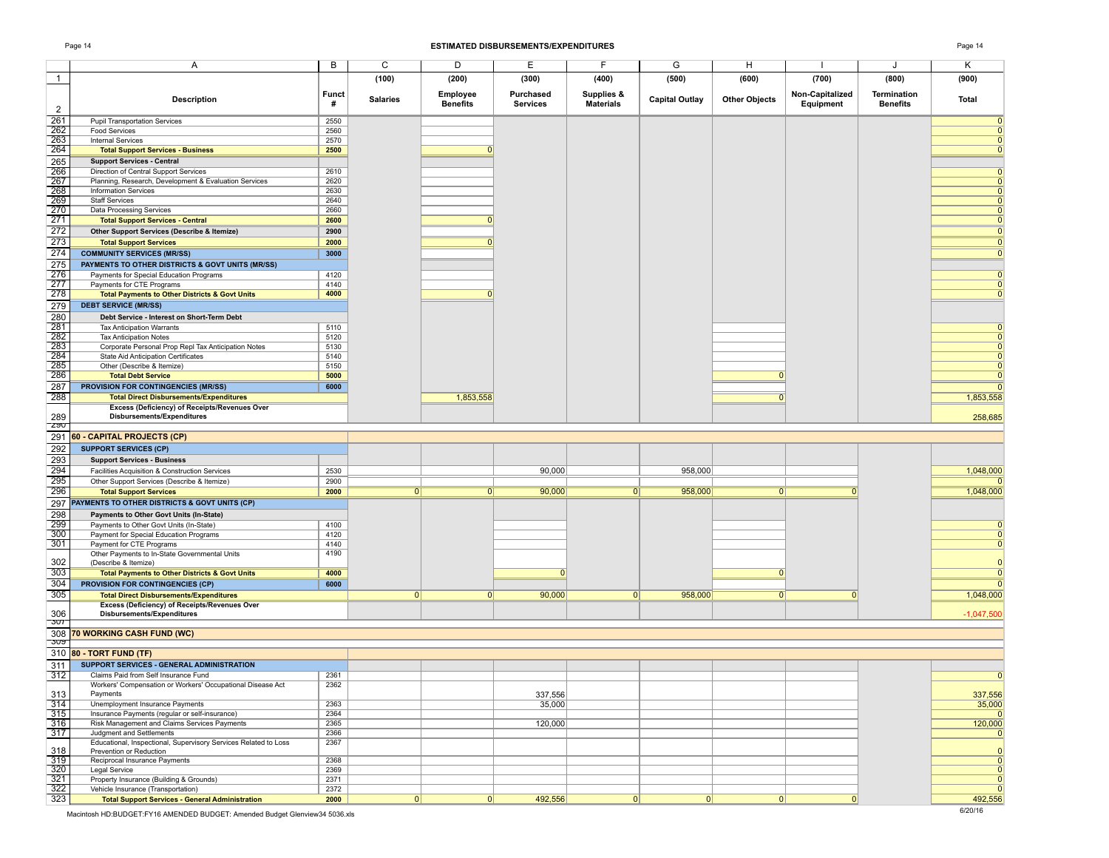### Page 14 **ESTIMATED DISBURSEMENTS/EXPENDITURES** Page 14

| הבי |
|-----|
|-----|

|                   | Α                                                                                          | B            | C               | D               | Е                 | F                | G                     | Н                    |                 | J               | Κ                                |
|-------------------|--------------------------------------------------------------------------------------------|--------------|-----------------|-----------------|-------------------|------------------|-----------------------|----------------------|-----------------|-----------------|----------------------------------|
| $\overline{1}$    |                                                                                            |              | (100)           | (200)           | (300)             | (400)            | (500)                 | (600)                | (700)           | (800)           | (900)                            |
|                   |                                                                                            | <b>Funct</b> |                 | <b>Employee</b> | Purchased         | Supplies &       |                       |                      | Non-Capitalized | Termination     |                                  |
| $\overline{2}$    | <b>Description</b>                                                                         | #            | <b>Salaries</b> | <b>Benefits</b> | <b>Services</b>   | <b>Materials</b> | <b>Capital Outlay</b> | <b>Other Objects</b> | Equipment       | <b>Benefits</b> | <b>Total</b>                     |
| 261               | <b>Pupil Transportation Services</b>                                                       | 2550         |                 |                 |                   |                  |                       |                      |                 |                 | $\mathbf 0$                      |
| 262               | <b>Food Services</b>                                                                       | 2560         |                 |                 |                   |                  |                       |                      |                 |                 | $\mathbf 0$                      |
| 263<br>264        | <b>Internal Services</b><br><b>Total Support Services - Business</b>                       | 2570<br>2500 |                 |                 |                   |                  |                       |                      |                 |                 | $\Omega$<br>$\Omega$             |
| 265               | <b>Support Services - Central</b>                                                          |              |                 |                 |                   |                  |                       |                      |                 |                 |                                  |
| 266               | Direction of Central Support Services                                                      | 2610         |                 |                 |                   |                  |                       |                      |                 |                 | $\Omega$                         |
| $\frac{1}{267}$   | Planning, Research, Development & Evaluation Services                                      | 2620         |                 |                 |                   |                  |                       |                      |                 |                 | $\Omega$                         |
| 268               | <b>Information Services</b>                                                                | 2630         |                 |                 |                   |                  |                       |                      |                 |                 | $\Omega$                         |
| 269<br>270        | <b>Staff Services</b><br><b>Data Processing Services</b>                                   | 2640<br>2660 |                 |                 |                   |                  |                       |                      |                 |                 | $\Omega$                         |
| 271               | <b>Total Support Services - Central</b>                                                    | 2600         |                 | $\Omega$        |                   |                  |                       |                      |                 |                 | $\Omega$                         |
| 272               | Other Support Services (Describe & Itemize)                                                | 2900         |                 |                 |                   |                  |                       |                      |                 |                 | $\mathbf 0$                      |
| 273               | <b>Total Support Services</b>                                                              | 2000         |                 |                 |                   |                  |                       |                      |                 |                 | $\Omega$                         |
| 274               | <b>COMMUNITY SERVICES (MR/SS)</b>                                                          | 3000         |                 |                 |                   |                  |                       |                      |                 |                 | $\mathbf 0$                      |
| 275               | PAYMENTS TO OTHER DISTRICTS & GOVT UNITS (MR/SS)                                           |              |                 |                 |                   |                  |                       |                      |                 |                 |                                  |
| 276               | Payments for Special Education Programs                                                    | 4120         |                 |                 |                   |                  |                       |                      |                 |                 | 0                                |
| 277<br>278        | Payments for CTE Programs                                                                  | 4140<br>4000 |                 | $\Omega$        |                   |                  |                       |                      |                 |                 | $\Omega$<br>$\mathbf 0$          |
| 279               | <b>Total Payments to Other Districts &amp; Govt Units</b><br><b>DEBT SERVICE (MR/SS)</b>   |              |                 |                 |                   |                  |                       |                      |                 |                 |                                  |
| 280               | Debt Service - Interest on Short-Term Debt                                                 |              |                 |                 |                   |                  |                       |                      |                 |                 |                                  |
| 281               | <b>Tax Anticipation Warrants</b>                                                           | 5110         |                 |                 |                   |                  |                       |                      |                 |                 | 0                                |
| $\frac{1}{282}$   | <b>Tax Anticipation Notes</b>                                                              | 5120         |                 |                 |                   |                  |                       |                      |                 |                 | $\Omega$                         |
| 283               | Corporate Personal Prop Repl Tax Anticipation Notes                                        | 5130         |                 |                 |                   |                  |                       |                      |                 |                 | $\Omega$                         |
| 284<br>285        | <b>State Aid Anticipation Certificates</b><br>Other (Describe & Itemize)                   | 5140<br>5150 |                 |                 |                   |                  |                       |                      |                 |                 | $\Omega$<br>$\mathbf 0$          |
| 286               | <b>Total Debt Service</b>                                                                  | 5000         |                 |                 |                   |                  |                       | 0                    |                 |                 | $\overline{0}$                   |
| 287               | <b>PROVISION FOR CONTINGENCIES (MR/SS)</b>                                                 | 6000         |                 |                 |                   |                  |                       |                      |                 |                 | $\mathbf 0$                      |
| 288               | <b>Total Direct Disbursements/Expenditures</b>                                             |              |                 | 1,853,558       |                   |                  |                       |                      |                 |                 | 1,853,558                        |
|                   | <b>Excess (Deficiency) of Receipts/Revenues Over</b>                                       |              |                 |                 |                   |                  |                       |                      |                 |                 |                                  |
| 289               | Disbursements/Expenditures                                                                 |              |                 |                 |                   |                  |                       |                      |                 |                 | 258,685                          |
|                   |                                                                                            |              |                 |                 |                   |                  |                       |                      |                 |                 |                                  |
| <b>290</b><br>291 | 60 - CAPITAL PROJECTS (CP)                                                                 |              |                 |                 |                   |                  |                       |                      |                 |                 |                                  |
| 292               | <b>SUPPORT SERVICES (CP)</b>                                                               |              |                 |                 |                   |                  |                       |                      |                 |                 |                                  |
| 293               | <b>Support Services - Business</b>                                                         |              |                 |                 |                   |                  |                       |                      |                 |                 |                                  |
| 294               | Facilities Acquisition & Construction Services                                             | 2530         |                 |                 | 90,000            |                  | 958,000               |                      |                 |                 | 1,048,000                        |
| 295               | Other Support Services (Describe & Itemize)                                                | 2900         |                 |                 |                   |                  |                       |                      |                 |                 |                                  |
| 296               | <b>Total Support Services</b>                                                              | 2000         | $\overline{0}$  | 0               | 90,000            | 0                | 958,000               | $\Omega$             |                 |                 | 1,048,000                        |
| 297               | PAYMENTS TO OTHER DISTRICTS & GOVT UNITS (CP)                                              |              |                 |                 |                   |                  |                       |                      |                 |                 |                                  |
| 298               | Payments to Other Govt Units (In-State)                                                    |              |                 |                 |                   |                  |                       |                      |                 |                 |                                  |
| 299<br>300        | Payments to Other Govt Units (In-State)                                                    | 4100<br>4120 |                 |                 |                   |                  |                       |                      |                 |                 | 0<br>$\Omega$                    |
| 301               | Payment for Special Education Programs<br>Payment for CTE Programs                         | 4140         |                 |                 |                   |                  |                       |                      |                 |                 | $\mathbf 0$                      |
|                   | Other Payments to In-State Governmental Units                                              | 4190         |                 |                 |                   |                  |                       |                      |                 |                 |                                  |
| 302               | (Describe & Itemize)                                                                       |              |                 |                 |                   |                  |                       |                      |                 |                 | $\overline{0}$                   |
| 303               | <b>Total Payments to Other Districts &amp; Govt Units</b>                                  | 4000         |                 |                 | $\Omega$          |                  |                       | $\Omega$             |                 |                 | $\overline{0}$                   |
| 304<br>305        | PROVISION FOR CONTINGENCIES (CP)<br><b>Total Direct Disbursements/Expenditures</b>         | 6000         | 0               | 0               | 90,000            | 0                | 958,000               | $\Omega$             | $\mathbf{0}$    |                 | $\mathbf 0$<br>1,048,000         |
|                   | Excess (Deficiency) of Receipts/Revenues Over                                              |              |                 |                 |                   |                  |                       |                      |                 |                 |                                  |
| 306               | <b>Disbursements/Expenditures</b>                                                          |              |                 |                 |                   |                  |                       |                      |                 |                 | $-1,047,500$                     |
| -307              |                                                                                            |              |                 |                 |                   |                  |                       |                      |                 |                 |                                  |
| ರಾ                | 308 70 WORKING CASH FUND (WC)                                                              |              |                 |                 |                   |                  |                       |                      |                 |                 |                                  |
| 310               | 80 - TORT FUND (TF)                                                                        |              |                 |                 |                   |                  |                       |                      |                 |                 |                                  |
| 311               | SUPPORT SERVICES - GENERAL ADMINISTRATION                                                  |              |                 |                 |                   |                  |                       |                      |                 |                 |                                  |
| 312               | Claims Paid from Self Insurance Fund                                                       | 2361         |                 |                 |                   |                  |                       |                      |                 |                 |                                  |
|                   | Workers' Compensation or Workers' Occupational Disease Act                                 | 2362         |                 |                 |                   |                  |                       |                      |                 |                 |                                  |
| 313<br>314        | Payments<br>Unemployment Insurance Payments                                                | 2363         |                 |                 | 337,556<br>35,000 |                  |                       |                      |                 |                 | 337,556<br>35,000                |
| 315               | Insurance Payments (regular or self-insurance)                                             | 2364         |                 |                 |                   |                  |                       |                      |                 |                 | $\overline{0}$                   |
| 316               | Risk Management and Claims Services Payments                                               | 2365         |                 |                 | 120,000           |                  |                       |                      |                 |                 | 120,000                          |
| 317               | Judgment and Settlements                                                                   | 2366         |                 |                 |                   |                  |                       |                      |                 |                 | $\mathbf{0}$                     |
| 318               | Educational, Inspectional, Supervisory Services Related to Loss<br>Prevention or Reduction | 2367         |                 |                 |                   |                  |                       |                      |                 |                 | $\Omega$                         |
| 319               | Reciprocal Insurance Payments                                                              | 2368         |                 |                 |                   |                  |                       |                      |                 |                 | $\overline{0}$                   |
| $\frac{1}{320}$   | Legal Service                                                                              | 2369         |                 |                 |                   |                  |                       |                      |                 |                 | $\overline{0}$                   |
| $\frac{321}{322}$ | Property Insurance (Building & Grounds)<br>Vehicle Insurance (Transportation)              | 2371<br>2372 |                 |                 |                   |                  |                       |                      |                 |                 | $\overline{0}$<br>$\overline{0}$ |

Macintosh HD:BUDGET:FY16 AMENDED BUDGET: Amended Budget Glenview34 5036.xls 6/20/16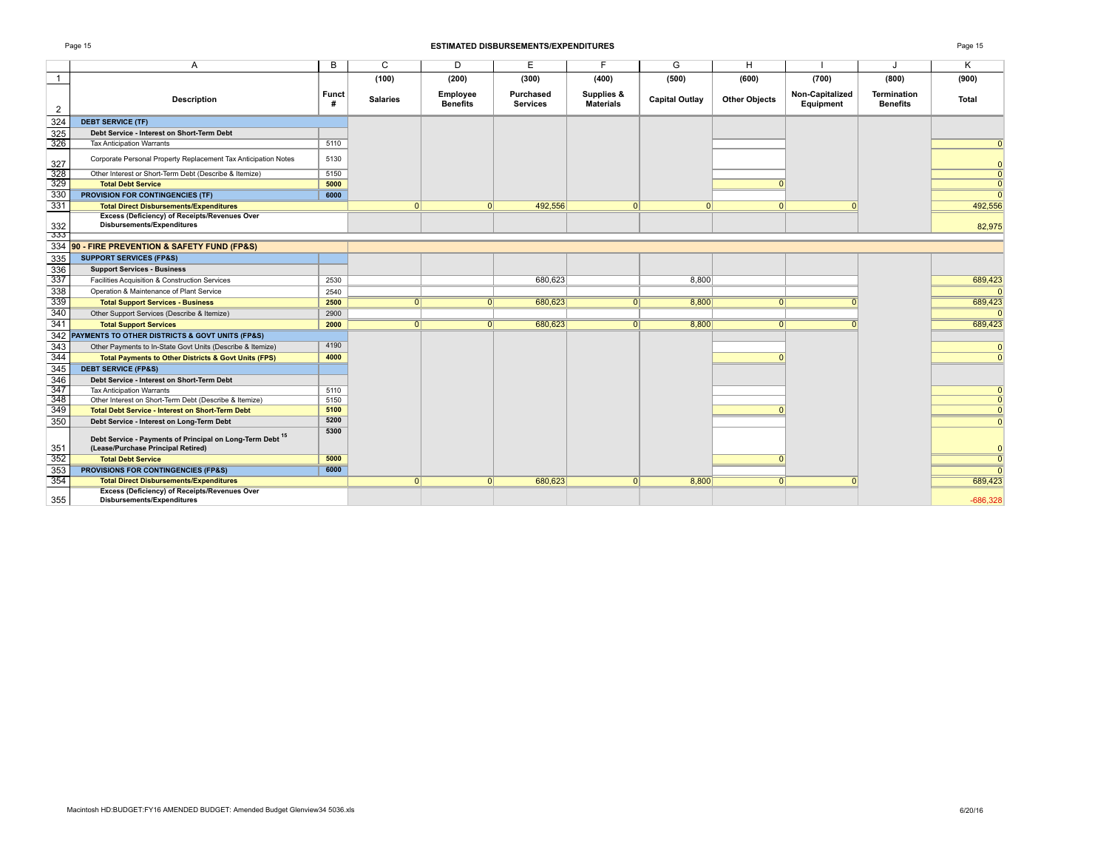### Page 15 **ESTIMATED DISBURSEMENTS/EXPENDITURES** Page 15

|                | A                                                                                                          | B          | C               | D                           | E                            | F                              | G                     | н                    |                              |                                | K            |
|----------------|------------------------------------------------------------------------------------------------------------|------------|-----------------|-----------------------------|------------------------------|--------------------------------|-----------------------|----------------------|------------------------------|--------------------------------|--------------|
| $\overline{1}$ |                                                                                                            |            | (100)           | (200)                       | (300)                        | (400)                          | (500)                 | (600)                | (700)                        | (800)                          | (900)        |
| 2              | <b>Description</b>                                                                                         | Funct<br># | <b>Salaries</b> | Employee<br><b>Benefits</b> | Purchased<br><b>Services</b> | Supplies &<br><b>Materials</b> | <b>Capital Outlay</b> | <b>Other Objects</b> | Non-Capitalized<br>Equipment | Termination<br><b>Benefits</b> | <b>Total</b> |
| 324            | <b>DEBT SERVICE (TF)</b>                                                                                   |            |                 |                             |                              |                                |                       |                      |                              |                                |              |
| 325            | Debt Service - Interest on Short-Term Debt                                                                 |            |                 |                             |                              |                                |                       |                      |                              |                                |              |
| 326            | <b>Tax Anticipation Warrants</b>                                                                           | 5110       |                 |                             |                              |                                |                       |                      |                              |                                |              |
| 327            | Corporate Personal Property Replacement Tax Anticipation Notes                                             | 5130       |                 |                             |                              |                                |                       |                      |                              |                                |              |
| 328            | Other Interest or Short-Term Debt (Describe & Itemize)                                                     | 5150       |                 |                             |                              |                                |                       |                      |                              |                                |              |
| 329            | <b>Total Debt Service</b>                                                                                  | 5000       |                 |                             |                              |                                |                       |                      |                              |                                | $\Omega$     |
| 330            | <b>PROVISION FOR CONTINGENCIES (TF)</b>                                                                    | 6000       |                 |                             |                              |                                |                       |                      |                              |                                | $\Omega$     |
| 331            | <b>Total Direct Disbursements/Expenditures</b>                                                             |            | 0               | 0                           | 492,556                      | 0                              | $\Omega$              | $\Omega$             |                              |                                | 492,556      |
| 332            | Excess (Deficiency) of Receipts/Revenues Over<br><b>Disbursements/Expenditures</b>                         |            |                 |                             |                              |                                |                       |                      |                              |                                | 82,975       |
| -333           |                                                                                                            |            |                 |                             |                              |                                |                       |                      |                              |                                |              |
| 334            | 90 - FIRE PREVENTION & SAFETY FUND (FP&S)                                                                  |            |                 |                             |                              |                                |                       |                      |                              |                                |              |
| 335            | <b>SUPPORT SERVICES (FP&amp;S)</b>                                                                         |            |                 |                             |                              |                                |                       |                      |                              |                                |              |
| 336            | <b>Support Services - Business</b>                                                                         |            |                 |                             |                              |                                |                       |                      |                              |                                |              |
| 337            | Facilities Acquisition & Construction Services                                                             | 2530       |                 |                             | 680,623                      |                                | 8,800                 |                      |                              |                                | 689,423      |
| 338            | Operation & Maintenance of Plant Service                                                                   | 2540       |                 |                             |                              |                                |                       |                      |                              |                                |              |
| 339            | <b>Total Support Services - Business</b>                                                                   | 2500       | $\Omega$        | $\Omega$                    | 680,623                      | 0                              | 8,800                 | $\Omega$             |                              |                                | 689,423      |
| 340            | Other Support Services (Describe & Itemize)                                                                | 2900       |                 |                             |                              |                                |                       |                      |                              |                                |              |
| 341            | <b>Total Support Services</b>                                                                              | 2000       | 0               | 0                           | 680,623                      | $\overline{0}$                 | 8,800                 | $\Omega$             |                              |                                | 689,423      |
|                | 342 PAYMENTS TO OTHER DISTRICTS & GOVT UNITS (FP&S)                                                        |            |                 |                             |                              |                                |                       |                      |                              |                                |              |
| 343            | Other Payments to In-State Govt Units (Describe & Itemize)                                                 | 4190       |                 |                             |                              |                                |                       |                      |                              |                                | $\Omega$     |
| 344            | <b>Total Payments to Other Districts &amp; Govt Units (FPS)</b>                                            | 4000       |                 |                             |                              |                                |                       |                      |                              |                                |              |
| 345            | <b>DEBT SERVICE (FP&amp;S)</b>                                                                             |            |                 |                             |                              |                                |                       |                      |                              |                                |              |
| 346            | Debt Service - Interest on Short-Term Debt                                                                 |            |                 |                             |                              |                                |                       |                      |                              |                                |              |
| 347            | <b>Tax Anticipation Warrants</b>                                                                           | 5110       |                 |                             |                              |                                |                       |                      |                              |                                |              |
| 348            | Other Interest on Short-Term Debt (Describe & Itemize)                                                     | 5150       |                 |                             |                              |                                |                       |                      |                              |                                |              |
| 349            | <b>Total Debt Service - Interest on Short-Term Debt</b>                                                    | 5100       |                 |                             |                              |                                |                       |                      |                              |                                |              |
| 350            | Debt Service - Interest on Long-Term Debt                                                                  | 5200       |                 |                             |                              |                                |                       |                      |                              |                                |              |
| 351            | Debt Service - Payments of Principal on Long-Term Debt <sup>15</sup><br>(Lease/Purchase Principal Retired) | 5300       |                 |                             |                              |                                |                       |                      |                              |                                |              |
| 352            | <b>Total Debt Service</b>                                                                                  | 5000       |                 |                             |                              |                                |                       |                      |                              |                                |              |
| 353            | <b>PROVISIONS FOR CONTINGENCIES (FP&amp;S)</b>                                                             | 6000       |                 |                             |                              |                                |                       |                      |                              |                                |              |
| 354            | <b>Total Direct Disbursements/Expenditures</b>                                                             |            | 0               | 0                           | 680,623                      | 0                              | 8,800                 | 0                    |                              |                                | 689,423      |
| 355            | <b>Excess (Deficiency) of Receipts/Revenues Over</b><br>Disbursements/Expenditures                         |            |                 |                             |                              |                                |                       |                      |                              |                                | $-686.328$   |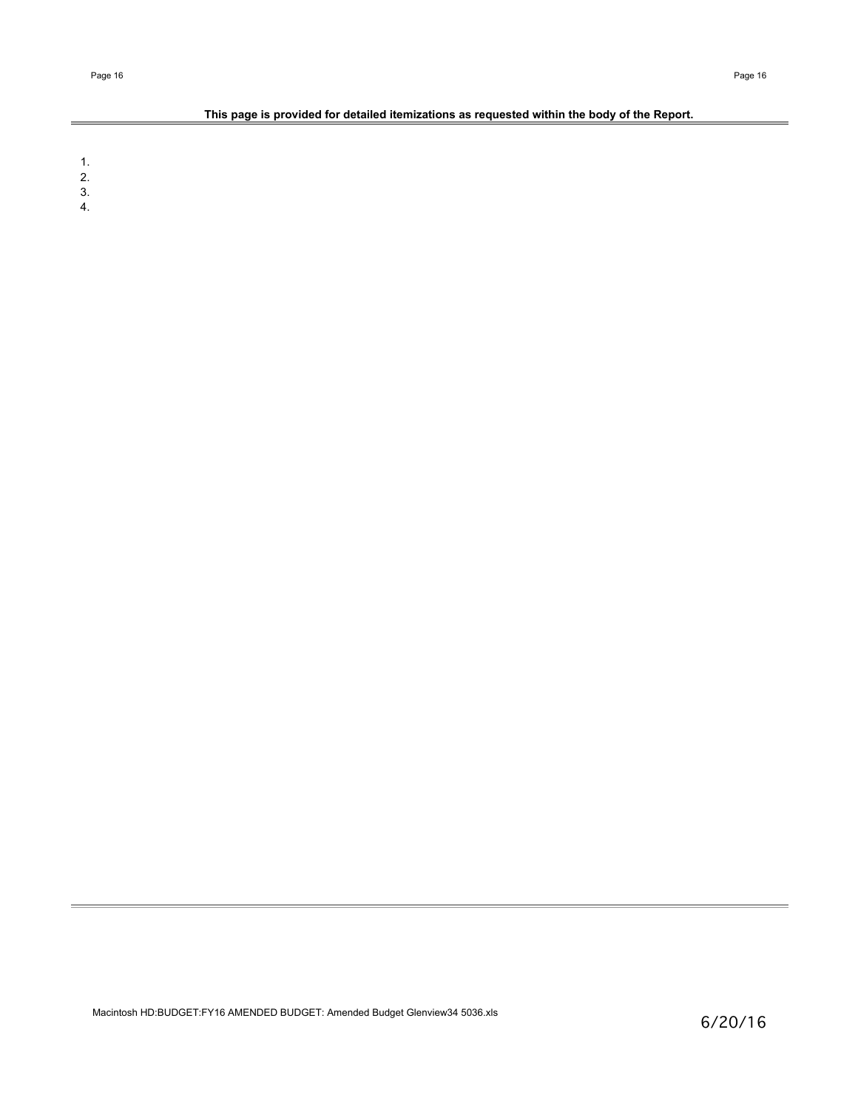# **This page is provided for detailed itemizations as requested within the body of the Report.**

1.

2.

3. 4.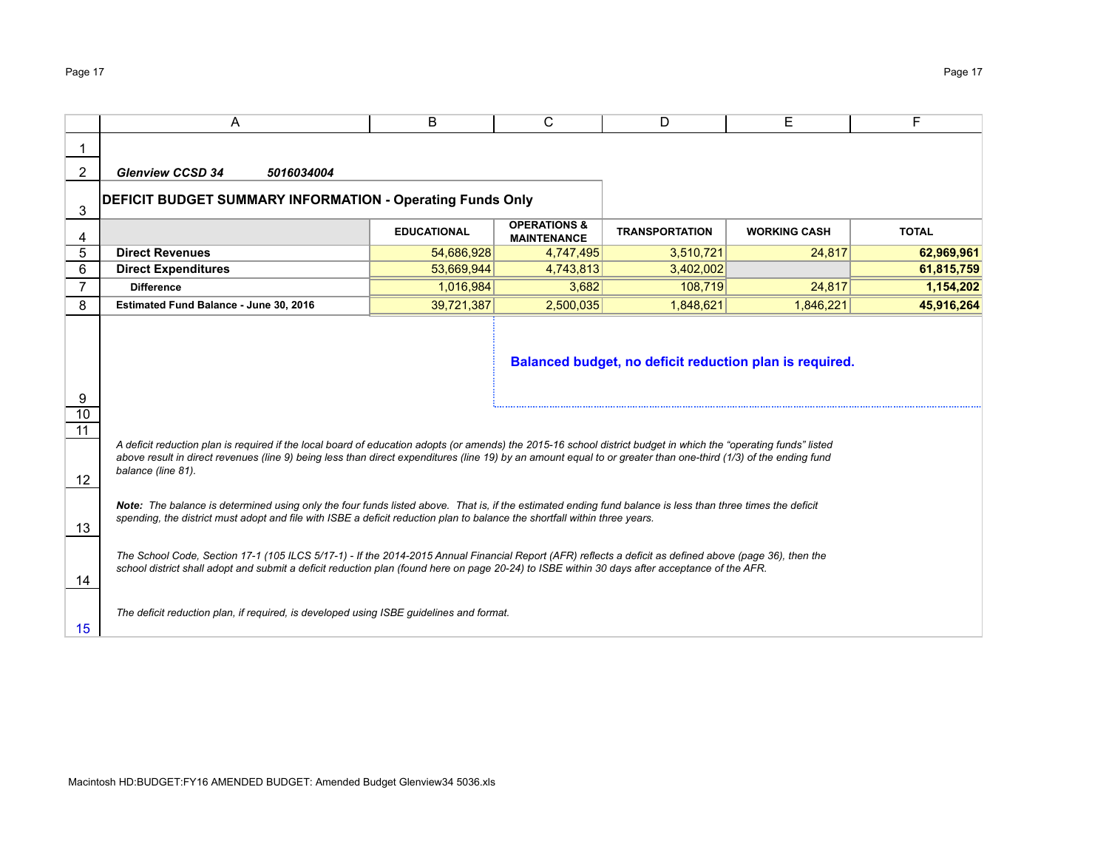|                            | A                                                                                                                                                                                                                                                                                                                                   | B                  | C                                             | D                     | Е                                                       | F            |  |  |  |  |
|----------------------------|-------------------------------------------------------------------------------------------------------------------------------------------------------------------------------------------------------------------------------------------------------------------------------------------------------------------------------------|--------------------|-----------------------------------------------|-----------------------|---------------------------------------------------------|--------------|--|--|--|--|
|                            |                                                                                                                                                                                                                                                                                                                                     |                    |                                               |                       |                                                         |              |  |  |  |  |
| $\overline{2}$             | <b>Glenview CCSD 34</b><br>5016034004                                                                                                                                                                                                                                                                                               |                    |                                               |                       |                                                         |              |  |  |  |  |
| 3                          | DEFICIT BUDGET SUMMARY INFORMATION - Operating Funds Only                                                                                                                                                                                                                                                                           |                    |                                               |                       |                                                         |              |  |  |  |  |
| 4                          |                                                                                                                                                                                                                                                                                                                                     | <b>EDUCATIONAL</b> | <b>OPERATIONS &amp;</b><br><b>MAINTENANCE</b> | <b>TRANSPORTATION</b> | <b>WORKING CASH</b>                                     | <b>TOTAL</b> |  |  |  |  |
| 5                          | <b>Direct Revenues</b>                                                                                                                                                                                                                                                                                                              | 54,686,928         | 4,747,495                                     | 3,510,721             | 24,817                                                  | 62,969,961   |  |  |  |  |
| 6                          | <b>Direct Expenditures</b>                                                                                                                                                                                                                                                                                                          | 53,669,944         | 4,743,813                                     | 3,402,002             |                                                         | 61,815,759   |  |  |  |  |
| $\overline{7}$             | <b>Difference</b>                                                                                                                                                                                                                                                                                                                   | 1,016,984          | 3,682                                         | 108,719               | 24,817                                                  | 1,154,202    |  |  |  |  |
| 8                          | Estimated Fund Balance - June 30, 2016                                                                                                                                                                                                                                                                                              | 39,721,387         | 2,500,035                                     | 1,848,621             | 1,846,221                                               | 45,916,264   |  |  |  |  |
| 9<br>10<br>$\overline{11}$ |                                                                                                                                                                                                                                                                                                                                     |                    |                                               |                       | Balanced budget, no deficit reduction plan is required. |              |  |  |  |  |
|                            | A deficit reduction plan is required if the local board of education adopts (or amends) the 2015-16 school district budget in which the "operating funds" listed<br>above result in direct revenues (line 9) being less than direct expenditures (line 19) by an amount equal to or greater than one-third (1/3) of the ending fund |                    |                                               |                       |                                                         |              |  |  |  |  |
| 12                         | balance (line 81).                                                                                                                                                                                                                                                                                                                  |                    |                                               |                       |                                                         |              |  |  |  |  |
| 13                         | Note: The balance is determined using only the four funds listed above. That is, if the estimated ending fund balance is less than three times the deficit<br>spending, the district must adopt and file with ISBE a deficit reduction plan to balance the shortfall within three years.                                            |                    |                                               |                       |                                                         |              |  |  |  |  |
| 14                         | The School Code, Section 17-1 (105 ILCS 5/17-1) - If the 2014-2015 Annual Financial Report (AFR) reflects a deficit as defined above (page 36), then the<br>school district shall adopt and submit a deficit reduction plan (found here on page 20-24) to ISBE within 30 days after acceptance of the AFR.                          |                    |                                               |                       |                                                         |              |  |  |  |  |
| 15                         | The deficit reduction plan, if required, is developed using ISBE guidelines and format.                                                                                                                                                                                                                                             |                    |                                               |                       |                                                         |              |  |  |  |  |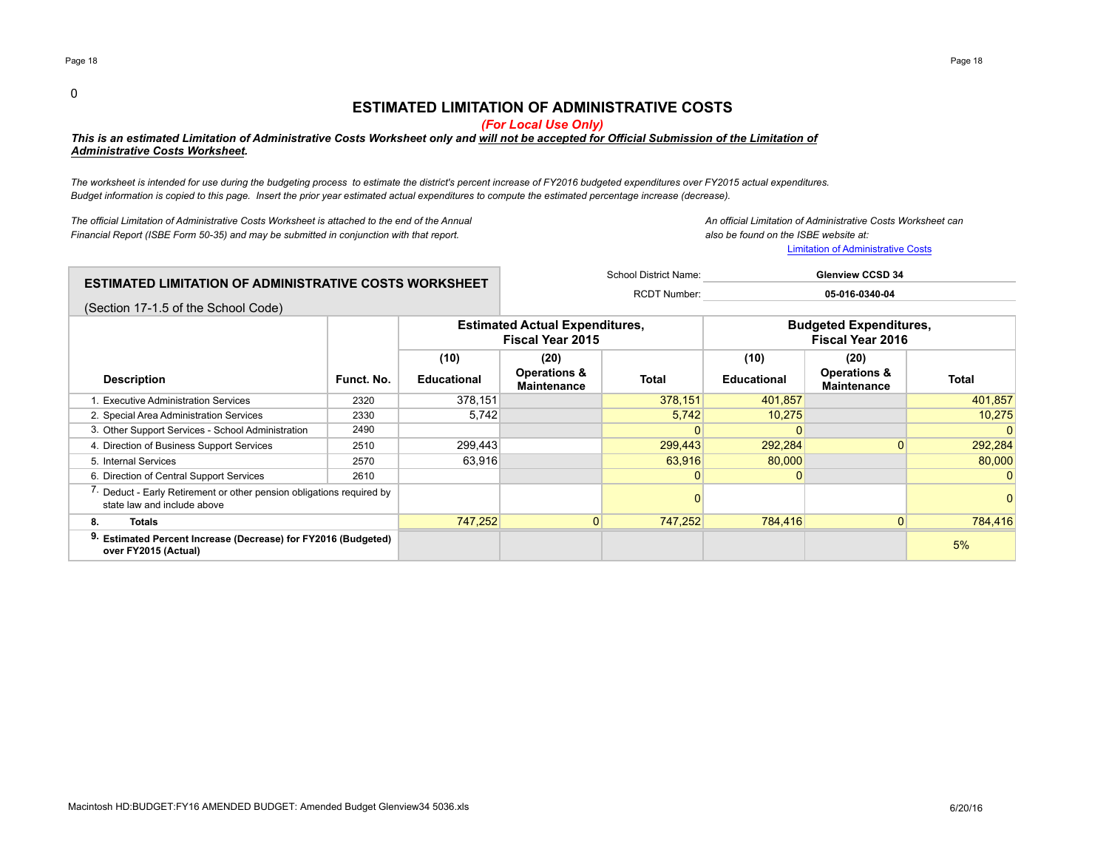0

# **ESTIMATED LIMITATION OF ADMINISTRATIVE COSTS**

*(For Local Use Only)*

*This is an estimated Limitation of Administrative Costs Worksheet only and will not be accepted for Official Submission of the Limitation of Administrative Costs Worksheet.* 

*The worksheet is intended for use during the budgeting process to estimate the district's percent increase of FY2016 budgeted expenditures over FY2015 actual expenditures. Budget information is copied to this page. Insert the prior year estimated actual expenditures to compute the estimated percentage increase (decrease).*

*The official Limitation of Administrative Costs Worksheet is attached to the end of the Annual An official Limitation of Administrative Costs Worksheet can Financial Report (ISBE Form 50-35) and may be submitted in conjunction with that report. also be found on the ISBE website at:*

Limitation of Administrative Costs

| $\,$ ESTIMATED LIMITATION OF ADMINISTRATIVE COSTS WORKSHEET $\,$ | School District Name: | <b>Glenview CCSD 34</b> |
|------------------------------------------------------------------|-----------------------|-------------------------|
|                                                                  | <b>RCDT Number:</b>   | 05-016-0340-04          |
| (Section 17-1.5 of the School Code)                              |                       |                         |

|                                                                                                                  |            |                            | <b>Estimated Actual Expenditures,</b><br><b>Fiscal Year 2015</b> |         | <b>Budgeted Expenditures,</b><br><b>Fiscal Year 2016</b> |                                                       |         |  |
|------------------------------------------------------------------------------------------------------------------|------------|----------------------------|------------------------------------------------------------------|---------|----------------------------------------------------------|-------------------------------------------------------|---------|--|
| <b>Description</b>                                                                                               | Funct. No. | (10)<br><b>Educational</b> | (20)<br>Operations &<br><b>Maintenance</b>                       | Total   | (10)<br><b>Educational</b>                               | (20)<br><b>Operations &amp;</b><br><b>Maintenance</b> | Total   |  |
| . Executive Administration Services                                                                              | 2320       | 378,151                    |                                                                  | 378,151 | 401,857                                                  |                                                       | 401,857 |  |
| 2. Special Area Administration Services                                                                          | 2330       | 5,742                      |                                                                  | 5,742   | 10,275                                                   |                                                       | 10,275  |  |
| 3. Other Support Services - School Administration                                                                | 2490       |                            |                                                                  |         |                                                          |                                                       |         |  |
| 4. Direction of Business Support Services                                                                        | 2510       | 299,443                    |                                                                  | 299,443 | 292,284                                                  |                                                       | 292,284 |  |
| 5. Internal Services                                                                                             | 2570       | 63,916                     |                                                                  | 63,916  | 80,000                                                   |                                                       | 80,000  |  |
| 6. Direction of Central Support Services                                                                         | 2610       |                            |                                                                  |         |                                                          |                                                       |         |  |
| <sup>7</sup> . Deduct - Early Retirement or other pension obligations required by<br>state law and include above |            |                            |                                                                  |         |                                                          |                                                       |         |  |
| <b>Totals</b><br>8.                                                                                              |            | 747.252                    | $\overline{0}$                                                   | 747.252 | 784,416                                                  | $\Omega$                                              | 784,416 |  |
| 9. Estimated Percent Increase (Decrease) for FY2016 (Budgeted)<br>over FY2015 (Actual)                           |            |                            |                                                                  |         |                                                          |                                                       | 5%      |  |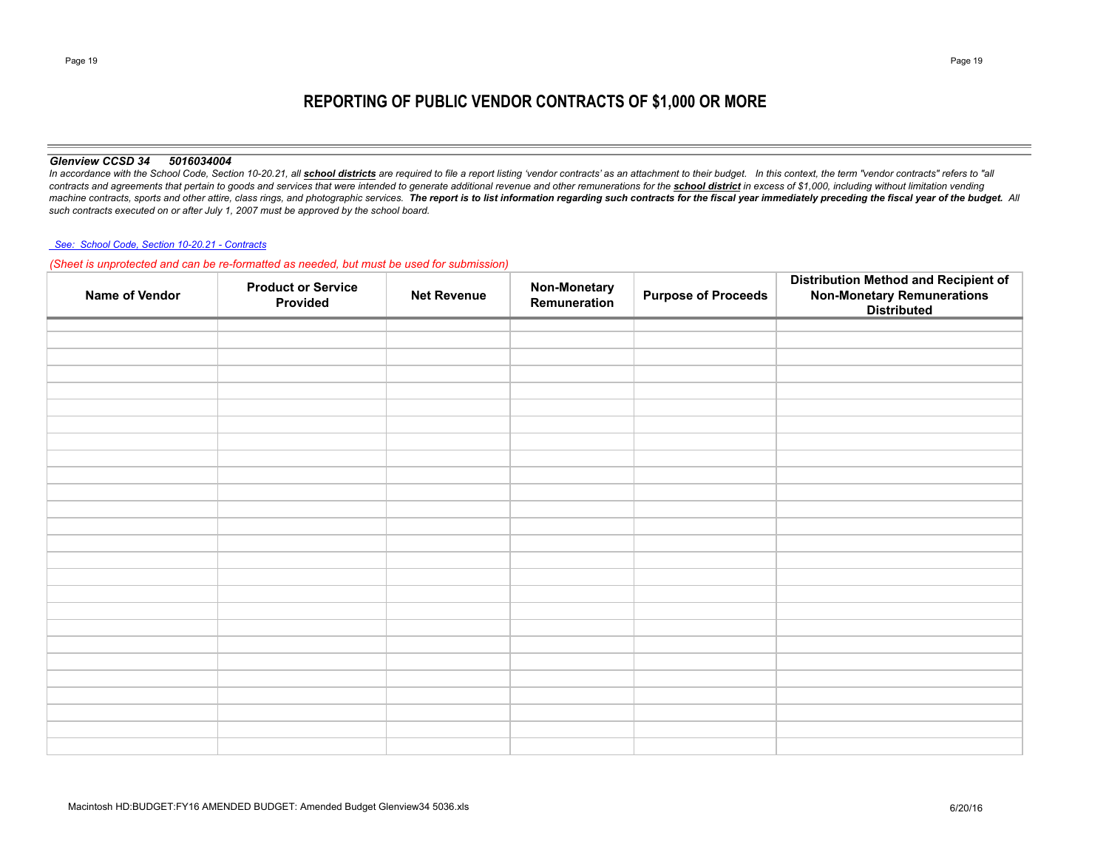# **REPORTING OF PUBLIC VENDOR CONTRACTS OF \$1,000 OR MORE**

### *Glenview CCSD 34 5016034004*

In accordance with the School Code, Section 10-20.21, all school districts are required to file a report listing 'vendor contracts' as an attachment to their budget. In this context, the term "vendor contracts" refers to " contracts and agreements that pertain to goods and services that were intended to generate additional revenue and other remunerations for the school district in excess of \$1,000, including without limitation vending machine contracts, sports and other attire, class rings, and photographic services. The report is to list information regarding such contracts for the fiscal year immediately preceding the fiscal year of the budget. All *such contracts executed on or after July 1, 2007 must be approved by the school board.*

### *See: School Code, Section 10-20.21 - Contracts*

## *(Sheet is unprotected and can be re-formatted as needed, but must be used for submission)*

| Name of Vendor | <b>Product or Service</b><br>Provided | <b>Net Revenue</b> | Non-Monetary<br>Remuneration | <b>Purpose of Proceeds</b> | <b>Distribution Method and Recipient of</b><br><b>Non-Monetary Remunerations<br/>Distributed</b> |
|----------------|---------------------------------------|--------------------|------------------------------|----------------------------|--------------------------------------------------------------------------------------------------|
|                |                                       |                    |                              |                            |                                                                                                  |
|                |                                       |                    |                              |                            |                                                                                                  |
|                |                                       |                    |                              |                            |                                                                                                  |
|                |                                       |                    |                              |                            |                                                                                                  |
|                |                                       |                    |                              |                            |                                                                                                  |
|                |                                       |                    |                              |                            |                                                                                                  |
|                |                                       |                    |                              |                            |                                                                                                  |
|                |                                       |                    |                              |                            |                                                                                                  |
|                |                                       |                    |                              |                            |                                                                                                  |
|                |                                       |                    |                              |                            |                                                                                                  |
|                |                                       |                    |                              |                            |                                                                                                  |
|                |                                       |                    |                              |                            |                                                                                                  |
|                |                                       |                    |                              |                            |                                                                                                  |
|                |                                       |                    |                              |                            |                                                                                                  |
|                |                                       |                    |                              |                            |                                                                                                  |
|                |                                       |                    |                              |                            |                                                                                                  |
|                |                                       |                    |                              |                            |                                                                                                  |
|                |                                       |                    |                              |                            |                                                                                                  |
|                |                                       |                    |                              |                            |                                                                                                  |
|                |                                       |                    |                              |                            |                                                                                                  |
|                |                                       |                    |                              |                            |                                                                                                  |
|                |                                       |                    |                              |                            |                                                                                                  |
|                |                                       |                    |                              |                            |                                                                                                  |
|                |                                       |                    |                              |                            |                                                                                                  |
|                |                                       |                    |                              |                            |                                                                                                  |
|                |                                       |                    |                              |                            |                                                                                                  |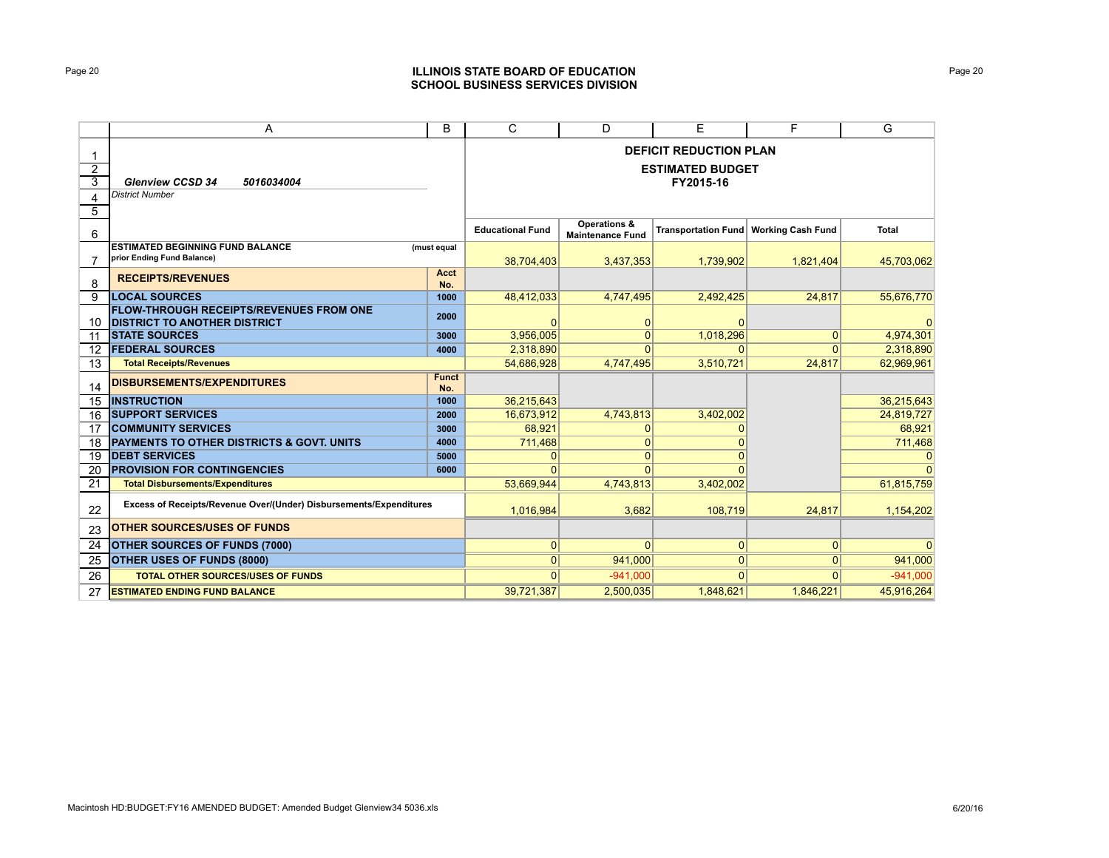# Page 20 **ILLINOIS STATE BOARD OF EDUCATION SCHOOL BUSINESS SERVICES DIVISION**

|                     | A                                                                                     | B                   | C                       | D                                       | Е                                    | F.                       | G            |
|---------------------|---------------------------------------------------------------------------------------|---------------------|-------------------------|-----------------------------------------|--------------------------------------|--------------------------|--------------|
|                     |                                                                                       |                     |                         |                                         | <b>DEFICIT REDUCTION PLAN</b>        |                          |              |
| $\overline{2}$<br>3 | <b>Glenview CCSD 34</b><br>5016034004                                                 |                     |                         |                                         | <b>ESTIMATED BUDGET</b><br>FY2015-16 |                          |              |
| 4                   | <b>District Number</b>                                                                |                     |                         |                                         |                                      |                          |              |
| 5                   |                                                                                       |                     |                         |                                         |                                      |                          |              |
| 6                   |                                                                                       |                     | <b>Educational Fund</b> | Operations &<br><b>Maintenance Fund</b> | <b>Transportation Fund</b>           | <b>Working Cash Fund</b> | <b>Total</b> |
|                     | <b>ESTIMATED BEGINNING FUND BALANCE</b>                                               | (must equal         |                         |                                         |                                      |                          |              |
|                     | prior Ending Fund Balance)                                                            |                     | 38,704,403              | 3,437,353                               | 1,739,902                            | 1,821,404                | 45,703,062   |
| 8                   | <b>RECEIPTS/REVENUES</b>                                                              | Acct<br>No.         |                         |                                         |                                      |                          |              |
| 9                   | <b>LOCAL SOURCES</b>                                                                  | 1000                | 48,412,033              | 4,747,495                               | 2,492,425                            | 24,817                   | 55,676,770   |
| 10                  | <b>FLOW-THROUGH RECEIPTS/REVENUES FROM ONE</b><br><b>DISTRICT TO ANOTHER DISTRICT</b> | 2000                | 0                       | 0                                       | $\mathbf{0}$                         |                          |              |
| 11                  | <b>ISTATE SOURCES</b>                                                                 | 3000                | 3,956,005               | $\Omega$                                | 1,018,296                            | $\Omega$                 | 4,974,301    |
| 12                  | <b>FEDERAL SOURCES</b>                                                                | 4000                | 2,318,890               | $\Omega$                                | n                                    | $\Omega$                 | 2,318,890    |
| 13                  | <b>Total Receipts/Revenues</b>                                                        |                     | 54.686.928              | 4,747,495                               | 3,510,721                            | 24,817                   | 62,969,961   |
| 14                  | <b>DISBURSEMENTS/EXPENDITURES</b>                                                     | <b>Funct</b><br>No. |                         |                                         |                                      |                          |              |
| 15                  | <b>INSTRUCTION</b>                                                                    | 1000                | 36,215,643              |                                         |                                      |                          | 36,215,643   |
| 16                  | <b>SUPPORT SERVICES</b>                                                               | 2000                | 16,673,912              | 4,743,813                               | 3,402,002                            |                          | 24,819,727   |
| 17                  | <b>COMMUNITY SERVICES</b>                                                             | 3000                | 68,921                  | 0                                       |                                      |                          | 68,921       |
| 18                  | <b>PAYMENTS TO OTHER DISTRICTS &amp; GOVT. UNITS</b>                                  | 4000                | 711,468                 | $\mathbf{0}$                            |                                      |                          | 711,468      |
| 19                  | <b>DEBT SERVICES</b>                                                                  | 5000                | 0                       | $\Omega$                                |                                      |                          |              |
| 20                  | <b>PROVISION FOR CONTINGENCIES</b>                                                    | 6000                | $\Omega$                |                                         |                                      |                          |              |
| 21                  | <b>Total Disbursements/Expenditures</b>                                               |                     | 53.669.944              | 4,743,813                               | 3,402,002                            |                          | 61,815,759   |
| 22                  | Excess of Receipts/Revenue Over/(Under) Disbursements/Expenditures                    |                     | 1.016.984               | 3,682                                   | 108,719                              | 24.817                   | 1,154,202    |
| 23                  | <b>OTHER SOURCES/USES OF FUNDS</b>                                                    |                     |                         |                                         |                                      |                          |              |
| 24                  | <b>OTHER SOURCES OF FUNDS (7000)</b>                                                  |                     | $\overline{0}$          | $\mathbf{0}$                            | $\mathbf{0}$                         | 0                        |              |
| 25                  | <b>OTHER USES OF FUNDS (8000)</b>                                                     | $\overline{0}$      | 941,000                 | $\mathbf{0}$                            | $\Omega$                             | 941,000                  |              |
| 26                  | <b>TOTAL OTHER SOURCES/USES OF FUNDS</b>                                              |                     | $\Omega$                | $-941,000$                              | $\Omega$                             | $\overline{0}$           | $-941,000$   |
| 27                  | <b>ESTIMATED ENDING FUND BALANCE</b>                                                  |                     | 39,721,387              | 2,500,035                               | 1,848,621                            | 1.846.221                | 45,916,264   |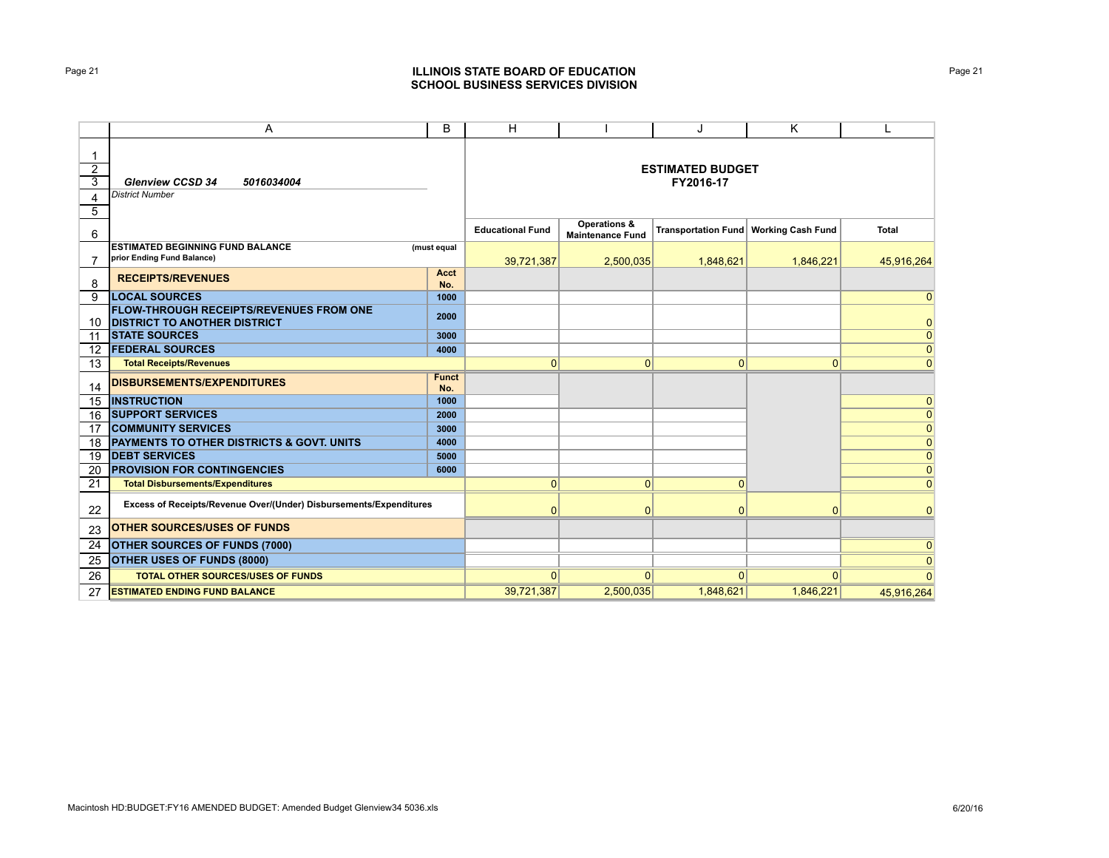# Page 21 **ILLINOIS STATE BOARD OF EDUCATION SCHOOL BUSINESS SERVICES DIVISION**

|                               | Α                                                                                     | B                   | H                       |                                                    | J                                       | K            |                |
|-------------------------------|---------------------------------------------------------------------------------------|---------------------|-------------------------|----------------------------------------------------|-----------------------------------------|--------------|----------------|
| $\overline{2}$<br>3<br>4<br>5 | <b>Glenview CCSD 34</b><br>5016034004<br><b>District Number</b>                       |                     |                         |                                                    | <b>ESTIMATED BUDGET</b><br>FY2016-17    |              |                |
| 6                             |                                                                                       |                     | <b>Educational Fund</b> | <b>Operations &amp;</b><br><b>Maintenance Fund</b> | Transportation Fund   Working Cash Fund |              | <b>Total</b>   |
|                               | <b>ESTIMATED BEGINNING FUND BALANCE</b><br>prior Ending Fund Balance)                 | (must equal         | 39,721,387              | 2,500,035                                          | 1,848,621                               | 1,846,221    | 45,916,264     |
| 8                             | <b>RECEIPTS/REVENUES</b>                                                              | Acct<br>No.         |                         |                                                    |                                         |              |                |
| 9                             | <b>LOCAL SOURCES</b>                                                                  | 1000                |                         |                                                    |                                         |              | $\overline{0}$ |
| 10                            | <b>FLOW-THROUGH RECEIPTS/REVENUES FROM ONE</b><br><b>DISTRICT TO ANOTHER DISTRICT</b> | 2000                |                         |                                                    |                                         |              | $\overline{0}$ |
| 11                            | <b><i>ISTATE SOURCES</i></b>                                                          | 3000                |                         |                                                    |                                         |              | $\overline{0}$ |
| 12                            | <b>FEDERAL SOURCES</b>                                                                | 4000                |                         |                                                    |                                         |              | $\overline{0}$ |
| 13                            | <b>Total Receipts/Revenues</b>                                                        |                     | $\overline{0}$          | $\mathbf{0}$                                       | $\mathbf{0}$                            | $\mathbf{0}$ | $\overline{0}$ |
| 14                            | <b>DISBURSEMENTS/EXPENDITURES</b>                                                     | <b>Funct</b><br>No. |                         |                                                    |                                         |              |                |
| 15                            | <b>INSTRUCTION</b>                                                                    | 1000                |                         |                                                    |                                         |              | $\overline{0}$ |
| 16                            | <b>SUPPORT SERVICES</b>                                                               | 2000                |                         |                                                    |                                         |              | $\overline{0}$ |
| 17                            | <b>COMMUNITY SERVICES</b>                                                             | 3000                |                         |                                                    |                                         |              | $\overline{0}$ |
| 18                            | PAYMENTS TO OTHER DISTRICTS & GOVT. UNITS                                             | 4000                |                         |                                                    |                                         |              | $\overline{0}$ |
| 19                            | <b>DEBT SERVICES</b>                                                                  | 5000                |                         |                                                    |                                         |              | $\overline{0}$ |
| 20                            | <b>PROVISION FOR CONTINGENCIES</b>                                                    | 6000                |                         |                                                    |                                         |              | $\overline{0}$ |
| 21                            | <b>Total Disbursements/Expenditures</b>                                               |                     | $\Omega$                | $\Omega$                                           | $\Omega$                                |              | $\Omega$       |
| 22                            | Excess of Receipts/Revenue Over/(Under) Disbursements/Expenditures                    |                     | $\Omega$                | $\Omega$                                           | $\mathbf{0}$                            | $\Omega$     | $\Omega$       |
| 23                            | <b>OTHER SOURCES/USES OF FUNDS</b>                                                    |                     |                         |                                                    |                                         |              |                |
| 24                            | <b>OTHER SOURCES OF FUNDS (7000)</b>                                                  |                     |                         |                                                    |                                         |              | $\Omega$       |
| 25                            | OTHER USES OF FUNDS (8000)                                                            |                     |                         |                                                    |                                         |              | $\Omega$       |
| 26                            | <b>TOTAL OTHER SOURCES/USES OF FUNDS</b>                                              |                     | $\Omega$                | $\Omega$                                           | $\Omega$                                | $\Omega$     |                |
| 27                            | <b>ESTIMATED ENDING FUND BALANCE</b>                                                  |                     | 39,721,387              | 2,500,035                                          | 1,848,621                               | 1,846,221    | 45,916,264     |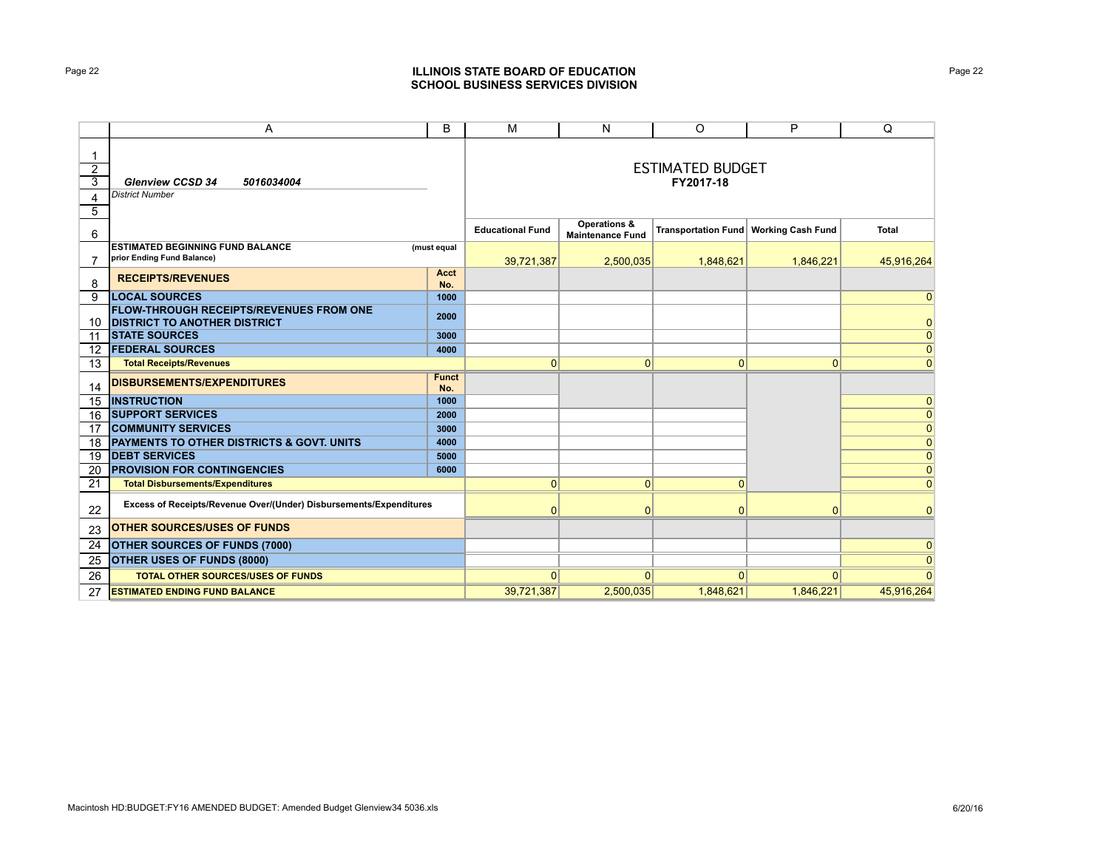# Page 22 **ILLINOIS STATE BOARD OF EDUCATION SCHOOL BUSINESS SERVICES DIVISION**

|                               | A                                                                                     | B                   | M                       | N                                                  | O                                       | P              | Q              |
|-------------------------------|---------------------------------------------------------------------------------------|---------------------|-------------------------|----------------------------------------------------|-----------------------------------------|----------------|----------------|
| $\overline{2}$<br>3<br>4<br>5 | <b>Glenview CCSD 34</b><br>5016034004<br><b>District Number</b>                       |                     |                         |                                                    | <b>ESTIMATED BUDGET</b><br>FY2017-18    |                |                |
| 6                             |                                                                                       |                     | <b>Educational Fund</b> | <b>Operations &amp;</b><br><b>Maintenance Fund</b> | Transportation Fund   Working Cash Fund |                | <b>Total</b>   |
|                               | <b>ESTIMATED BEGINNING FUND BALANCE</b><br>prior Ending Fund Balance)                 | (must equal         | 39,721,387              | 2,500,035                                          | 1,848,621                               | 1,846,221      | 45,916,264     |
| 8                             | <b>RECEIPTS/REVENUES</b>                                                              | <b>Acct</b><br>No.  |                         |                                                    |                                         |                |                |
| 9                             | <b>LOCAL SOURCES</b>                                                                  | 1000                |                         |                                                    |                                         |                | $\overline{0}$ |
| 10                            | <b>FLOW-THROUGH RECEIPTS/REVENUES FROM ONE</b><br><b>DISTRICT TO ANOTHER DISTRICT</b> | 2000                |                         |                                                    |                                         |                | $\overline{0}$ |
| 11                            | <b>STATE SOURCES</b>                                                                  | 3000                |                         |                                                    |                                         |                | $\overline{0}$ |
| 12                            | <b>FEDERAL SOURCES</b>                                                                | 4000                |                         |                                                    |                                         |                | $\overline{0}$ |
| 13                            | <b>Total Receipts/Revenues</b>                                                        |                     | $\overline{0}$          | $\mathbf 0$                                        | $\mathbf{0}$                            | $\mathbf{0}$   | $\overline{0}$ |
| 14                            | <b>DISBURSEMENTS/EXPENDITURES</b>                                                     | <b>Funct</b><br>No. |                         |                                                    |                                         |                |                |
| 15                            | <b>INSTRUCTION</b>                                                                    | 1000                |                         |                                                    |                                         |                | $\overline{0}$ |
| 16                            | <b>SUPPORT SERVICES</b>                                                               | 2000                |                         |                                                    |                                         |                | $\overline{0}$ |
| 17                            | <b>COMMUNITY SERVICES</b>                                                             | 3000                |                         |                                                    |                                         |                | $\overline{0}$ |
| 18                            | PAYMENTS TO OTHER DISTRICTS & GOVT. UNITS                                             | 4000                |                         |                                                    |                                         |                | $\overline{0}$ |
| 19                            | <b>DEBT SERVICES</b>                                                                  | 5000                |                         |                                                    |                                         |                | $\overline{0}$ |
| 20                            | <b>PROVISION FOR CONTINGENCIES</b>                                                    | 6000                |                         |                                                    |                                         |                | $\overline{0}$ |
| 21                            | <b>Total Disbursements/Expenditures</b>                                               |                     | $\Omega$                | $\mathbf{0}$                                       | $\Omega$                                |                | $\Omega$       |
| 22                            | Excess of Receipts/Revenue Over/(Under) Disbursements/Expenditures                    |                     | $\overline{0}$          | $\Omega$                                           | $\mathbf{0}$                            | $\overline{0}$ | $\Omega$       |
| 23                            | <b>OTHER SOURCES/USES OF FUNDS</b>                                                    |                     |                         |                                                    |                                         |                |                |
| 24                            | <b>OTHER SOURCES OF FUNDS (7000)</b>                                                  |                     |                         |                                                    |                                         |                | $\Omega$       |
| 25                            | OTHER USES OF FUNDS (8000)                                                            |                     |                         |                                                    |                                         |                | $\Omega$       |
| 26                            | <b>TOTAL OTHER SOURCES/USES OF FUNDS</b>                                              |                     | $\Omega$                | $\Omega$                                           | $\Omega$                                | $\Omega$       |                |
| 27                            | <b>ESTIMATED ENDING FUND BALANCE</b>                                                  |                     | 39,721,387              | 2,500,035                                          | 1,848,621                               | 1,846,221      | 45,916,264     |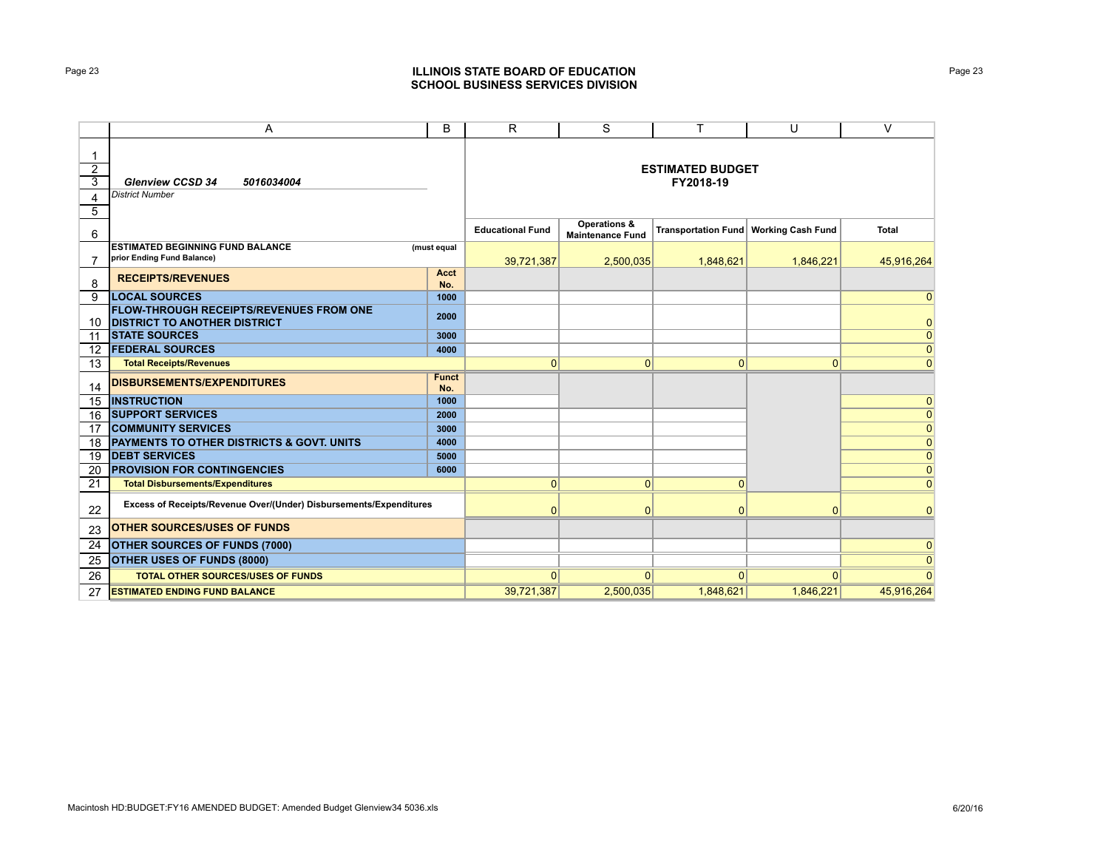# Page 23 **ILLINOIS STATE BOARD OF EDUCATION SCHOOL BUSINESS SERVICES DIVISION**

|                               | A                                                                                     | B                   | R.                                   | S                                                  | $\mathsf{T}$ | U                                       | $\vee$         |  |
|-------------------------------|---------------------------------------------------------------------------------------|---------------------|--------------------------------------|----------------------------------------------------|--------------|-----------------------------------------|----------------|--|
| $\overline{2}$<br>3<br>4<br>5 | <b>Glenview CCSD 34</b><br>5016034004<br><b>District Number</b>                       |                     | <b>ESTIMATED BUDGET</b><br>FY2018-19 |                                                    |              |                                         |                |  |
| 6                             |                                                                                       |                     | <b>Educational Fund</b>              | <b>Operations &amp;</b><br><b>Maintenance Fund</b> |              | Transportation Fund   Working Cash Fund | <b>Total</b>   |  |
| $\overline{7}$                | <b>ESTIMATED BEGINNING FUND BALANCE</b><br>prior Ending Fund Balance)                 | (must equal         | 39,721,387                           | 2,500,035                                          | 1,848,621    | 1,846,221                               | 45,916,264     |  |
| 8                             | <b>RECEIPTS/REVENUES</b>                                                              | Acct<br>No.         |                                      |                                                    |              |                                         |                |  |
| 9                             | <b>LOCAL SOURCES</b>                                                                  | 1000                |                                      |                                                    |              |                                         | $\overline{0}$ |  |
| 10                            | <b>FLOW-THROUGH RECEIPTS/REVENUES FROM ONE</b><br><b>DISTRICT TO ANOTHER DISTRICT</b> | 2000                |                                      |                                                    |              |                                         | $\overline{0}$ |  |
| 11                            | <b>STATE SOURCES</b>                                                                  | 3000                |                                      |                                                    |              |                                         | $\overline{0}$ |  |
| 12                            | <b>FEDERAL SOURCES</b>                                                                | 4000                |                                      |                                                    |              |                                         | $\overline{0}$ |  |
| 13                            | <b>Total Receipts/Revenues</b>                                                        |                     | $\mathbf{0}$                         | $\mathbf{0}$                                       | 0            | $\overline{0}$                          | $\overline{0}$ |  |
| 14                            | <b>DISBURSEMENTS/EXPENDITURES</b>                                                     | <b>Funct</b><br>No. |                                      |                                                    |              |                                         |                |  |
| 15                            | <b>INSTRUCTION</b>                                                                    | 1000                |                                      |                                                    |              |                                         | $\overline{0}$ |  |
| 16                            | <b>SUPPORT SERVICES</b>                                                               | 2000                |                                      |                                                    |              |                                         | $\overline{0}$ |  |
| 17                            | <b>COMMUNITY SERVICES</b>                                                             | 3000                |                                      |                                                    |              |                                         | $\overline{0}$ |  |
| 18                            | <b>PAYMENTS TO OTHER DISTRICTS &amp; GOVT. UNITS</b>                                  | 4000                |                                      |                                                    |              |                                         | $\overline{0}$ |  |
| 19                            | <b>IDEBT SERVICES</b>                                                                 | 5000                |                                      |                                                    |              |                                         | $\overline{0}$ |  |
| 20                            | <b>PROVISION FOR CONTINGENCIES</b>                                                    | 6000                |                                      |                                                    |              |                                         | $\overline{0}$ |  |
| 21                            | <b>Total Disbursements/Expenditures</b>                                               |                     | $\Omega$                             | $\mathbf{0}$                                       | $\Omega$     |                                         | $\Omega$       |  |
| 22                            | Excess of Receipts/Revenue Over/(Under) Disbursements/Expenditures                    |                     | $\Omega$                             | $\mathbf{0}$                                       | $\Omega$     | $\Omega$                                | $\mathbf{0}$   |  |
| 23                            | <b>OTHER SOURCES/USES OF FUNDS</b>                                                    |                     |                                      |                                                    |              |                                         |                |  |
| 24                            | <b>OTHER SOURCES OF FUNDS (7000)</b>                                                  |                     |                                      |                                                    |              |                                         | $\mathbf 0$    |  |
| 25                            | <b>OTHER USES OF FUNDS (8000)</b>                                                     |                     |                                      |                                                    |              |                                         | $\overline{0}$ |  |
| 26                            | <b>TOTAL OTHER SOURCES/USES OF FUNDS</b>                                              |                     | $\Omega$                             | $\Omega$                                           | 0            | $\Omega$                                | $\Omega$       |  |
| 27                            | <b>ESTIMATED ENDING FUND BALANCE</b>                                                  |                     | 39,721,387                           | 2,500,035                                          | 1,848,621    | 1,846,221                               | 45,916,264     |  |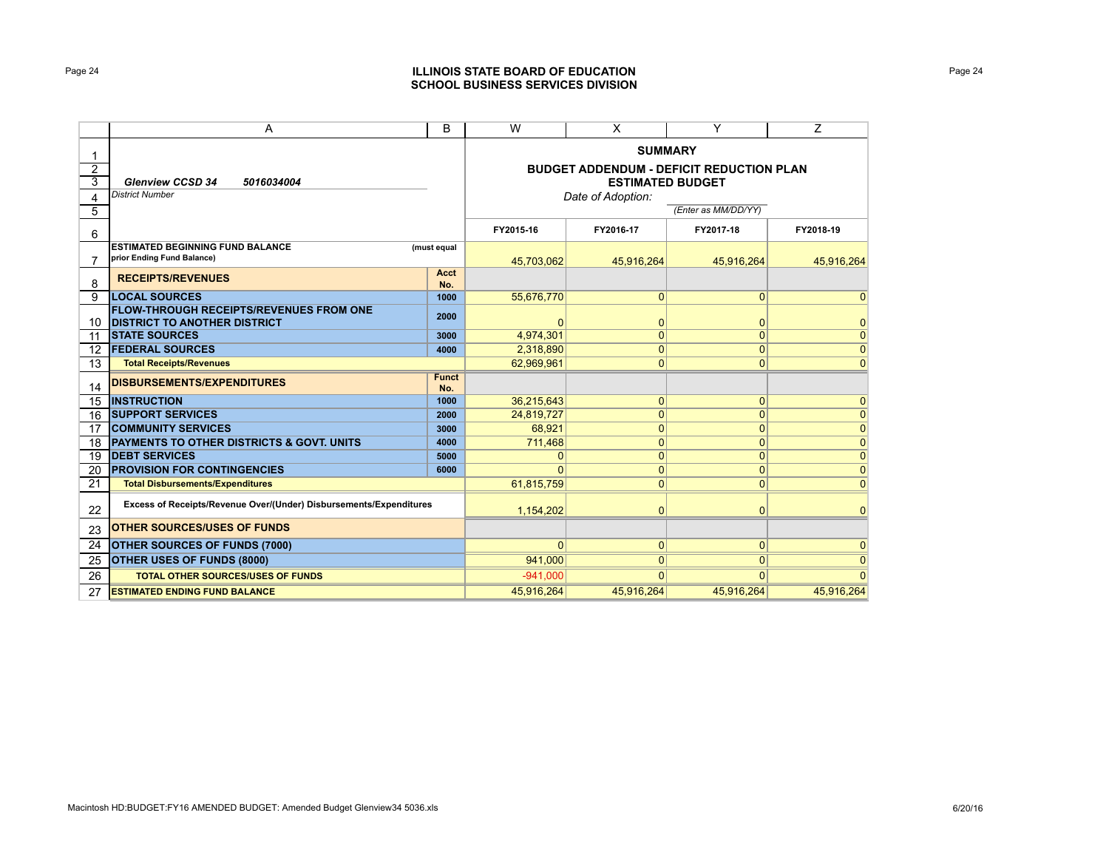# Page 24 **ILLINOIS STATE BOARD OF EDUCATION SCHOOL BUSINESS SERVICES DIVISION**

|                | A                                                                                     | B                                               | W              | X                       | Y                   | Ζ            |  |
|----------------|---------------------------------------------------------------------------------------|-------------------------------------------------|----------------|-------------------------|---------------------|--------------|--|
| 1              |                                                                                       | <b>SUMMARY</b>                                  |                |                         |                     |              |  |
| $\overline{2}$ |                                                                                       | <b>BUDGET ADDENDUM - DEFICIT REDUCTION PLAN</b> |                |                         |                     |              |  |
| 3              | <b>Glenview CCSD 34</b><br>5016034004                                                 |                                                 |                | <b>ESTIMATED BUDGET</b> |                     |              |  |
| 4              | <b>District Number</b>                                                                |                                                 |                | Date of Adoption:       |                     |              |  |
| 5              |                                                                                       |                                                 |                |                         | (Enter as MM/DD/YY) |              |  |
| 6              |                                                                                       |                                                 | FY2015-16      | FY2016-17               | FY2017-18           | FY2018-19    |  |
|                | <b>ESTIMATED BEGINNING FUND BALANCE</b>                                               | (must equal                                     |                |                         |                     |              |  |
| $\overline{7}$ | prior Ending Fund Balance)                                                            |                                                 | 45,703,062     | 45,916,264              | 45.916.264          | 45.916.264   |  |
| 8              | <b>RECEIPTS/REVENUES</b>                                                              | <b>Acct</b><br>No.                              |                |                         |                     |              |  |
| 9              | <b>LOCAL SOURCES</b>                                                                  | 1000                                            | 55,676,770     | $\overline{0}$          | $\mathbf{0}$        | $\mathbf 0$  |  |
| 10             | <b>FLOW-THROUGH RECEIPTS/REVENUES FROM ONE</b><br><b>DISTRICT TO ANOTHER DISTRICT</b> | 2000                                            | $\Omega$       | 0                       | $\mathbf 0$         | $\mathbf 0$  |  |
| 11             | <b><i>ISTATE SOURCES</i></b>                                                          | 3000                                            | 4,974,301      | $\mathbf{0}$            | $\overline{0}$      | $\mathbf{0}$ |  |
| 12             | <b>FEDERAL SOURCES</b>                                                                | 4000                                            | 2,318,890      | $\overline{0}$          | $\overline{0}$      | $\mathbf{0}$ |  |
| 13             | <b>Total Receipts/Revenues</b>                                                        |                                                 | 62.969.961     | $\mathbf{0}$            | $\mathbf 0$         | $\mathbf{0}$ |  |
| 14             | <b>DISBURSEMENTS/EXPENDITURES</b>                                                     | <b>Funct</b><br>No.                             |                |                         |                     |              |  |
| 15             | <b>INSTRUCTION</b>                                                                    | 1000                                            | 36,215,643     | $\mathbf{0}$            | $\mathbf{0}$        | $\mathbf{0}$ |  |
| 16             | <b>SUPPORT SERVICES</b>                                                               | 2000                                            | 24,819,727     | $\mathbf{0}$            | $\mathbf{0}$        | $\mathbf{0}$ |  |
| 17             | <b>COMMUNITY SERVICES</b>                                                             | 3000                                            | 68.921         | $\mathbf{0}$            | $\mathbf 0$         | $\mathbf{0}$ |  |
| 18             | <b>PAYMENTS TO OTHER DISTRICTS &amp; GOVT. UNITS</b>                                  | 4000                                            | 711,468        | $\mathbf{0}$            | $\mathbf 0$         | $\mathbf 0$  |  |
| 19             | <b>DEBT SERVICES</b>                                                                  | 5000                                            | 0              | $\mathbf{0}$            | $\overline{0}$      | $\mathbf 0$  |  |
| 20             | <b>PROVISION FOR CONTINGENCIES</b>                                                    | 6000                                            | ŋ              | $\mathbf{0}$            | $\mathbf 0$         | $\mathbf 0$  |  |
| 21             | <b>Total Disbursements/Expenditures</b>                                               |                                                 | 61,815,759     | $\overline{0}$          | $\mathbf 0$         | $\Omega$     |  |
| 22             | Excess of Receipts/Revenue Over/(Under) Disbursements/Expenditures                    |                                                 | 1,154,202      | $\overline{0}$          | $\Omega$            | $\Omega$     |  |
| 23             | <b>OTHER SOURCES/USES OF FUNDS</b>                                                    |                                                 |                |                         |                     |              |  |
| 24             | <b>OTHER SOURCES OF FUNDS (7000)</b>                                                  |                                                 | $\overline{0}$ | 0                       | $\mathbf 0$         | $\mathbf 0$  |  |
| 25             | <b>OTHER USES OF FUNDS (8000)</b>                                                     |                                                 | 941,000        | 0                       | $\Omega$            | $\mathbf{0}$ |  |
| 26             | <b>TOTAL OTHER SOURCES/USES OF FUNDS</b>                                              |                                                 | $-941.000$     | $\Omega$                | $\Omega$            | $\Omega$     |  |
| 27             | <b>ESTIMATED ENDING FUND BALANCE</b>                                                  |                                                 | 45,916,264     | 45,916,264              | 45,916,264          | 45,916,264   |  |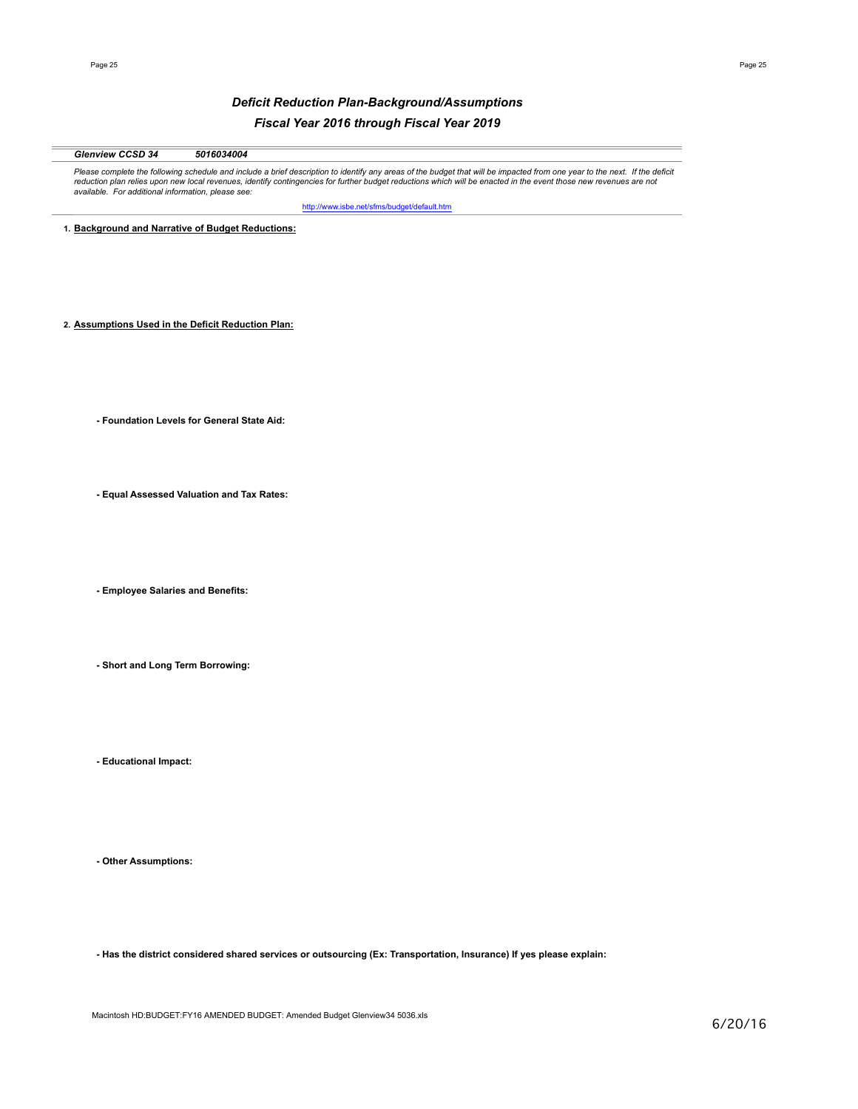# *Deficit Reduction Plan-Background/Assumptions Fiscal Year 2016 through Fiscal Year 2019*

# *Glenview CCSD 34 5016034004*

Please complete the following schedule and include a brief description to identify any areas of the budget that will be impacted from one year to the next. If the deficit<br>reduction plan relies upon new local revenues, iden *available. For additional information, please see:* 

http://www.isbe.net/sfms/budget/default.htm

**1. Background and Narrative of Budget Reductions:**

**2. Assumptions Used in the Deficit Reduction Plan:**

**- Foundation Levels for General State Aid:**

**- Equal Assessed Valuation and Tax Rates:**

**- Employee Salaries and Benefits:**

**- Short and Long Term Borrowing:**

**- Educational Impact:**

**- Other Assumptions:**

**- Has the district considered shared services or outsourcing (Ex: Transportation, Insurance) If yes please explain:**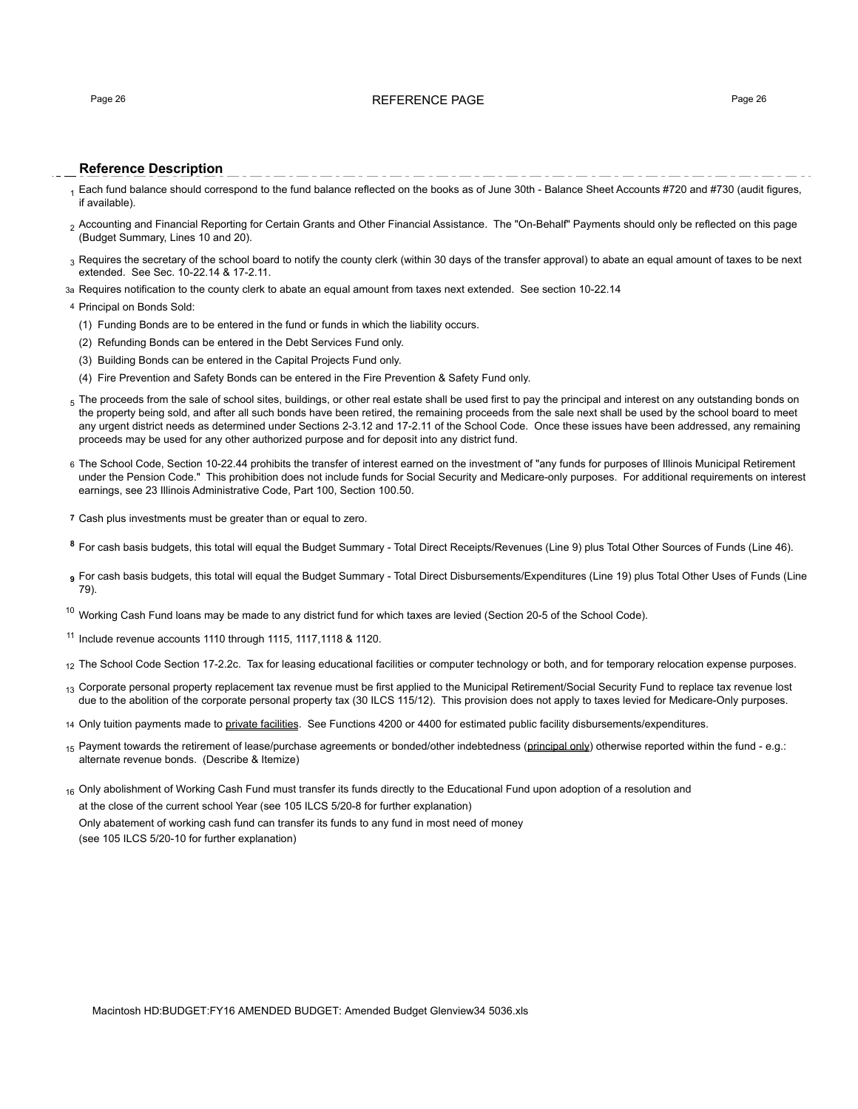# Page 26 **Page 26** Page 26 **Page 26** Page 26 Page 26 Page 26 Page 26 Page 26 Page 26 Page 26 Page 26

# **Reference Description**

- Each fund balance should correspond to the fund balance reflected on the books as of June 30th Balance Sheet Accounts #720 and #730 (audit figures, if available).
- 2 Accounting and Financial Reporting for Certain Grants and Other Financial Assistance. The "On-Behalf" Payments should only be reflected on this page (Budget Summary, Lines 10 and 20).
- $_3$  Requires the secretary of the school board to notify the county clerk (within 30 days of the transfer approval) to abate an equal amount of taxes to be next extended. See Sec. 10-22.14 & 17-2.11.
- 3a Requires notification to the county clerk to abate an equal amount from taxes next extended. See section 10-22.14

### 4 Principal on Bonds Sold:

- (1) Funding Bonds are to be entered in the fund or funds in which the liability occurs.
- (2) Refunding Bonds can be entered in the Debt Services Fund only.
- (3) Building Bonds can be entered in the Capital Projects Fund only.
- (4) Fire Prevention and Safety Bonds can be entered in the Fire Prevention & Safety Fund only.
- 5 The proceeds from the sale of school sites, buildings, or other real estate shall be used first to pay the principal and interest on any outstanding bonds on the property being sold, and after all such bonds have been retired, the remaining proceeds from the sale next shall be used by the school board to meet any urgent district needs as determined under Sections 2-3.12 and 17-2.11 of the School Code. Once these issues have been addressed, any remaining proceeds may be used for any other authorized purpose and for deposit into any district fund.
- 6 The School Code, Section 10-22.44 prohibits the transfer of interest earned on the investment of "any funds for purposes of Illinois Municipal Retirement under the Pension Code." This prohibition does not include funds for Social Security and Medicare-only purposes. For additional requirements on interest earnings, see 23 Illinois Administrative Code, Part 100, Section 100.50.
- **7** Cash plus investments must be greater than or equal to zero.
- **<sup>8</sup>** For cash basis budgets, this total will equal the Budget Summary Total Direct Receipts/Revenues (Line 9) plus Total Other Sources of Funds (Line 46).
- **<sup>9</sup>** For cash basis budgets, this total will equal the Budget Summary Total Direct Disbursements/Expenditures (Line 19) plus Total Other Uses of Funds (Line 79).
- $10$  Working Cash Fund loans may be made to any district fund for which taxes are levied (Section 20-5 of the School Code).
- <sup>11</sup> Include revenue accounts 1110 through 1115, 1117,1118 & 1120.
- 12 The School Code Section 17-2.2c. Tax for leasing educational facilities or computer technology or both, and for temporary relocation expense purposes.
- <sub>13</sub> Corporate personal property replacement tax revenue must be first applied to the Municipal Retirement/Social Security Fund to replace tax revenue lost due to the abolition of the corporate personal property tax (30 ILCS 115/12). This provision does not apply to taxes levied for Medicare-Only purposes.
- 14 Only tuition payments made to private facilities. See Functions 4200 or 4400 for estimated public facility disbursements/expenditures.
- 15 Payment towards the retirement of lease/purchase agreements or bonded/other indebtedness (principal only) otherwise reported within the fund e.g.: alternate revenue bonds. (Describe & Itemize)
- $16$  Only abolishment of Working Cash Fund must transfer its funds directly to the Educational Fund upon adoption of a resolution and at the close of the current school Year (see 105 ILCS 5/20-8 for further explanation) Only abatement of working cash fund can transfer its funds to any fund in most need of money (see 105 ILCS 5/20-10 for further explanation)